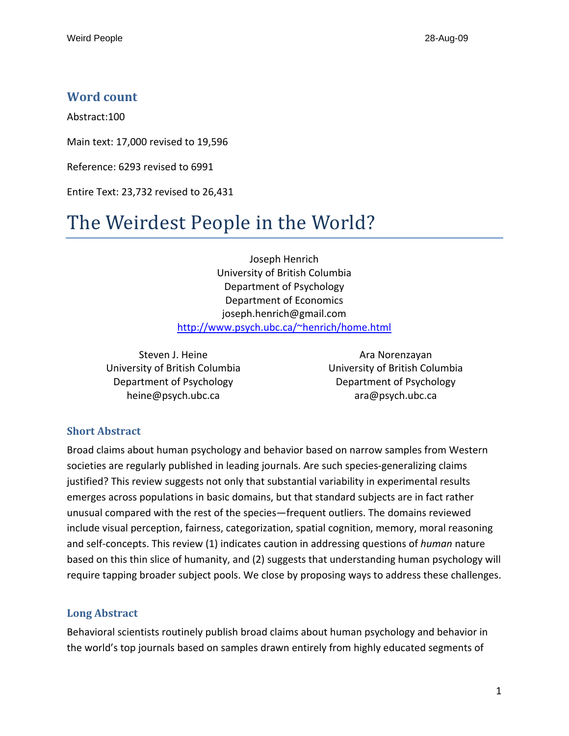#### **Word count**

Abstract:100

Main text: 17,000 revised to 19,596

Reference: 6293 revised to 6991

Entire Text: 23,732 revised to 26,431

# The Weirdest People in the World?

Joseph Henrich University of British Columbia Department of Psychology Department of Economics joseph.henrich@gmail.com [http://www.psych.ubc.ca/~henrich/home.html](http://www.psych.ubc.ca/%7Ehenrich/home.html)

Steven J. Heine University of British Columbia Department of Psychology heine@psych.ubc.ca

Ara Norenzayan University of British Columbia Department of Psychology ara@psych.ubc.ca

#### **Short Abstract**

Broad claims about human psychology and behavior based on narrow samples from Western societies are regularly published in leading journals. Are such species‐generalizing claims justified? This review suggests not only that substantial variability in experimental results emerges across populations in basic domains, but that standard subjects are in fact rather unusual compared with the rest of the species—frequent outliers. The domains reviewed include visual perception, fairness, categorization, spatial cognition, memory, moral reasoning and self‐concepts. This review (1) indicates caution in addressing questions of *human* nature based on this thin slice of humanity, and (2) suggests that understanding human psychology will require tapping broader subject pools. We close by proposing ways to address these challenges.

#### **Long Abstract**

Behavioral scientists routinely publish broad claims about human psychology and behavior in the world's top journals based on samples drawn entirely from highly educated segments of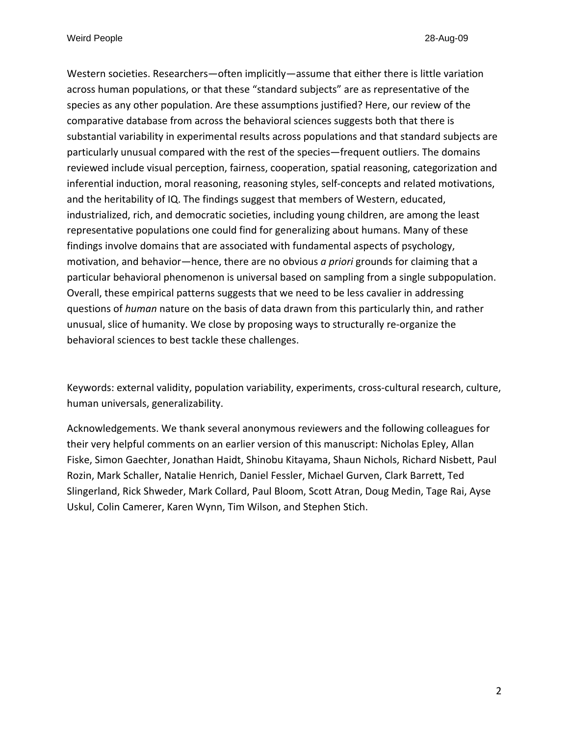Western societies. Researchers—often implicitly—assume that either there is little variation across human populations, or that these "standard subjects" are as representative of the species as any other population. Are these assumptions justified? Here, our review of the comparative database from across the behavioral sciences suggests both that there is substantial variability in experimental results across populations and that standard subjects are particularly unusual compared with the rest of the species—frequent outliers. The domains reviewed include visual perception, fairness, cooperation, spatial reasoning, categorization and inferential induction, moral reasoning, reasoning styles, self‐concepts and related motivations, and the heritability of IQ. The findings suggest that members of Western, educated, industrialized, rich, and democratic societies, including young children, are among the least representative populations one could find for generalizing about humans. Many of these findings involve domains that are associated with fundamental aspects of psychology, motivation, and behavior—hence, there are no obvious *a priori* grounds for claiming that a particular behavioral phenomenon is universal based on sampling from a single subpopulation. Overall, these empirical patterns suggests that we need to be less cavalier in addressing questions of *human* nature on the basis of data drawn from this particularly thin, and rather unusual, slice of humanity. We close by proposing ways to structurally re‐organize the behavioral sciences to best tackle these challenges.

Keywords: external validity, population variability, experiments, cross‐cultural research, culture, human universals, generalizability.

Acknowledgements. We thank several anonymous reviewers and the following colleagues for their very helpful comments on an earlier version of this manuscript: Nicholas Epley, Allan Fiske, Simon Gaechter, Jonathan Haidt, Shinobu Kitayama, Shaun Nichols, Richard Nisbett, Paul Rozin, Mark Schaller, Natalie Henrich, Daniel Fessler, Michael Gurven, Clark Barrett, Ted Slingerland, Rick Shweder, Mark Collard, Paul Bloom, Scott Atran, Doug Medin, Tage Rai, Ayse Uskul, Colin Camerer, Karen Wynn, Tim Wilson, and Stephen Stich.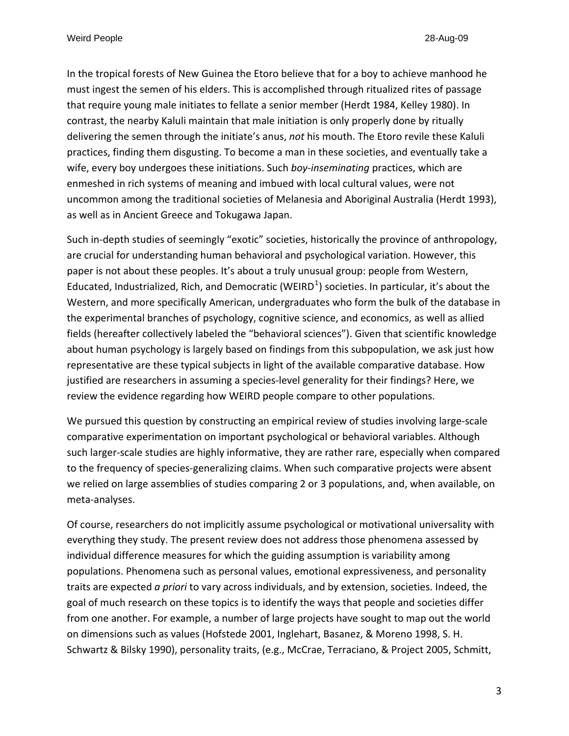In the tropical forests of New Guinea the Etoro believe that for a boy to achieve manhood he must ingest the semen of his elders. This is accomplished through ritualized rites of passage that require young male initiates to fellate a senior member (Herdt 1984, Kelley 1980). In contrast, the nearby Kaluli maintain that male initiation is only properly done by ritually delivering the semen through the initiate's anus, *not* his mouth. The Etoro revile these Kaluli practices, finding them disgusting. To become a man in these societies, and eventually take a wife, every boy undergoes these initiations. Such *boy‐inseminating* practices, which are enmeshed in rich systems of meaning and imbued with local cultural values, were not uncommon among the traditional societies of Melanesia and Aboriginal Australia (Herdt 1993), as well as in Ancient Greece and Tokugawa Japan.

Such in-depth studies of seemingly "exotic" societies, historically the province of anthropology, are crucial for understanding human behavioral and psychological variation. However, this paper is not about these peoples. It's about a truly unusual group: people from Western, Educated, Industrialized, Rich, and Democratic (WEIRD<sup>[1](#page-66-0)</sup>) societies. In particular, it's about the Western, and more specifically American, undergraduates who form the bulk of the database in the experimental branches of psychology, cognitive science, and economics, as well as allied fields (hereafter collectively labeled the "behavioral sciences"). Given that scientific knowledge about human psychology is largely based on findings from this subpopulation, we ask just how representative are these typical subjects in light of the available comparative database. How justified are researchers in assuming a species-level generality for their findings? Here, we review the evidence regarding how WEIRD people compare to other populations.

We pursued this question by constructing an empirical review of studies involving large-scale comparative experimentation on important psychological or behavioral variables. Although such larger-scale studies are highly informative, they are rather rare, especially when compared to the frequency of species‐generalizing claims. When such comparative projects were absent we relied on large assemblies of studies comparing 2 or 3 populations, and, when available, on meta‐analyses.

Of course, researchers do not implicitly assume psychological or motivational universality with everything they study. The present review does not address those phenomena assessed by individual difference measures for which the guiding assumption is variability among populations. Phenomena such as personal values, emotional expressiveness, and personality traits are expected *a priori* to vary across individuals, and by extension, societies. Indeed, the goal of much research on these topics is to identify the ways that people and societies differ from one another. For example, a number of large projects have sought to map out the world on dimensions such as values (Hofstede 2001, Inglehart, Basanez, & Moreno 1998, S. H. Schwartz & Bilsky 1990), personality traits, (e.g., McCrae, Terraciano, & Project 2005, Schmitt,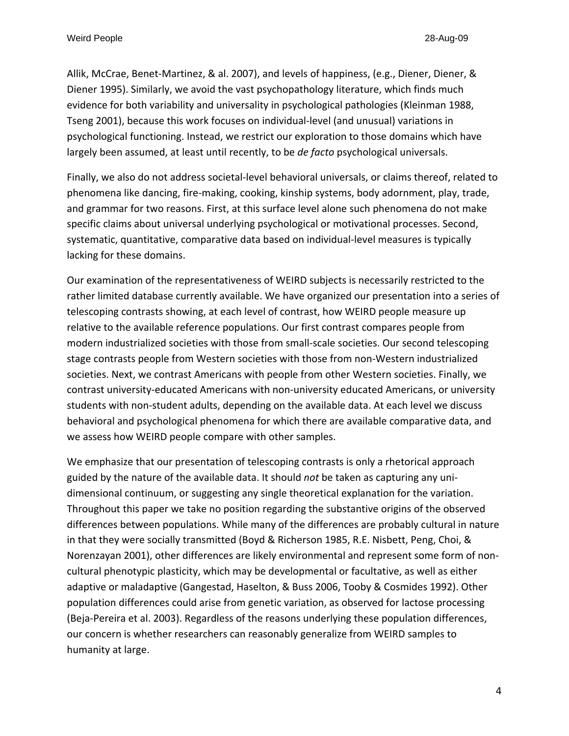Allik, McCrae, Benet‐Martinez, & al. 2007), and levels of happiness, (e.g., Diener, Diener, & Diener 1995). Similarly, we avoid the vast psychopathology literature, which finds much evidence for both variability and universality in psychological pathologies (Kleinman 1988, Tseng 2001), because this work focuses on individual‐level (and unusual) variations in psychological functioning. Instead, we restrict our exploration to those domains which have largely been assumed, at least until recently, to be *de facto* psychological universals.

Finally, we also do not address societal‐level behavioral universals, or claims thereof, related to phenomena like dancing, fire‐making, cooking, kinship systems, body adornment, play, trade, and grammar for two reasons. First, at this surface level alone such phenomena do not make specific claims about universal underlying psychological or motivational processes. Second, systematic, quantitative, comparative data based on individual‐level measures is typically lacking for these domains.

Our examination of the representativeness of WEIRD subjects is necessarily restricted to the rather limited database currently available. We have organized our presentation into a series of telescoping contrasts showing, at each level of contrast, how WEIRD people measure up relative to the available reference populations. Our first contrast compares people from modern industrialized societies with those from small‐scale societies. Our second telescoping stage contrasts people from Western societies with those from non‐Western industrialized societies. Next, we contrast Americans with people from other Western societies. Finally, we contrast university‐educated Americans with non‐university educated Americans, or university students with non‐student adults, depending on the available data. At each level we discuss behavioral and psychological phenomena for which there are available comparative data, and we assess how WEIRD people compare with other samples.

We emphasize that our presentation of telescoping contrasts is only a rhetorical approach guided by the nature of the available data. It should *not* be taken as capturing any uni‐ dimensional continuum, or suggesting any single theoretical explanation for the variation. Throughout this paper we take no position regarding the substantive origins of the observed differences between populations. While many of the differences are probably cultural in nature in that they were socially transmitted (Boyd & Richerson 1985, R.E. Nisbett, Peng, Choi, & Norenzayan 2001), other differences are likely environmental and represent some form of non‐ cultural phenotypic plasticity, which may be developmental or facultative, as well as either adaptive or maladaptive (Gangestad, Haselton, & Buss 2006, Tooby & Cosmides 1992). Other population differences could arise from genetic variation, as observed for lactose processing (Beja‐Pereira et al. 2003). Regardless of the reasons underlying these population differences, our concern is whether researchers can reasonably generalize from WEIRD samples to humanity at large.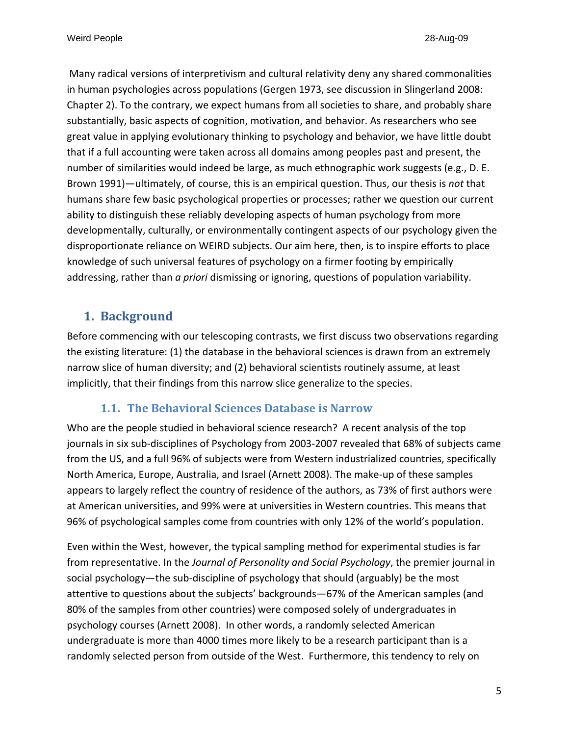Many radical versions of interpretivism and cultural relativity deny any shared commonalities in human psychologies across populations (Gergen 1973, see discussion in Slingerland 2008: Chapter 2). To the contrary, we expect humans from all societies to share, and probably share substantially, basic aspects of cognition, motivation, and behavior. As researchers who see great value in applying evolutionary thinking to psychology and behavior, we have little doubt that if a full accounting were taken across all domains among peoples past and present, the number of similarities would indeed be large, as much ethnographic work suggests (e.g., D. E. Brown 1991)—ultimately, of course, this is an empirical question. Thus, our thesis is *not* that humans share few basic psychological properties or processes; rather we question our current ability to distinguish these reliably developing aspects of human psychology from more developmentally, culturally, or environmentally contingent aspects of our psychology given the disproportionate reliance on WEIRD subjects. Our aim here, then, is to inspire efforts to place knowledge of such universal features of psychology on a firmer footing by empirically addressing, rather than *a priori* dismissing or ignoring, questions of population variability.

# **1. Background**

Before commencing with our telescoping contrasts, we first discuss two observations regarding the existing literature: (1) the database in the behavioral sciences is drawn from an extremely narrow slice of human diversity; and (2) behavioral scientists routinely assume, at least implicitly, that their findings from this narrow slice generalize to the species.

## **1.1. The Behavioral Sciences Database is Narrow**

Who are the people studied in behavioral science research? A recent analysis of the top journals in six sub‐disciplines of Psychology from 2003‐2007 revealed that 68% of subjects came from the US, and a full 96% of subjects were from Western industrialized countries, specifically North America, Europe, Australia, and Israel (Arnett 2008). The make‐up of these samples appears to largely reflect the country of residence of the authors, as 73% of first authors were at American universities, and 99% were at universities in Western countries. This means that 96% of psychological samples come from countries with only 12% of the world's population.

Even within the West, however, the typical sampling method for experimental studies is far from representative. In the *Journal of Personality and Social Psychology*, the premier journal in social psychology—the sub-discipline of psychology that should (arguably) be the most attentive to questions about the subjects' backgrounds—67% of the American samples (and 80% of the samples from other countries) were composed solely of undergraduates in psychology courses (Arnett 2008). In other words, a randomly selected American undergraduate is more than 4000 times more likely to be a research participant than is a randomly selected person from outside of the West. Furthermore, this tendency to rely on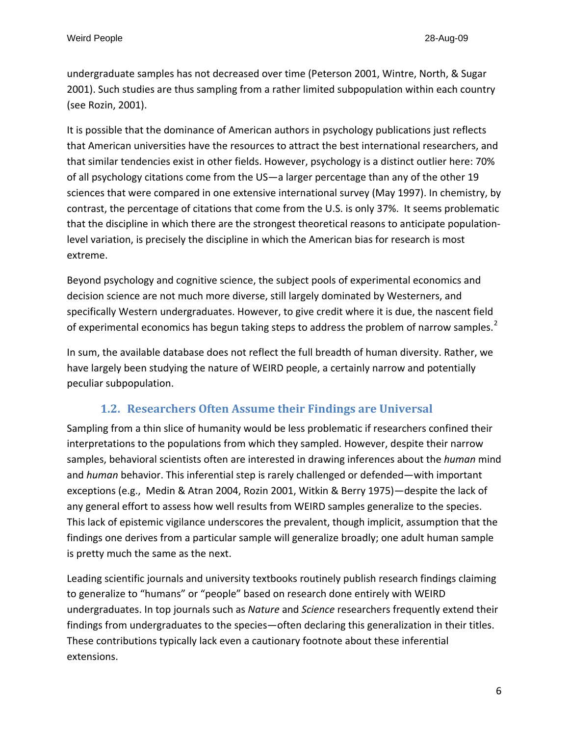undergraduate samples has not decreased over time (Peterson 2001, Wintre, North, & Sugar 2001). Such studies are thus sampling from a rather limited subpopulation within each country (see Rozin, 2001).

It is possible that the dominance of American authors in psychology publications just reflects that American universities have the resources to attract the best international researchers, and that similar tendencies exist in other fields. However, psychology is a distinct outlier here: 70% of all psychology citations come from the US—a larger percentage than any of the other 19 sciences that were compared in one extensive international survey (May 1997). In chemistry, by contrast, the percentage of citations that come from the U.S. is only 37%. It seems problematic that the discipline in which there are the strongest theoretical reasons to anticipate population‐ level variation, is precisely the discipline in which the American bias for research is most extreme.

Beyond psychology and cognitive science, the subject pools of experimental economics and decision science are not much more diverse, still largely dominated by Westerners, and specifically Western undergraduates. However, to give credit where it is due, the nascent field of experimental economics has begun taking steps to address the problem of narrow samples.<sup>[2](#page-66-1)</sup>

In sum, the available database does not reflect the full breadth of human diversity. Rather, we have largely been studying the nature of WEIRD people, a certainly narrow and potentially peculiar subpopulation.

## **1.2. Researchers Often Assume their Findings are Universal**

Sampling from a thin slice of humanity would be less problematic if researchers confined their interpretations to the populations from which they sampled. However, despite their narrow samples, behavioral scientists often are interested in drawing inferences about the *human* mind and *human* behavior. This inferential step is rarely challenged or defended—with important exceptions (e.g., Medin & Atran 2004, Rozin 2001, Witkin & Berry 1975)—despite the lack of any general effort to assess how well results from WEIRD samples generalize to the species. This lack of epistemic vigilance underscores the prevalent, though implicit, assumption that the findings one derives from a particular sample will generalize broadly; one adult human sample is pretty much the same as the next.

Leading scientific journals and university textbooks routinely publish research findings claiming to generalize to "humans" or "people" based on research done entirely with WEIRD undergraduates. In top journals such as *Nature* and *Science* researchers frequently extend their findings from undergraduates to the species—often declaring this generalization in their titles. These contributions typically lack even a cautionary footnote about these inferential extensions.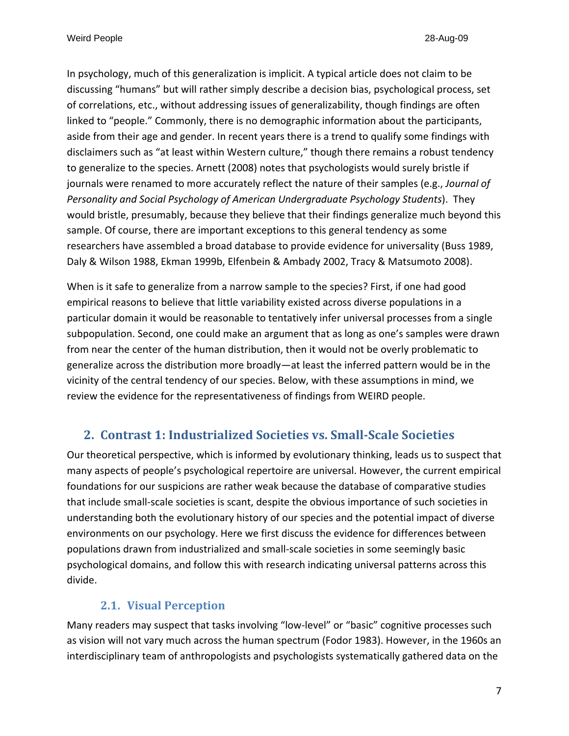In psychology, much of this generalization is implicit. A typical article does not claim to be discussing "humans" but will rather simply describe a decision bias, psychological process, set of correlations, etc., without addressing issues of generalizability, though findings are often linked to "people." Commonly, there is no demographic information about the participants, aside from their age and gender. In recent years there is a trend to qualify some findings with disclaimers such as "at least within Western culture," though there remains a robust tendency to generalize to the species. Arnett (2008) notes that psychologists would surely bristle if journals were renamed to more accurately reflect the nature of their samples (e.g., *Journal of Personality and Social Psychology of American Undergraduate Psychology Students*). They would bristle, presumably, because they believe that their findings generalize much beyond this sample. Of course, there are important exceptions to this general tendency as some researchers have assembled a broad database to provide evidence for universality (Buss 1989, Daly & Wilson 1988, Ekman 1999b, Elfenbein & Ambady 2002, Tracy & Matsumoto 2008).

When is it safe to generalize from a narrow sample to the species? First, if one had good empirical reasons to believe that little variability existed across diverse populations in a particular domain it would be reasonable to tentatively infer universal processes from a single subpopulation. Second, one could make an argument that as long as one's samples were drawn from near the center of the human distribution, then it would not be overly problematic to generalize across the distribution more broadly—at least the inferred pattern would be in the vicinity of the central tendency of our species. Below, with these assumptions in mind, we review the evidence for the representativeness of findings from WEIRD people.

# **2. Contrast 1: Industrialized Societies vs. SmallScale Societies**

Our theoretical perspective, which is informed by evolutionary thinking, leads us to suspect that many aspects of people's psychological repertoire are universal. However, the current empirical foundations for our suspicions are rather weak because the database of comparative studies that include small‐scale societies is scant, despite the obvious importance of such societies in understanding both the evolutionary history of our species and the potential impact of diverse environments on our psychology. Here we first discuss the evidence for differences between populations drawn from industrialized and small‐scale societies in some seemingly basic psychological domains, and follow this with research indicating universal patterns across this divide.

#### **2.1. Visual Perception**

Many readers may suspect that tasks involving "low-level" or "basic" cognitive processes such as vision will not vary much across the human spectrum (Fodor 1983). However, in the 1960s an interdisciplinary team of anthropologists and psychologists systematically gathered data on the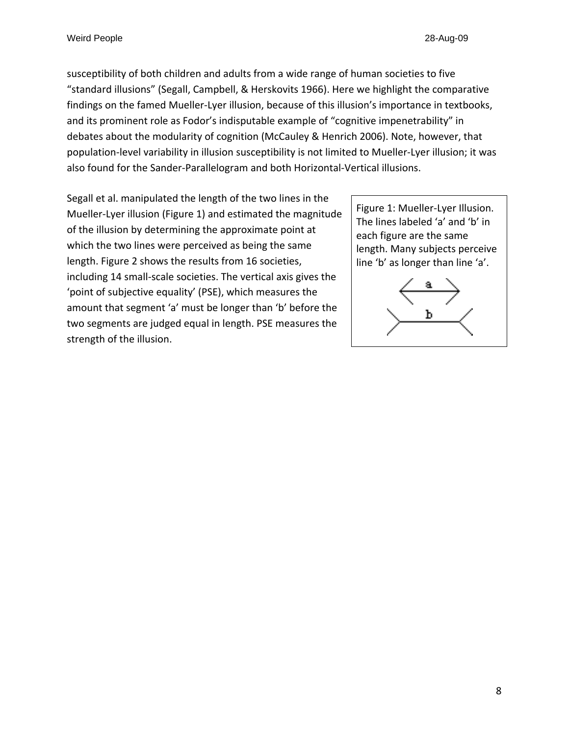susceptibility of both children and adults from a wide range of human societies to five "standard illusions" (Segall, Campbell, & Herskovits 1966). Here we highlight the comparative findings on the famed Mueller‐Lyer illusion, because of this illusion's importance in textbooks, and its prominent role as Fodor's indisputable example of "cognitive impenetrability" in debates about the modularity of cognition (McCauley & Henrich 2006). Note, however, that population‐level variability in illusion susceptibility is not limited to Mueller‐Lyer illusion; it was also found for the Sander‐Parallelogram and both Horizontal‐Vertical illusions.

Segall et al. manipulated the length of the two lines in the Mueller‐Lyer illusion (Figure 1) and estimated the magnitude of the illusion by determining the approximate point at which the two lines were perceived as being the same length. Figure 2 shows the results from 16 societies, including 14 small‐scale societies. The vertical axis gives the 'point of subjective equality' (PSE), which measures the amount that segment 'a' must be longer than 'b' before the two segments are judged equal in length. PSE measures the strength of the illusion.

Figure 1: Mueller‐Lyer Illusion. The lines labeled 'a' and 'b' in each figure are the same length. Many subjects perceive line 'b' as longer than line 'a'.

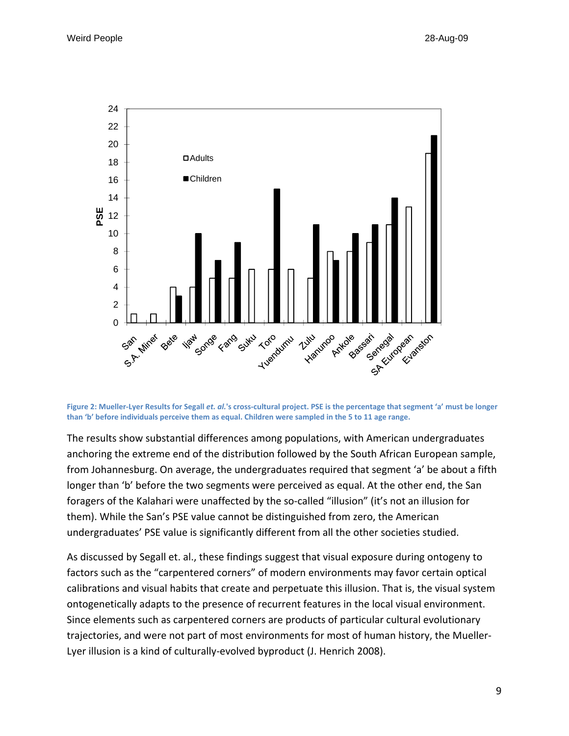

Figure 2: Mueller-Lyer Results for Segall et. al.'s cross-cultural project. PSE is the percentage that segment 'a' must be longer than 'b' before individuals perceive them as equal. Children were sampled in the 5 to 11 age range.

The results show substantial differences among populations, with American undergraduates anchoring the extreme end of the distribution followed by the South African European sample, from Johannesburg. On average, the undergraduates required that segment 'a' be about a fifth longer than 'b' before the two segments were perceived as equal. At the other end, the San foragers of the Kalahari were unaffected by the so-called "illusion" (it's not an illusion for them). While the San's PSE value cannot be distinguished from zero, the American undergraduates' PSE value is significantly different from all the other societies studied.

As discussed by Segall et. al., these findings suggest that visual exposure during ontogeny to factors such as the "carpentered corners" of modern environments may favor certain optical calibrations and visual habits that create and perpetuate this illusion. That is, the visual system ontogenetically adapts to the presence of recurrent features in the local visual environment. Since elements such as carpentered corners are products of particular cultural evolutionary trajectories, and were not part of most environments for most of human history, the Mueller‐ Lyer illusion is a kind of culturally‐evolved byproduct (J. Henrich 2008).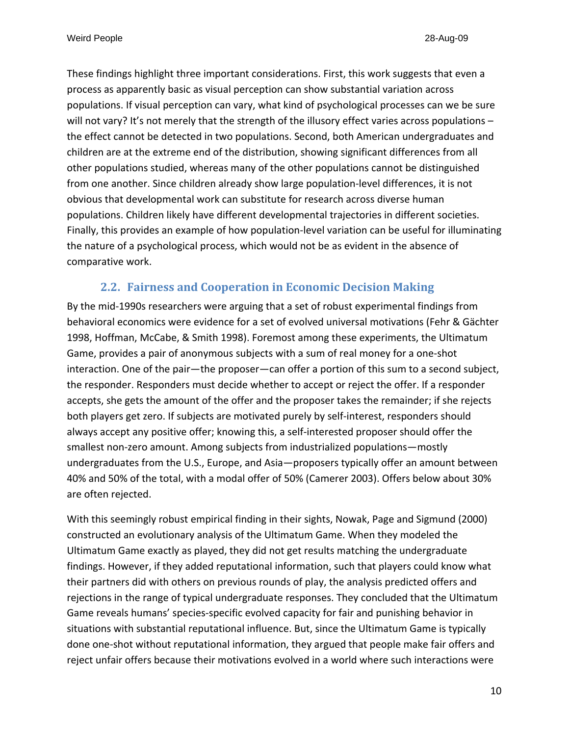These findings highlight three important considerations. First, this work suggests that even a process as apparently basic as visual perception can show substantial variation across populations. If visual perception can vary, what kind of psychological processes can we be sure will not vary? It's not merely that the strength of the illusory effect varies across populations – the effect cannot be detected in two populations. Second, both American undergraduates and children are at the extreme end of the distribution, showing significant differences from all other populations studied, whereas many of the other populations cannot be distinguished from one another. Since children already show large population-level differences, it is not obvious that developmental work can substitute for research across diverse human populations. Children likely have different developmental trajectories in different societies. Finally, this provides an example of how population‐level variation can be useful for illuminating the nature of a psychological process, which would not be as evident in the absence of comparative work.

#### **2.2. Fairness and Cooperation in Economic Decision Making**

By the mid‐1990s researchers were arguing that a set of robust experimental findings from behavioral economics were evidence for a set of evolved universal motivations (Fehr & Gächter 1998, Hoffman, McCabe, & Smith 1998). Foremost among these experiments, the Ultimatum Game, provides a pair of anonymous subjects with a sum of real money for a one‐shot interaction. One of the pair—the proposer—can offer a portion of this sum to a second subject, the responder. Responders must decide whether to accept or reject the offer. If a responder accepts, she gets the amount of the offer and the proposer takes the remainder; if she rejects both players get zero. If subjects are motivated purely by self‐interest, responders should always accept any positive offer; knowing this, a self‐interested proposer should offer the smallest non‐zero amount. Among subjects from industrialized populations—mostly undergraduates from the U.S., Europe, and Asia—proposers typically offer an amount between 40% and 50% of the total, with a modal offer of 50% (Camerer 2003). Offers below about 30% are often rejected.

With this seemingly robust empirical finding in their sights, Nowak, Page and Sigmund (2000) constructed an evolutionary analysis of the Ultimatum Game. When they modeled the Ultimatum Game exactly as played, they did not get results matching the undergraduate findings. However, if they added reputational information, such that players could know what their partners did with others on previous rounds of play, the analysis predicted offers and rejections in the range of typical undergraduate responses. They concluded that the Ultimatum Game reveals humans' species‐specific evolved capacity for fair and punishing behavior in situations with substantial reputational influence. But, since the Ultimatum Game is typically done one‐shot without reputational information, they argued that people make fair offers and reject unfair offers because their motivations evolved in a world where such interactions were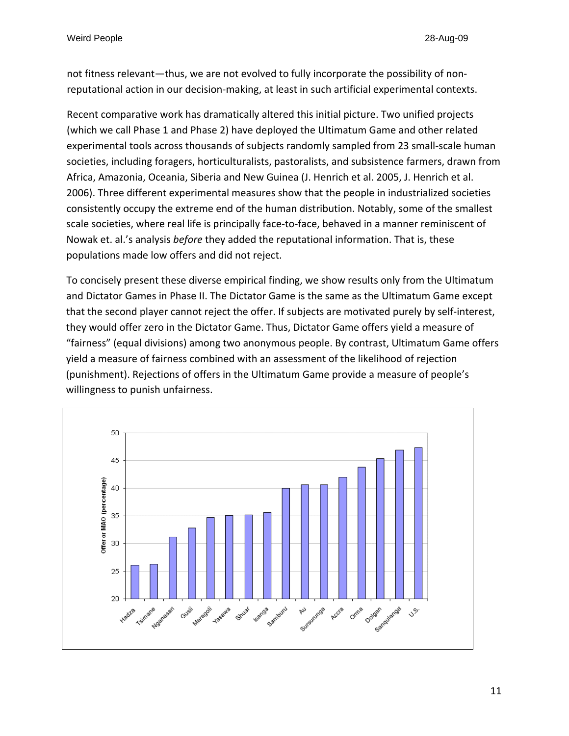not fitness relevant—thus, we are not evolved to fully incorporate the possibility of non‐ reputational action in our decision‐making, at least in such artificial experimental contexts.

Recent comparative work has dramatically altered this initial picture. Two unified projects (which we call Phase 1 and Phase 2) have deployed the Ultimatum Game and other related experimental tools across thousands of subjects randomly sampled from 23 small‐scale human societies, including foragers, horticulturalists, pastoralists, and subsistence farmers, drawn from Africa, Amazonia, Oceania, Siberia and New Guinea (J. Henrich et al. 2005, J. Henrich et al. 2006). Three different experimental measures show that the people in industrialized societies consistently occupy the extreme end of the human distribution. Notably, some of the smallest scale societies, where real life is principally face-to-face, behaved in a manner reminiscent of Nowak et. al.'s analysis *before* they added the reputational information. That is, these populations made low offers and did not reject.

To concisely present these diverse empirical finding, we show results only from the Ultimatum and Dictator Games in Phase II. The Dictator Game is the same as the Ultimatum Game except that the second player cannot reject the offer. If subjects are motivated purely by self‐interest, they would offer zero in the Dictator Game. Thus, Dictator Game offers yield a measure of "fairness" (equal divisions) among two anonymous people. By contrast, Ultimatum Game offers yield a measure of fairness combined with an assessment of the likelihood of rejection (punishment). Rejections of offers in the Ultimatum Game provide a measure of people's willingness to punish unfairness.

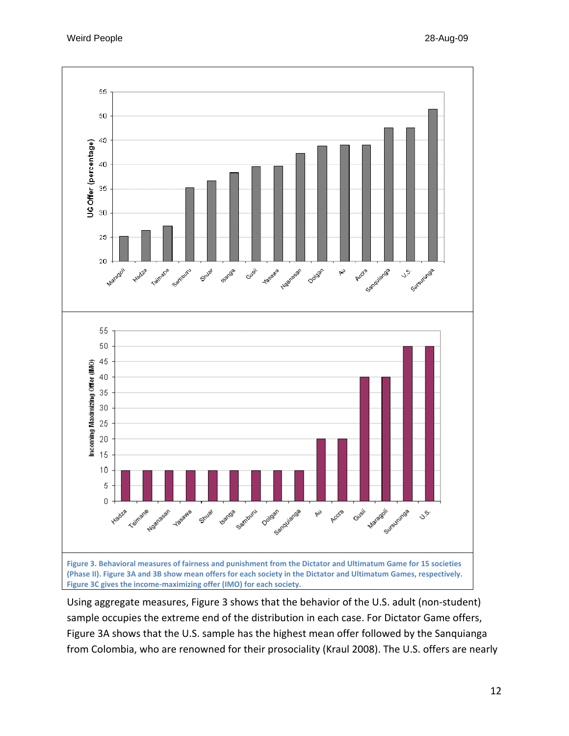

Using aggregate measures, Figure 3 shows that the behavior of the U.S. adult (non‐student) sample occupies the extreme end of the distribution in each case. For Dictator Game offers, Figure 3A shows that the U.S. sample has the highest mean offer followed by the Sanquianga from Colombia, who are renowned for their prosociality (Kraul 2008). The U.S. offers are nearly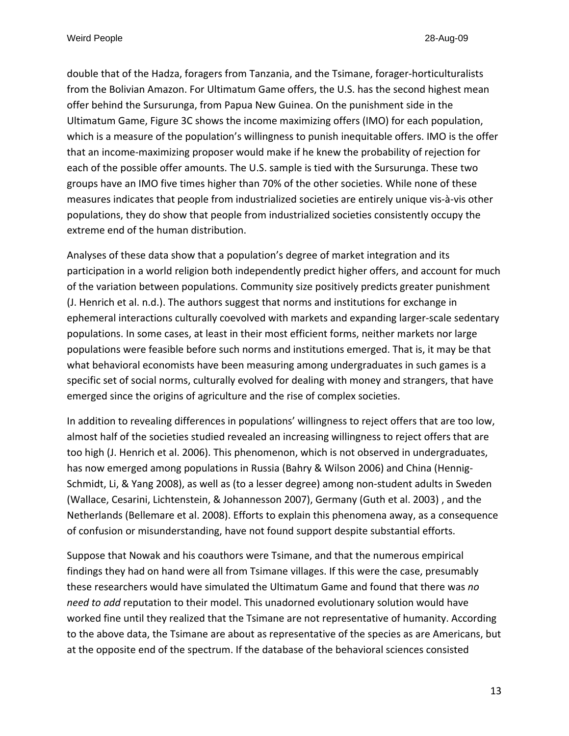double that of the Hadza, foragers from Tanzania, and the Tsimane, forager‐horticulturalists from the Bolivian Amazon. For Ultimatum Game offers, the U.S. has the second highest mean offer behind the Sursurunga, from Papua New Guinea. On the punishment side in the Ultimatum Game, Figure 3C shows the income maximizing offers (IMO) for each population, which is a measure of the population's willingness to punish inequitable offers. IMO is the offer that an income‐maximizing proposer would make if he knew the probability of rejection for each of the possible offer amounts. The U.S. sample is tied with the Sursurunga. These two groups have an IMO five times higher than 70% of the other societies. While none of these measures indicates that people from industrialized societies are entirely unique vis‐à‐vis other populations, they do show that people from industrialized societies consistently occupy the extreme end of the human distribution.

Analyses of these data show that a population's degree of market integration and its participation in a world religion both independently predict higher offers, and account for much of the variation between populations. Community size positively predicts greater punishment (J. Henrich et al. n.d.). The authors suggest that norms and institutions for exchange in ephemeral interactions culturally coevolved with markets and expanding larger‐scale sedentary populations. In some cases, at least in their most efficient forms, neither markets nor large populations were feasible before such norms and institutions emerged. That is, it may be that what behavioral economists have been measuring among undergraduates in such games is a specific set of social norms, culturally evolved for dealing with money and strangers, that have emerged since the origins of agriculture and the rise of complex societies.

In addition to revealing differences in populations' willingness to reject offers that are too low, almost half of the societies studied revealed an increasing willingness to reject offers that are too high (J. Henrich et al. 2006). This phenomenon, which is not observed in undergraduates, has now emerged among populations in Russia (Bahry & Wilson 2006) and China (Hennig‐ Schmidt, Li, & Yang 2008), as well as (to a lesser degree) among non‐student adults in Sweden (Wallace, Cesarini, Lichtenstein, & Johannesson 2007), Germany (Guth et al. 2003) , and the Netherlands (Bellemare et al. 2008). Efforts to explain this phenomena away, as a consequence of confusion or misunderstanding, have not found support despite substantial efforts.

Suppose that Nowak and his coauthors were Tsimane, and that the numerous empirical findings they had on hand were all from Tsimane villages. If this were the case, presumably these researchers would have simulated the Ultimatum Game and found that there was *no need to add* reputation to their model. This unadorned evolutionary solution would have worked fine until they realized that the Tsimane are not representative of humanity. According to the above data, the Tsimane are about as representative of the species as are Americans, but at the opposite end of the spectrum. If the database of the behavioral sciences consisted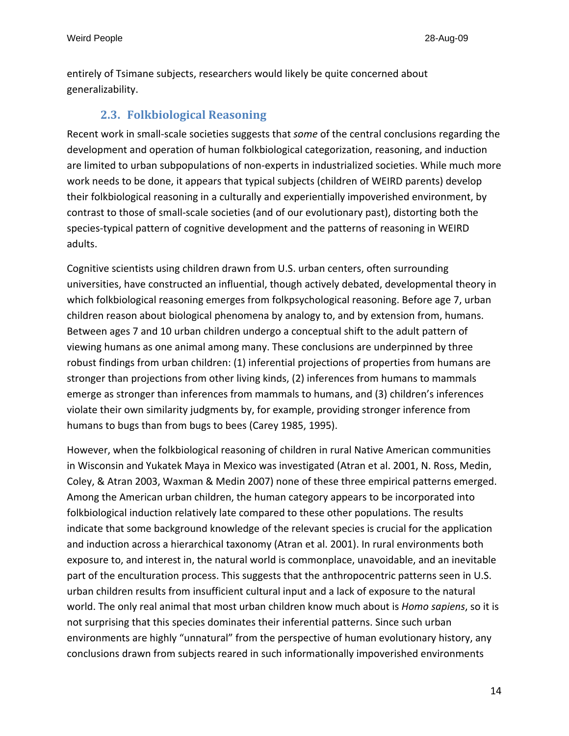entirely of Tsimane subjects, researchers would likely be quite concerned about generalizability.

# **2.3. Folkbiological Reasoning**

Recent work in small‐scale societies suggests that *some* of the central conclusions regarding the development and operation of human folkbiological categorization, reasoning, and induction are limited to urban subpopulations of non-experts in industrialized societies. While much more work needs to be done, it appears that typical subjects (children of WEIRD parents) develop their folkbiological reasoning in a culturally and experientially impoverished environment, by contrast to those of small‐scale societies (and of our evolutionary past), distorting both the species-typical pattern of cognitive development and the patterns of reasoning in WEIRD adults.

Cognitive scientists using children drawn from U.S. urban centers, often surrounding universities, have constructed an influential, though actively debated, developmental theory in which folkbiological reasoning emerges from folkpsychological reasoning. Before age 7, urban children reason about biological phenomena by analogy to, and by extension from, humans. Between ages 7 and 10 urban children undergo a conceptual shift to the adult pattern of viewing humans as one animal among many. These conclusions are underpinned by three robust findings from urban children: (1) inferential projections of properties from humans are stronger than projections from other living kinds, (2) inferences from humans to mammals emerge as stronger than inferences from mammals to humans, and (3) children's inferences violate their own similarity judgments by, for example, providing stronger inference from humans to bugs than from bugs to bees (Carey 1985, 1995).

However, when the folkbiological reasoning of children in rural Native American communities in Wisconsin and Yukatek Maya in Mexico was investigated (Atran et al. 2001, N. Ross, Medin, Coley, & Atran 2003, Waxman & Medin 2007) none of these three empirical patterns emerged. Among the American urban children, the human category appears to be incorporated into folkbiological induction relatively late compared to these other populations. The results indicate that some background knowledge of the relevant species is crucial for the application and induction across a hierarchical taxonomy (Atran et al. 2001). In rural environments both exposure to, and interest in, the natural world is commonplace, unavoidable, and an inevitable part of the enculturation process. This suggests that the anthropocentric patterns seen in U.S. urban children results from insufficient cultural input and a lack of exposure to the natural world. The only real animal that most urban children know much about is *Homo sapiens*, so it is not surprising that this species dominates their inferential patterns. Since such urban environments are highly "unnatural" from the perspective of human evolutionary history, any conclusions drawn from subjects reared in such informationally impoverished environments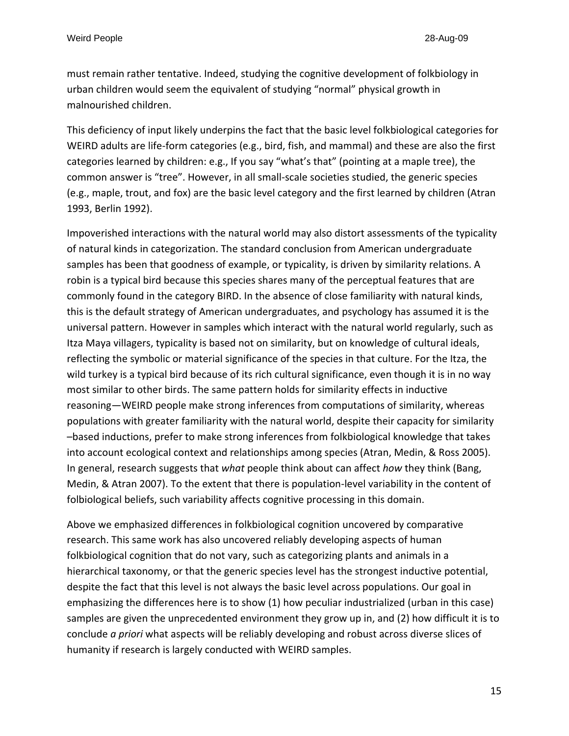must remain rather tentative. Indeed, studying the cognitive development of folkbiology in urban children would seem the equivalent of studying "normal" physical growth in malnourished children.

This deficiency of input likely underpins the fact that the basic level folkbiological categories for WEIRD adults are life-form categories (e.g., bird, fish, and mammal) and these are also the first categories learned by children: e.g., If you say "what's that" (pointing at a maple tree), the common answer is "tree". However, in all small‐scale societies studied, the generic species (e.g., maple, trout, and fox) are the basic level category and the first learned by children (Atran 1993, Berlin 1992).

Impoverished interactions with the natural world may also distort assessments of the typicality of natural kinds in categorization. The standard conclusion from American undergraduate samples has been that goodness of example, or typicality, is driven by similarity relations. A robin is a typical bird because this species shares many of the perceptual features that are commonly found in the category BIRD. In the absence of close familiarity with natural kinds, this is the default strategy of American undergraduates, and psychology has assumed it is the universal pattern. However in samples which interact with the natural world regularly, such as Itza Maya villagers, typicality is based not on similarity, but on knowledge of cultural ideals, reflecting the symbolic or material significance of the species in that culture. For the Itza, the wild turkey is a typical bird because of its rich cultural significance, even though it is in no way most similar to other birds. The same pattern holds for similarity effects in inductive reasoning—WEIRD people make strong inferences from computations of similarity, whereas populations with greater familiarity with the natural world, despite their capacity for similarity –based inductions, prefer to make strong inferences from folkbiological knowledge that takes into account ecological context and relationships among species (Atran, Medin, & Ross 2005). In general, research suggests that *what* people think about can affect *how* they think (Bang, Medin, & Atran 2007). To the extent that there is population‐level variability in the content of folbiological beliefs, such variability affects cognitive processing in this domain.

Above we emphasized differences in folkbiological cognition uncovered by comparative research. This same work has also uncovered reliably developing aspects of human folkbiological cognition that do not vary, such as categorizing plants and animals in a hierarchical taxonomy, or that the generic species level has the strongest inductive potential, despite the fact that this level is not always the basic level across populations. Our goal in emphasizing the differences here is to show (1) how peculiar industrialized (urban in this case) samples are given the unprecedented environment they grow up in, and (2) how difficult it is to conclude *a priori* what aspects will be reliably developing and robust across diverse slices of humanity if research is largely conducted with WEIRD samples.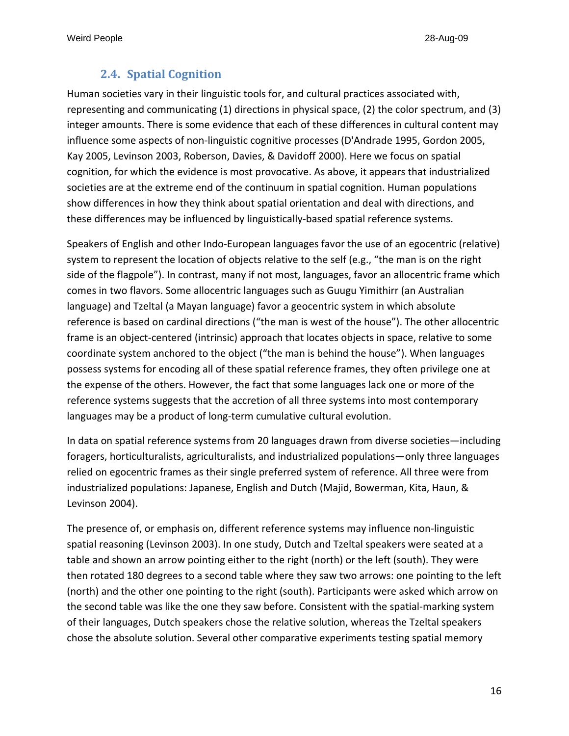# **2.4. Spatial Cognition**

Human societies vary in their linguistic tools for, and cultural practices associated with, representing and communicating (1) directions in physical space, (2) the color spectrum, and (3) integer amounts. There is some evidence that each of these differences in cultural content may influence some aspects of non‐linguistic cognitive processes (D'Andrade 1995, Gordon 2005, Kay 2005, Levinson 2003, Roberson, Davies, & Davidoff 2000). Here we focus on spatial cognition, for which the evidence is most provocative. As above, it appears that industrialized societies are at the extreme end of the continuum in spatial cognition. Human populations show differences in how they think about spatial orientation and deal with directions, and these differences may be influenced by linguistically‐based spatial reference systems.

Speakers of English and other Indo‐European languages favor the use of an egocentric (relative) system to represent the location of objects relative to the self (e.g., "the man is on the right side of the flagpole"). In contrast, many if not most, languages, favor an allocentric frame which comes in two flavors. Some allocentric languages such as Guugu Yimithirr (an Australian language) and Tzeltal (a Mayan language) favor a geocentric system in which absolute reference is based on cardinal directions ("the man is west of the house"). The other allocentric frame is an object-centered (intrinsic) approach that locates objects in space, relative to some coordinate system anchored to the object ("the man is behind the house"). When languages possess systems for encoding all of these spatial reference frames, they often privilege one at the expense of the others. However, the fact that some languages lack one or more of the reference systems suggests that the accretion of all three systems into most contemporary languages may be a product of long‐term cumulative cultural evolution.

In data on spatial reference systems from 20 languages drawn from diverse societies—including foragers, horticulturalists, agriculturalists, and industrialized populations—only three languages relied on egocentric frames as their single preferred system of reference. All three were from industrialized populations: Japanese, English and Dutch (Majid, Bowerman, Kita, Haun, & Levinson 2004).

The presence of, or emphasis on, different reference systems may influence non‐linguistic spatial reasoning (Levinson 2003). In one study, Dutch and Tzeltal speakers were seated at a table and shown an arrow pointing either to the right (north) or the left (south). They were then rotated 180 degrees to a second table where they saw two arrows: one pointing to the left (north) and the other one pointing to the right (south). Participants were asked which arrow on the second table was like the one they saw before. Consistent with the spatial‐marking system of their languages, Dutch speakers chose the relative solution, whereas the Tzeltal speakers chose the absolute solution. Several other comparative experiments testing spatial memory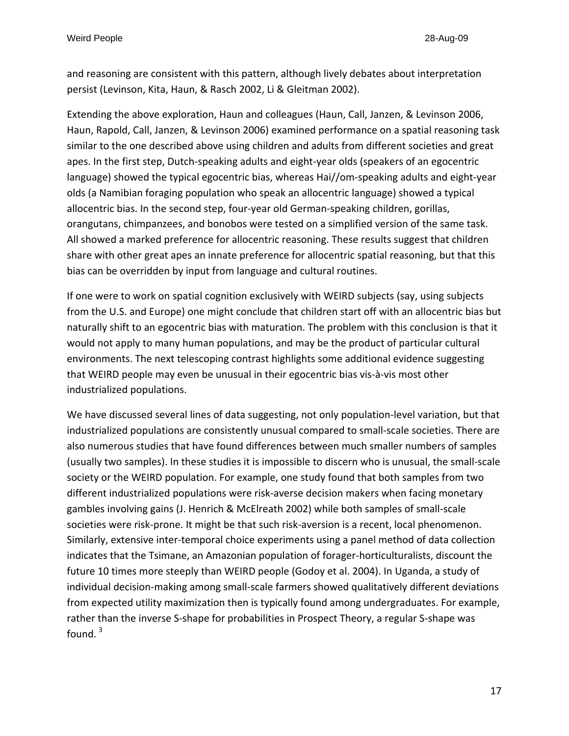and reasoning are consistent with this pattern, although lively debates about interpretation persist (Levinson, Kita, Haun, & Rasch 2002, Li & Gleitman 2002).

Extending the above exploration, Haun and colleagues (Haun, Call, Janzen, & Levinson 2006, Haun, Rapold, Call, Janzen, & Levinson 2006) examined performance on a spatial reasoning task similar to the one described above using children and adults from different societies and great apes. In the first step, Dutch‐speaking adults and eight‐year olds (speakers of an egocentric language) showed the typical egocentric bias, whereas Hai//om‐speaking adults and eight‐year olds (a Namibian foraging population who speak an allocentric language) showed a typical allocentric bias. In the second step, four‐year old German‐speaking children, gorillas, orangutans, chimpanzees, and bonobos were tested on a simplified version of the same task. All showed a marked preference for allocentric reasoning. These results suggest that children share with other great apes an innate preference for allocentric spatial reasoning, but that this bias can be overridden by input from language and cultural routines.

If one were to work on spatial cognition exclusively with WEIRD subjects (say, using subjects from the U.S. and Europe) one might conclude that children start off with an allocentric bias but naturally shift to an egocentric bias with maturation. The problem with this conclusion is that it would not apply to many human populations, and may be the product of particular cultural environments. The next telescoping contrast highlights some additional evidence suggesting that WEIRD people may even be unusual in their egocentric bias vis‐à‐vis most other industrialized populations.

We have discussed several lines of data suggesting, not only population-level variation, but that industrialized populations are consistently unusual compared to small‐scale societies. There are also numerous studies that have found differences between much smaller numbers of samples (usually two samples). In these studies it is impossible to discern who is unusual, the small‐scale society or the WEIRD population. For example, one study found that both samples from two different industrialized populations were risk‐averse decision makers when facing monetary gambles involving gains (J. Henrich & McElreath 2002) while both samples of small‐scale societies were risk‐prone. It might be that such risk‐aversion is a recent, local phenomenon. Similarly, extensive inter‐temporal choice experiments using a panel method of data collection indicates that the Tsimane, an Amazonian population of forager‐horticulturalists, discount the future 10 times more steeply than WEIRD people (Godoy et al. 2004). In Uganda, a study of individual decision‐making among small‐scale farmers showed qualitatively different deviations from expected utility maximization then is typically found among undergraduates. For example, rather than the inverse S-shape for probabilities in Prospect Theory, a regular S-shape was found.  $3$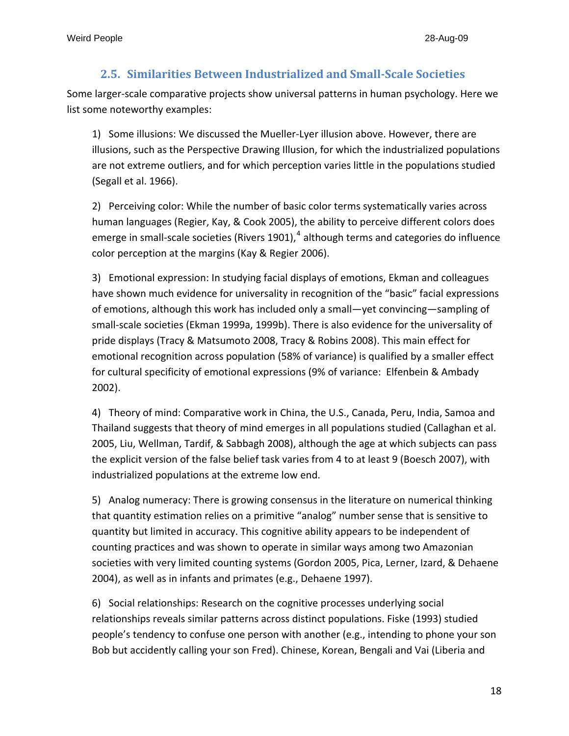#### **2.5. Similarities Between Industrialized and SmallScale Societies**

Some larger‐scale comparative projects show universal patterns in human psychology. Here we list some noteworthy examples:

1) Some illusions: We discussed the Mueller‐Lyer illusion above. However, there are illusions, such as the Perspective Drawing Illusion, for which the industrialized populations are not extreme outliers, and for which perception varies little in the populations studied (Segall et al. 1966).

2) Perceiving color: While the number of basic color terms systematically varies across human languages (Regier, Kay, & Cook 2005), the ability to perceive different colors does emerge in small-scale societies (Rivers 1901), $4$  although terms and categories do influence color perception at the margins (Kay & Regier 2006).

3) Emotional expression: In studying facial displays of emotions, Ekman and colleagues have shown much evidence for universality in recognition of the "basic" facial expressions of emotions, although this work has included only a small—yet convincing—sampling of small-scale societies (Ekman 1999a, 1999b). There is also evidence for the universality of pride displays (Tracy & Matsumoto 2008, Tracy & Robins 2008). This main effect for emotional recognition across population (58% of variance) is qualified by a smaller effect for cultural specificity of emotional expressions (9% of variance: Elfenbein & Ambady 2002).

4) Theory of mind: Comparative work in China, the U.S., Canada, Peru, India, Samoa and Thailand suggests that theory of mind emerges in all populations studied (Callaghan et al. 2005, Liu, Wellman, Tardif, & Sabbagh 2008), although the age at which subjects can pass the explicit version of the false belief task varies from 4 to at least 9 (Boesch 2007), with industrialized populations at the extreme low end.

5) Analog numeracy: There is growing consensus in the literature on numerical thinking that quantity estimation relies on a primitive "analog" number sense that is sensitive to quantity but limited in accuracy. This cognitive ability appears to be independent of counting practices and was shown to operate in similar ways among two Amazonian societies with very limited counting systems (Gordon 2005, Pica, Lerner, Izard, & Dehaene 2004), as well as in infants and primates (e.g., Dehaene 1997).

6) Social relationships: Research on the cognitive processes underlying social relationships reveals similar patterns across distinct populations. Fiske (1993) studied people's tendency to confuse one person with another (e.g., intending to phone your son Bob but accidently calling your son Fred). Chinese, Korean, Bengali and Vai (Liberia and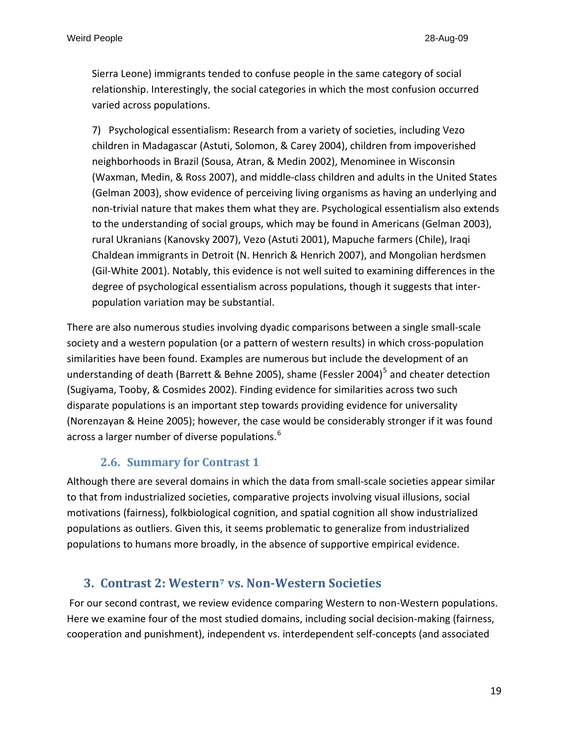Sierra Leone) immigrants tended to confuse people in the same category of social relationship. Interestingly, the social categories in which the most confusion occurred varied across populations.

7) Psychological essentialism: Research from a variety of societies, including Vezo children in Madagascar (Astuti, Solomon, & Carey 2004), children from impoverished neighborhoods in Brazil (Sousa, Atran, & Medin 2002), Menominee in Wisconsin (Waxman, Medin, & Ross 2007), and middle‐class children and adults in the United States (Gelman 2003), show evidence of perceiving living organisms as having an underlying and non‐trivial nature that makes them what they are. Psychological essentialism also extends to the understanding of social groups, which may be found in Americans (Gelman 2003), rural Ukranians (Kanovsky 2007), Vezo (Astuti 2001), Mapuche farmers (Chile), Iraqi Chaldean immigrants in Detroit (N. Henrich & Henrich 2007), and Mongolian herdsmen (Gil‐White 2001). Notably, this evidence is not well suited to examining differences in the degree of psychological essentialism across populations, though it suggests that inter‐ population variation may be substantial.

There are also numerous studies involving dyadic comparisons between a single small‐scale society and a western population (or a pattern of western results) in which cross‐population similarities have been found. Examples are numerous but include the development of an understanding of death (Barrett & Behne 200[5](#page-66-4)), shame (Fessler 2004)<sup>5</sup> and cheater detection (Sugiyama, Tooby, & Cosmides 2002). Finding evidence for similarities across two such disparate populations is an important step towards providing evidence for universality (Norenzayan & Heine 2005); however, the case would be considerably stronger if it was found across a larger number of diverse populations.  $^6$  $^6$ 

#### **2.6. Summary for Contrast 1**

Although there are several domains in which the data from small‐scale societies appear similar to that from industrialized societies, comparative projects involving visual illusions, social motivations (fairness), folkbiological cognition, and spatial cognition all show industrialized populations as outliers. Given this, it seems problematic to generalize from industrialized populations to humans more broadly, in the absence of supportive empirical evidence.

## **3. Contrast 2: Western[7](#page-66-6) vs. NonWestern Societies**

For our second contrast, we review evidence comparing Western to non-Western populations. Here we examine four of the most studied domains, including social decision-making (fairness, cooperation and punishment), independent vs. interdependent self‐concepts (and associated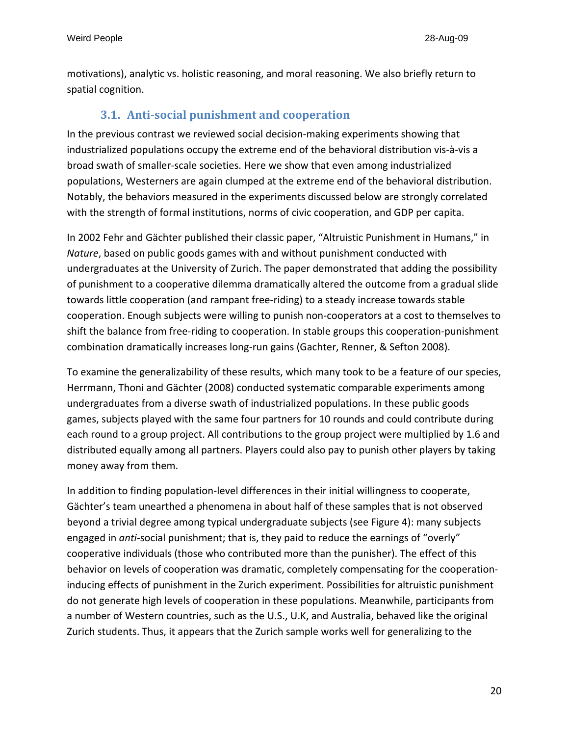motivations), analytic vs. holistic reasoning, and moral reasoning. We also briefly return to spatial cognition.

# **3.1. Antisocial punishment and cooperation**

In the previous contrast we reviewed social decision‐making experiments showing that industrialized populations occupy the extreme end of the behavioral distribution vis‐à‐vis a broad swath of smaller‐scale societies. Here we show that even among industrialized populations, Westerners are again clumped at the extreme end of the behavioral distribution. Notably, the behaviors measured in the experiments discussed below are strongly correlated with the strength of formal institutions, norms of civic cooperation, and GDP per capita.

In 2002 Fehr and Gächter published their classic paper, "Altruistic Punishment in Humans," in *Nature*, based on public goods games with and without punishment conducted with undergraduates at the University of Zurich. The paper demonstrated that adding the possibility of punishment to a cooperative dilemma dramatically altered the outcome from a gradual slide towards little cooperation (and rampant free‐riding) to a steady increase towards stable cooperation. Enough subjects were willing to punish non‐cooperators at a cost to themselves to shift the balance from free‐riding to cooperation. In stable groups this cooperation‐punishment combination dramatically increases long‐run gains (Gachter, Renner, & Sefton 2008).

To examine the generalizability of these results, which many took to be a feature of our species, Herrmann, Thoni and Gächter (2008) conducted systematic comparable experiments among undergraduates from a diverse swath of industrialized populations. In these public goods games, subjects played with the same four partners for 10 rounds and could contribute during each round to a group project. All contributions to the group project were multiplied by 1.6 and distributed equally among all partners. Players could also pay to punish other players by taking money away from them.

In addition to finding population‐level differences in their initial willingness to cooperate, Gächter's team unearthed a phenomena in about half of these samples that is not observed beyond a trivial degree among typical undergraduate subjects (see Figure 4): many subjects engaged in *anti*‐social punishment; that is, they paid to reduce the earnings of "overly" cooperative individuals (those who contributed more than the punisher). The effect of this behavior on levels of cooperation was dramatic, completely compensating for the cooperation‐ inducing effects of punishment in the Zurich experiment. Possibilities for altruistic punishment do not generate high levels of cooperation in these populations. Meanwhile, participants from a number of Western countries, such as the U.S., U.K, and Australia, behaved like the original Zurich students. Thus, it appears that the Zurich sample works well for generalizing to the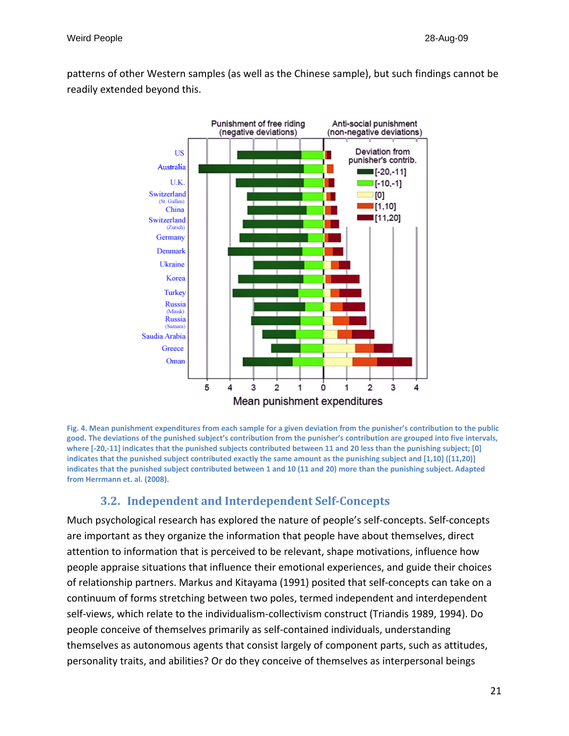patterns of other Western samples (as well as the Chinese sample), but such findings cannot be readily extended beyond this.



Fig. 4. Mean punishment expenditures from each sample for a given deviation from the punisher's contribution to the public good. The deviations of the punished subject's contribution from the punisher's contribution are grouped into five intervals, where [-20,-11] indicates that the punished subjects contributed between 11 and 20 less than the punishing subject; [0] indicates that the punished subject contributed exactly the same amount as the punishing subject and [1,10] ([11,20]] indicates that the punished subject contributed between 1 and 10 (11 and 20) more than the punishing subject. Adapted **from Herrmann et. al. (2008).** 

## **3.2. Independent and Interdependent SelfConcepts**

Much psychological research has explored the nature of people's self‐concepts. Self‐concepts are important as they organize the information that people have about themselves, direct attention to information that is perceived to be relevant, shape motivations, influence how people appraise situations that influence their emotional experiences, and guide their choices of relationship partners. Markus and Kitayama (1991) posited that self‐concepts can take on a continuum of forms stretching between two poles, termed independent and interdependent self-views, which relate to the individualism-collectivism construct (Triandis 1989, 1994). Do people conceive of themselves primarily as self‐contained individuals, understanding themselves as autonomous agents that consist largely of component parts, such as attitudes, personality traits, and abilities? Or do they conceive of themselves as interpersonal beings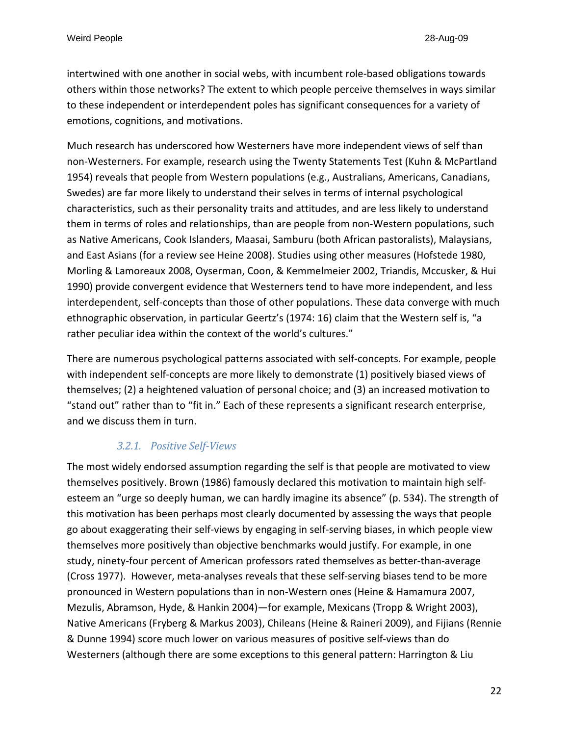intertwined with one another in social webs, with incumbent role‐based obligations towards others within those networks? The extent to which people perceive themselves in ways similar to these independent or interdependent poles has significant consequences for a variety of emotions, cognitions, and motivations.

Much research has underscored how Westerners have more independent views of self than non‐Westerners. For example, research using the Twenty Statements Test (Kuhn & McPartland 1954) reveals that people from Western populations (e.g., Australians, Americans, Canadians, Swedes) are far more likely to understand their selves in terms of internal psychological characteristics, such as their personality traits and attitudes, and are less likely to understand them in terms of roles and relationships, than are people from non‐Western populations, such as Native Americans, Cook Islanders, Maasai, Samburu (both African pastoralists), Malaysians, and East Asians (for a review see Heine 2008). Studies using other measures (Hofstede 1980, Morling & Lamoreaux 2008, Oyserman, Coon, & Kemmelmeier 2002, Triandis, Mccusker, & Hui 1990) provide convergent evidence that Westerners tend to have more independent, and less interdependent, self-concepts than those of other populations. These data converge with much ethnographic observation, in particular Geertz's (1974: 16) claim that the Western self is, "a rather peculiar idea within the context of the world's cultures."

There are numerous psychological patterns associated with self-concepts. For example, people with independent self-concepts are more likely to demonstrate (1) positively biased views of themselves; (2) a heightened valuation of personal choice; and (3) an increased motivation to "stand out" rather than to "fit in." Each of these represents a significant research enterprise, and we discuss them in turn.

#### *3.2.1. Positive SelfViews*

The most widely endorsed assumption regarding the self is that people are motivated to view themselves positively. Brown (1986) famously declared this motivation to maintain high self‐ esteem an "urge so deeply human, we can hardly imagine its absence" (p. 534). The strength of this motivation has been perhaps most clearly documented by assessing the ways that people go about exaggerating their self‐views by engaging in self‐serving biases, in which people view themselves more positively than objective benchmarks would justify. For example, in one study, ninety‐four percent of American professors rated themselves as better‐than‐average (Cross 1977). However, meta‐analyses reveals that these self‐serving biases tend to be more pronounced in Western populations than in non‐Western ones (Heine & Hamamura 2007, Mezulis, Abramson, Hyde, & Hankin 2004)—for example, Mexicans (Tropp & Wright 2003), Native Americans (Fryberg & Markus 2003), Chileans (Heine & Raineri 2009), and Fijians (Rennie & Dunne 1994) score much lower on various measures of positive self‐views than do Westerners (although there are some exceptions to this general pattern: Harrington & Liu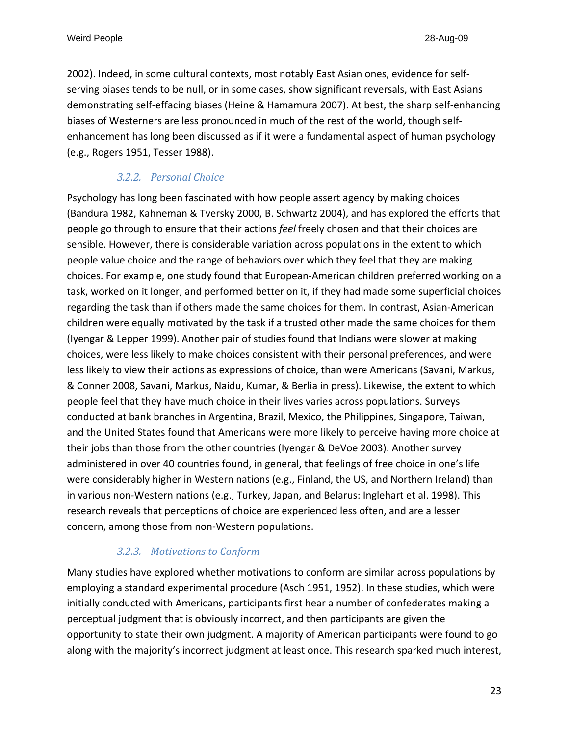2002). Indeed, in some cultural contexts, most notably East Asian ones, evidence for self‐ serving biases tends to be null, or in some cases, show significant reversals, with East Asians demonstrating self‐effacing biases (Heine & Hamamura 2007). At best, the sharp self‐enhancing biases of Westerners are less pronounced in much of the rest of the world, though self‐ enhancement has long been discussed as if it were a fundamental aspect of human psychology (e.g., Rogers 1951, Tesser 1988).

#### *3.2.2. Personal Choice*

Psychology has long been fascinated with how people assert agency by making choices (Bandura 1982, Kahneman & Tversky 2000, B. Schwartz 2004), and has explored the efforts that people go through to ensure that their actions *feel* freely chosen and that their choices are sensible. However, there is considerable variation across populations in the extent to which people value choice and the range of behaviors over which they feel that they are making choices. For example, one study found that European‐American children preferred working on a task, worked on it longer, and performed better on it, if they had made some superficial choices regarding the task than if others made the same choices for them. In contrast, Asian‐American children were equally motivated by the task if a trusted other made the same choices for them (Iyengar & Lepper 1999). Another pair of studies found that Indians were slower at making choices, were less likely to make choices consistent with their personal preferences, and were less likely to view their actions as expressions of choice, than were Americans (Savani, Markus, & Conner 2008, Savani, Markus, Naidu, Kumar, & Berlia in press). Likewise, the extent to which people feel that they have much choice in their lives varies across populations. Surveys conducted at bank branches in Argentina, Brazil, Mexico, the Philippines, Singapore, Taiwan, and the United States found that Americans were more likely to perceive having more choice at their jobs than those from the other countries (Iyengar & DeVoe 2003). Another survey administered in over 40 countries found, in general, that feelings of free choice in one's life were considerably higher in Western nations (e.g., Finland, the US, and Northern Ireland) than in various non‐Western nations (e.g., Turkey, Japan, and Belarus: Inglehart et al. 1998). This research reveals that perceptions of choice are experienced less often, and are a lesser concern, among those from non‐Western populations.

#### *3.2.3. Motivations to Conform*

Many studies have explored whether motivations to conform are similar across populations by employing a standard experimental procedure (Asch 1951, 1952). In these studies, which were initially conducted with Americans, participants first hear a number of confederates making a perceptual judgment that is obviously incorrect, and then participants are given the opportunity to state their own judgment. A majority of American participants were found to go along with the majority's incorrect judgment at least once. This research sparked much interest,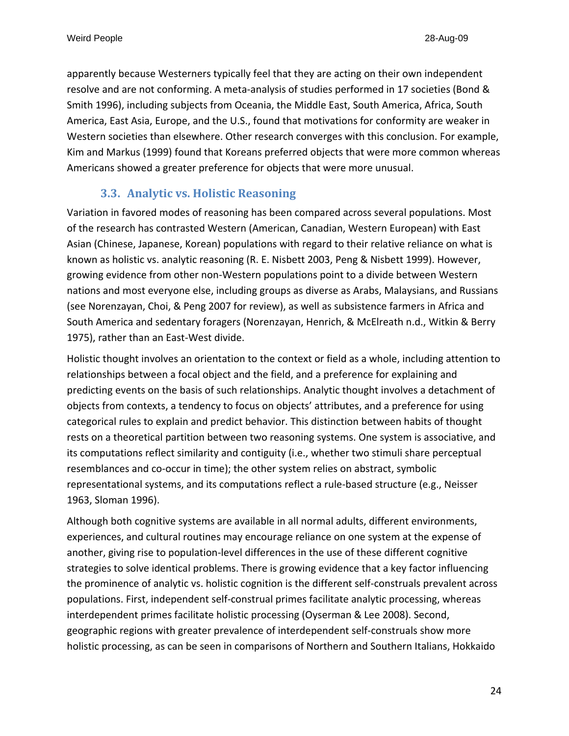apparently because Westerners typically feel that they are acting on their own independent resolve and are not conforming. A meta‐analysis of studies performed in 17 societies (Bond & Smith 1996), including subjects from Oceania, the Middle East, South America, Africa, South America, East Asia, Europe, and the U.S., found that motivations for conformity are weaker in Western societies than elsewhere. Other research converges with this conclusion. For example, Kim and Markus (1999) found that Koreans preferred objects that were more common whereas Americans showed a greater preference for objects that were more unusual.

# **3.3. Analytic vs. Holistic Reasoning**

Variation in favored modes of reasoning has been compared across several populations. Most of the research has contrasted Western (American, Canadian, Western European) with East Asian (Chinese, Japanese, Korean) populations with regard to their relative reliance on what is known as holistic vs. analytic reasoning (R. E. Nisbett 2003, Peng & Nisbett 1999). However, growing evidence from other non‐Western populations point to a divide between Western nations and most everyone else, including groups as diverse as Arabs, Malaysians, and Russians (see Norenzayan, Choi, & Peng 2007 for review), as well as subsistence farmers in Africa and South America and sedentary foragers (Norenzayan, Henrich, & McElreath n.d., Witkin & Berry 1975), rather than an East‐West divide.

Holistic thought involves an orientation to the context or field as a whole, including attention to relationships between a focal object and the field, and a preference for explaining and predicting events on the basis of such relationships. Analytic thought involves a detachment of objects from contexts, a tendency to focus on objects' attributes, and a preference for using categorical rules to explain and predict behavior. This distinction between habits of thought rests on a theoretical partition between two reasoning systems. One system is associative, and its computations reflect similarity and contiguity (i.e., whether two stimuli share perceptual resemblances and co-occur in time); the other system relies on abstract, symbolic representational systems, and its computations reflect a rule‐based structure (e.g., Neisser 1963, Sloman 1996).

Although both cognitive systems are available in all normal adults, different environments, experiences, and cultural routines may encourage reliance on one system at the expense of another, giving rise to population‐level differences in the use of these different cognitive strategies to solve identical problems. There is growing evidence that a key factor influencing the prominence of analytic vs. holistic cognition is the different self‐construals prevalent across populations. First, independent self‐construal primes facilitate analytic processing, whereas interdependent primes facilitate holistic processing (Oyserman & Lee 2008). Second, geographic regions with greater prevalence of interdependent self‐construals show more holistic processing, as can be seen in comparisons of Northern and Southern Italians, Hokkaido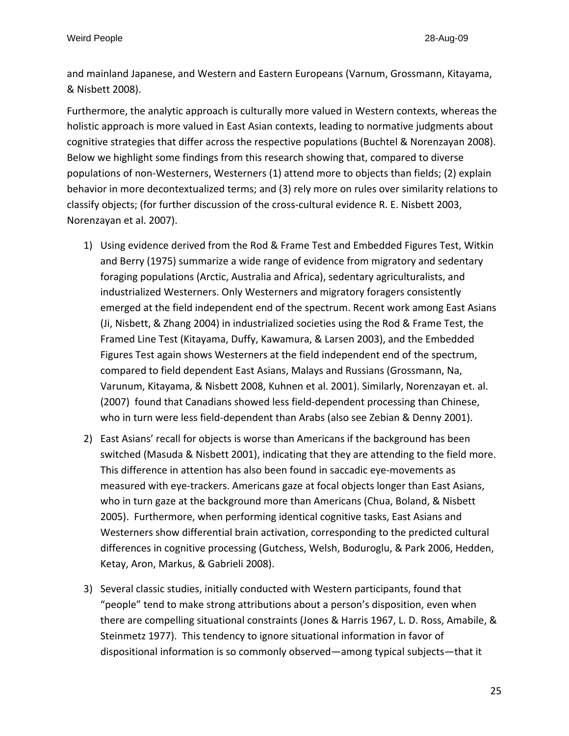and mainland Japanese, and Western and Eastern Europeans (Varnum, Grossmann, Kitayama, & Nisbett 2008).

Furthermore, the analytic approach is culturally more valued in Western contexts, whereas the holistic approach is more valued in East Asian contexts, leading to normative judgments about cognitive strategies that differ across the respective populations (Buchtel & Norenzayan 2008). Below we highlight some findings from this research showing that, compared to diverse populations of non‐Westerners, Westerners (1) attend more to objects than fields; (2) explain behavior in more decontextualized terms; and (3) rely more on rules over similarity relations to classify objects; (for further discussion of the cross‐cultural evidence R. E. Nisbett 2003, Norenzayan et al. 2007).

- 1) Using evidence derived from the Rod & Frame Test and Embedded Figures Test, Witkin and Berry (1975) summarize a wide range of evidence from migratory and sedentary foraging populations (Arctic, Australia and Africa), sedentary agriculturalists, and industrialized Westerners. Only Westerners and migratory foragers consistently emerged at the field independent end of the spectrum. Recent work among East Asians (Ji, Nisbett, & Zhang 2004) in industrialized societies using the Rod & Frame Test, the Framed Line Test (Kitayama, Duffy, Kawamura, & Larsen 2003), and the Embedded Figures Test again shows Westerners at the field independent end of the spectrum, compared to field dependent East Asians, Malays and Russians (Grossmann, Na, Varunum, Kitayama, & Nisbett 2008, Kuhnen et al. 2001). Similarly, Norenzayan et. al. (2007) found that Canadians showed less field‐dependent processing than Chinese, who in turn were less field‐dependent than Arabs (also see Zebian & Denny 2001).
- 2) East Asians' recall for objects is worse than Americans if the background has been switched (Masuda & Nisbett 2001), indicating that they are attending to the field more. This difference in attention has also been found in saccadic eye‐movements as measured with eye‐trackers. Americans gaze at focal objects longer than East Asians, who in turn gaze at the background more than Americans (Chua, Boland, & Nisbett 2005). Furthermore, when performing identical cognitive tasks, East Asians and Westerners show differential brain activation, corresponding to the predicted cultural differences in cognitive processing (Gutchess, Welsh, Boduroglu, & Park 2006, Hedden, Ketay, Aron, Markus, & Gabrieli 2008).
- 3) Several classic studies, initially conducted with Western participants, found that "people" tend to make strong attributions about a person's disposition, even when there are compelling situational constraints (Jones & Harris 1967, L. D. Ross, Amabile, & Steinmetz 1977). This tendency to ignore situational information in favor of dispositional information is so commonly observed—among typical subjects—that it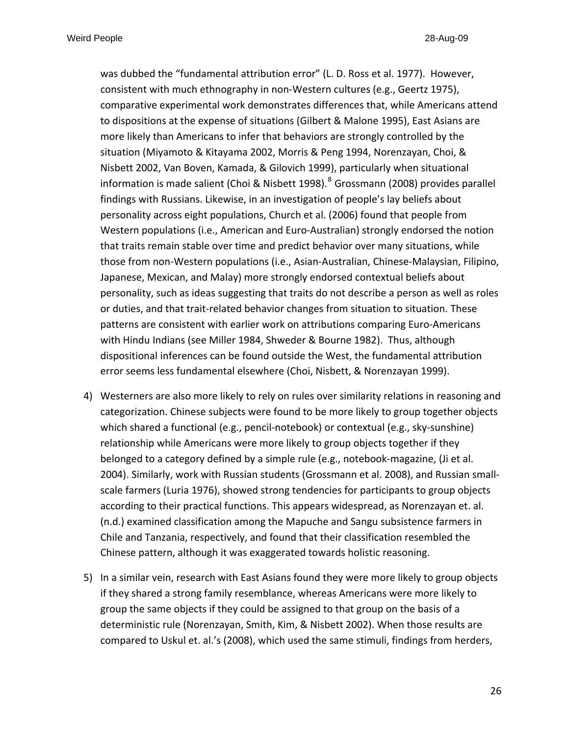was dubbed the "fundamental attribution error" (L. D. Ross et al. 1977). However, consistent with much ethnography in non‐Western cultures (e.g., Geertz 1975), comparative experimental work demonstrates differences that, while Americans attend to dispositions at the expense of situations (Gilbert & Malone 1995), East Asians are more likely than Americans to infer that behaviors are strongly controlled by the situation (Miyamoto & Kitayama 2002, Morris & Peng 1994, Norenzayan, Choi, & Nisbett 2002, Van Boven, Kamada, & Gilovich 1999), particularly when situational information is made salient (Choi & Nisbett 199[8](#page-66-7)).<sup>8</sup> Grossmann (2008) provides parallel findings with Russians. Likewise, in an investigation of people's lay beliefs about personality across eight populations, Church et al. (2006) found that people from Western populations (i.e., American and Euro-Australian) strongly endorsed the notion that traits remain stable over time and predict behavior over many situations, while those from non‐Western populations (i.e., Asian‐Australian, Chinese‐Malaysian, Filipino, Japanese, Mexican, and Malay) more strongly endorsed contextual beliefs about personality, such as ideas suggesting that traits do not describe a person as well as roles or duties, and that trait‐related behavior changes from situation to situation. These patterns are consistent with earlier work on attributions comparing Euro‐Americans with Hindu Indians (see Miller 1984, Shweder & Bourne 1982). Thus, although dispositional inferences can be found outside the West, the fundamental attribution error seems less fundamental elsewhere (Choi, Nisbett, & Norenzayan 1999).

- 4) Westerners are also more likely to rely on rules over similarity relations in reasoning and categorization. Chinese subjects were found to be more likely to group together objects which shared a functional (e.g., pencil‐notebook) or contextual (e.g., sky‐sunshine) relationship while Americans were more likely to group objects together if they belonged to a category defined by a simple rule (e.g., notebook‐magazine, (Ji et al. 2004). Similarly, work with Russian students (Grossmann et al. 2008), and Russian small‐ scale farmers (Luria 1976), showed strong tendencies for participants to group objects according to their practical functions. This appears widespread, as Norenzayan et. al. (n.d.) examined classification among the Mapuche and Sangu subsistence farmers in Chile and Tanzania, respectively, and found that their classification resembled the Chinese pattern, although it was exaggerated towards holistic reasoning.
- 5) In a similar vein, research with East Asians found they were more likely to group objects if they shared a strong family resemblance, whereas Americans were more likely to group the same objects if they could be assigned to that group on the basis of a deterministic rule (Norenzayan, Smith, Kim, & Nisbett 2002). When those results are compared to Uskul et. al.'s (2008), which used the same stimuli, findings from herders,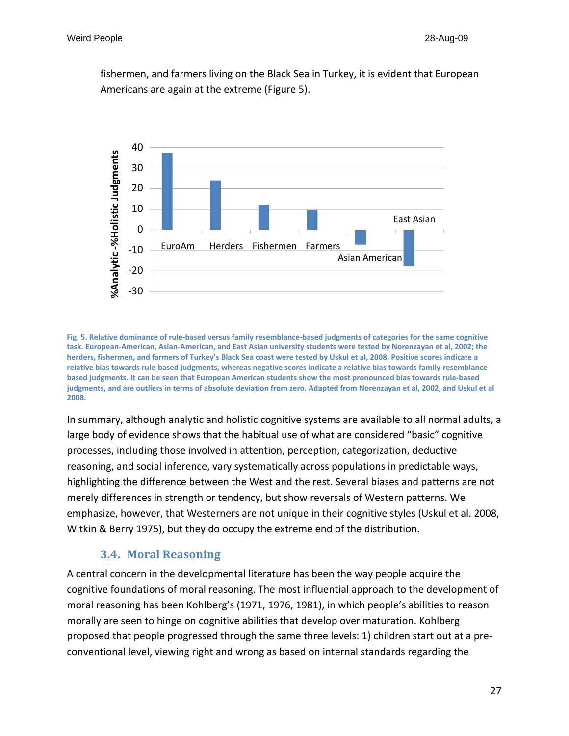fishermen, and farmers living on the Black Sea in Turkey, it is evident that European Americans are again at the extreme (Figure 5).



Fig. 5. Relative dominance of rule-based versus family resemblance-based judgments of categories for the same cognitive task. European-American, Asian-American, and East Asian university students were tested by Norenzayan et al, 2002; the herders, fishermen, and farmers of Turkey's Black Sea coast were tested by Uskul et al, 2008. Positive scores indicate a relative bias towards rule-based judgments, whereas negative scores indicate a relative bias towards family-resemblance based judgments. It can be seen that European American students show the most pronounced bias towards rule-based judgments, and are outliers in terms of absolute deviation from zero. Adapted from Norenzayan et al, 2002, and Uskul et al **2008.** 

In summary, although analytic and holistic cognitive systems are available to all normal adults, a large body of evidence shows that the habitual use of what are considered "basic" cognitive processes, including those involved in attention, perception, categorization, deductive reasoning, and social inference, vary systematically across populations in predictable ways, highlighting the difference between the West and the rest. Several biases and patterns are not merely differences in strength or tendency, but show reversals of Western patterns. We emphasize, however, that Westerners are not unique in their cognitive styles (Uskul et al. 2008, Witkin & Berry 1975), but they do occupy the extreme end of the distribution.

#### **3.4. Moral Reasoning**

A central concern in the developmental literature has been the way people acquire the cognitive foundations of moral reasoning. The most influential approach to the development of moral reasoning has been Kohlberg's (1971, 1976, 1981), in which people's abilities to reason morally are seen to hinge on cognitive abilities that develop over maturation. Kohlberg proposed that people progressed through the same three levels: 1) children start out at a pre‐ conventional level, viewing right and wrong as based on internal standards regarding the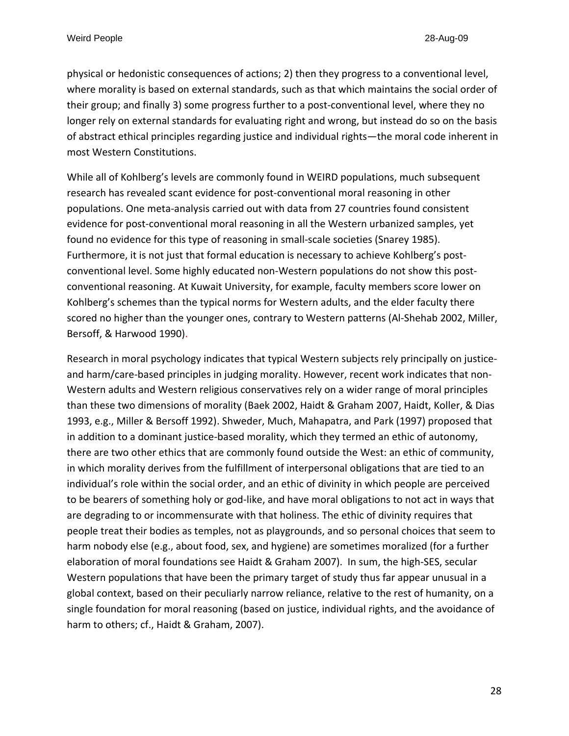physical or hedonistic consequences of actions; 2) then they progress to a conventional level, where morality is based on external standards, such as that which maintains the social order of their group; and finally 3) some progress further to a post‐conventional level, where they no longer rely on external standards for evaluating right and wrong, but instead do so on the basis of abstract ethical principles regarding justice and individual rights—the moral code inherent in most Western Constitutions.

While all of Kohlberg's levels are commonly found in WEIRD populations, much subsequent research has revealed scant evidence for post‐conventional moral reasoning in other populations. One meta‐analysis carried out with data from 27 countries found consistent evidence for post-conventional moral reasoning in all the Western urbanized samples, yet found no evidence for this type of reasoning in small‐scale societies (Snarey 1985). Furthermore, it is not just that formal education is necessary to achieve Kohlberg's post‐ conventional level. Some highly educated non‐Western populations do not show this post‐ conventional reasoning. At Kuwait University, for example, faculty members score lower on Kohlberg's schemes than the typical norms for Western adults, and the elder faculty there scored no higher than the younger ones, contrary to Western patterns (Al-Shehab 2002, Miller, Bersoff, & Harwood 1990).

Research in moral psychology indicates that typical Western subjects rely principally on justice‐ and harm/care-based principles in judging morality. However, recent work indicates that non-Western adults and Western religious conservatives rely on a wider range of moral principles than these two dimensions of morality (Baek 2002, Haidt & Graham 2007, Haidt, Koller, & Dias 1993, e.g., Miller & Bersoff 1992). Shweder, Much, Mahapatra, and Park (1997) proposed that in addition to a dominant justice‐based morality, which they termed an ethic of autonomy, there are two other ethics that are commonly found outside the West: an ethic of community, in which morality derives from the fulfillment of interpersonal obligations that are tied to an individual's role within the social order, and an ethic of divinity in which people are perceived to be bearers of something holy or god‐like, and have moral obligations to not act in ways that are degrading to or incommensurate with that holiness. The ethic of divinity requires that people treat their bodies as temples, not as playgrounds, and so personal choices that seem to harm nobody else (e.g., about food, sex, and hygiene) are sometimes moralized (for a further elaboration of moral foundations see Haidt & Graham 2007). In sum, the high‐SES, secular Western populations that have been the primary target of study thus far appear unusual in a global context, based on their peculiarly narrow reliance, relative to the rest of humanity, on a single foundation for moral reasoning (based on justice, individual rights, and the avoidance of harm to others; cf., Haidt & Graham, 2007).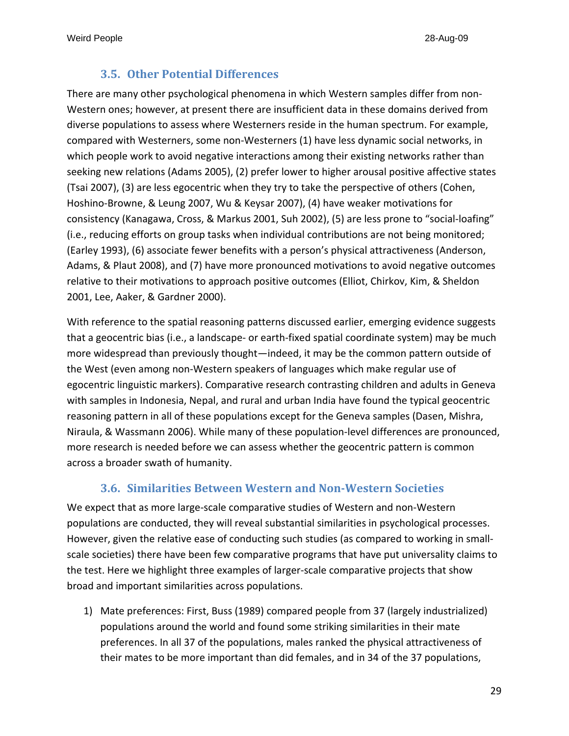#### **3.5. Other Potential Differences**

There are many other psychological phenomena in which Western samples differ from non‐ Western ones; however, at present there are insufficient data in these domains derived from diverse populations to assess where Westerners reside in the human spectrum. For example, compared with Westerners, some non‐Westerners (1) have less dynamic social networks, in which people work to avoid negative interactions among their existing networks rather than seeking new relations (Adams 2005), (2) prefer lower to higher arousal positive affective states (Tsai 2007), (3) are less egocentric when they try to take the perspective of others (Cohen, Hoshino‐Browne, & Leung 2007, Wu & Keysar 2007), (4) have weaker motivations for consistency (Kanagawa, Cross, & Markus 2001, Suh 2002), (5) are less prone to "social‐loafing" (i.e., reducing efforts on group tasks when individual contributions are not being monitored; (Earley 1993), (6) associate fewer benefits with a person's physical attractiveness (Anderson, Adams, & Plaut 2008), and (7) have more pronounced motivations to avoid negative outcomes relative to their motivations to approach positive outcomes (Elliot, Chirkov, Kim, & Sheldon 2001, Lee, Aaker, & Gardner 2000).

With reference to the spatial reasoning patterns discussed earlier, emerging evidence suggests that a geocentric bias (i.e., a landscape‐ or earth‐fixed spatial coordinate system) may be much more widespread than previously thought—indeed, it may be the common pattern outside of the West (even among non‐Western speakers of languages which make regular use of egocentric linguistic markers). Comparative research contrasting children and adults in Geneva with samples in Indonesia, Nepal, and rural and urban India have found the typical geocentric reasoning pattern in all of these populations except for the Geneva samples (Dasen, Mishra, Niraula, & Wassmann 2006). While many of these population‐level differences are pronounced, more research is needed before we can assess whether the geocentric pattern is common across a broader swath of humanity.

## **3.6. Similarities Between Western and NonWestern Societies**

We expect that as more large-scale comparative studies of Western and non-Western populations are conducted, they will reveal substantial similarities in psychological processes. However, given the relative ease of conducting such studies (as compared to working in small‐ scale societies) there have been few comparative programs that have put universality claims to the test. Here we highlight three examples of larger‐scale comparative projects that show broad and important similarities across populations.

1) Mate preferences: First, Buss (1989) compared people from 37 (largely industrialized) populations around the world and found some striking similarities in their mate preferences. In all 37 of the populations, males ranked the physical attractiveness of their mates to be more important than did females, and in 34 of the 37 populations,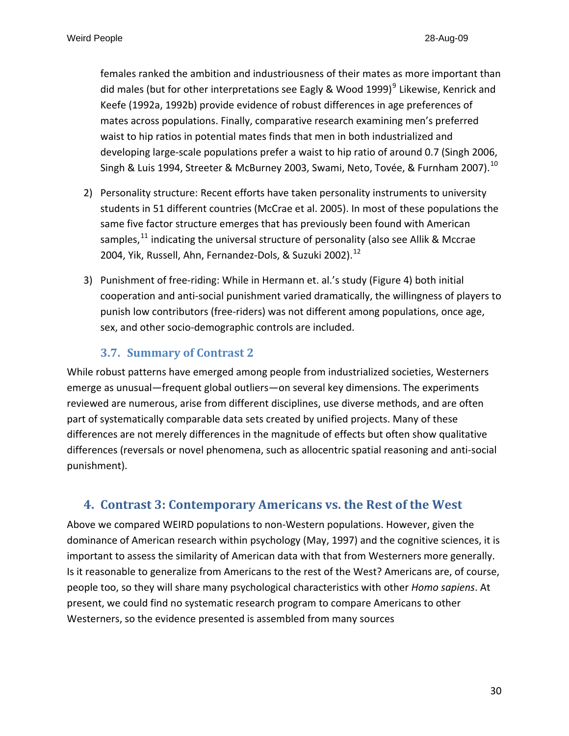females ranked the ambition and industriousness of their mates as more important than did males (but for other interpretations see Eagly & Wood 1[9](#page-66-8)99)<sup>9</sup> Likewise, Kenrick and Keefe (1992a, 1992b) provide evidence of robust differences in age preferences of mates across populations. Finally, comparative research examining men's preferred waist to hip ratios in potential mates finds that men in both industrialized and developing large‐scale populations prefer a waist to hip ratio of around 0.7 (Singh 2006, Singh & Luis 1994, Streeter & McBurney 2003, Swami, Neto, Tovée, & Furnham 2007). $^{10}$  $^{10}$  $^{10}$ 

- 2) Personality structure: Recent efforts have taken personality instruments to university students in 51 different countries (McCrae et al. 2005). In most of these populations the same five factor structure emerges that has previously been found with American samples,  $^{11}$  $^{11}$  $^{11}$  indicating the universal structure of personality (also see Allik & Mccrae 2004, Yik, Russell, Ahn, Fernandez-Dols, & Suzuki 2002).<sup>[12](#page-67-0)</sup>
- 3) Punishment of free‐riding: While in Hermann et. al.'s study (Figure 4) both initial cooperation and anti‐social punishment varied dramatically, the willingness of players to punish low contributors (free‐riders) was not different among populations, once age, sex, and other socio‐demographic controls are included.

# **3.7. Summary of Contrast 2**

While robust patterns have emerged among people from industrialized societies, Westerners emerge as unusual—frequent global outliers—on several key dimensions. The experiments reviewed are numerous, arise from different disciplines, use diverse methods, and are often part of systematically comparable data sets created by unified projects. Many of these differences are not merely differences in the magnitude of effects but often show qualitative differences (reversals or novel phenomena, such as allocentric spatial reasoning and anti‐social punishment).

# **4. Contrast 3: Contemporary Americans vs. the Rest of the West**

Above we compared WEIRD populations to non‐Western populations. However, given the dominance of American research within psychology (May, 1997) and the cognitive sciences, it is important to assess the similarity of American data with that from Westerners more generally. Is it reasonable to generalize from Americans to the rest of the West? Americans are, of course, people too, so they will share many psychological characteristics with other *Homo sapiens*. At present, we could find no systematic research program to compare Americans to other Westerners, so the evidence presented is assembled from many sources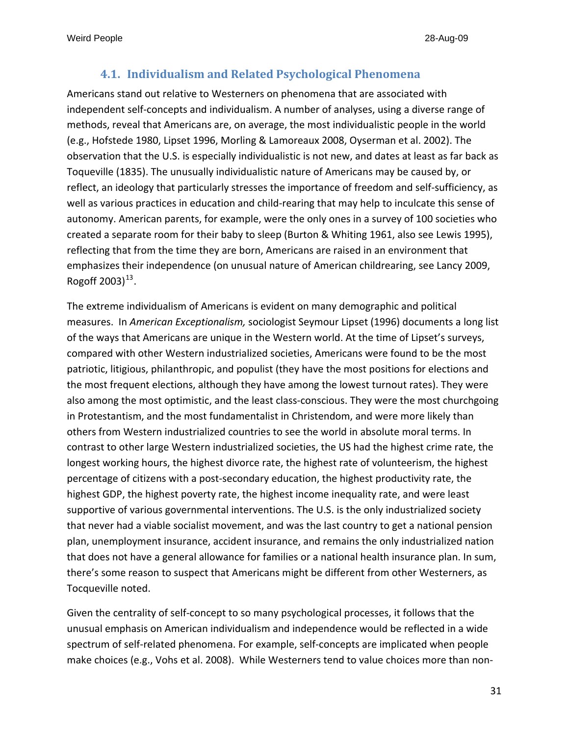#### **4.1. Individualism and Related Psychological Phenomena**

Americans stand out relative to Westerners on phenomena that are associated with independent self‐concepts and individualism. A number of analyses, using a diverse range of methods, reveal that Americans are, on average, the most individualistic people in the world (e.g., Hofstede 1980, Lipset 1996, Morling & Lamoreaux 2008, Oyserman et al. 2002). The observation that the U.S. is especially individualistic is not new, and dates at least as far back as Toqueville (1835). The unusually individualistic nature of Americans may be caused by, or reflect, an ideology that particularly stresses the importance of freedom and self‐sufficiency, as well as various practices in education and child-rearing that may help to inculcate this sense of autonomy. American parents, for example, were the only ones in a survey of 100 societies who created a separate room for their baby to sleep (Burton & Whiting 1961, also see Lewis 1995), reflecting that from the time they are born, Americans are raised in an environment that emphasizes their independence (on unusual nature of American childrearing, see Lancy 2009, Rogoff  $2003$ <sup>[13](#page-67-1)</sup>.

The extreme individualism of Americans is evident on many demographic and political measures. In *American Exceptionalism,* sociologist Seymour Lipset (1996) documents a long list of the ways that Americans are unique in the Western world. At the time of Lipset's surveys, compared with other Western industrialized societies, Americans were found to be the most patriotic, litigious, philanthropic, and populist (they have the most positions for elections and the most frequent elections, although they have among the lowest turnout rates). They were also among the most optimistic, and the least class‐conscious. They were the most churchgoing in Protestantism, and the most fundamentalist in Christendom, and were more likely than others from Western industrialized countries to see the world in absolute moral terms. In contrast to other large Western industrialized societies, the US had the highest crime rate, the longest working hours, the highest divorce rate, the highest rate of volunteerism, the highest percentage of citizens with a post‐secondary education, the highest productivity rate, the highest GDP, the highest poverty rate, the highest income inequality rate, and were least supportive of various governmental interventions. The U.S. is the only industrialized society that never had a viable socialist movement, and was the last country to get a national pension plan, unemployment insurance, accident insurance, and remains the only industrialized nation that does not have a general allowance for families or a national health insurance plan. In sum, there's some reason to suspect that Americans might be different from other Westerners, as Tocqueville noted.

Given the centrality of self‐concept to so many psychological processes, it follows that the unusual emphasis on American individualism and independence would be reflected in a wide spectrum of self‐related phenomena. For example, self‐concepts are implicated when people make choices (e.g., Vohs et al. 2008). While Westerners tend to value choices more than non‐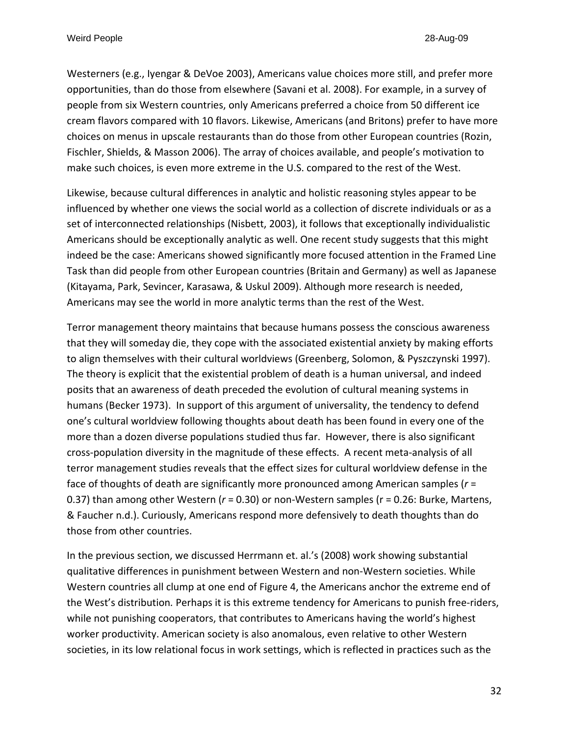Westerners (e.g., Iyengar & DeVoe 2003), Americans value choices more still, and prefer more opportunities, than do those from elsewhere (Savani et al. 2008). For example, in a survey of people from six Western countries, only Americans preferred a choice from 50 different ice cream flavors compared with 10 flavors. Likewise, Americans (and Britons) prefer to have more choices on menus in upscale restaurants than do those from other European countries (Rozin, Fischler, Shields, & Masson 2006). The array of choices available, and people's motivation to make such choices, is even more extreme in the U.S. compared to the rest of the West.

Likewise, because cultural differences in analytic and holistic reasoning styles appear to be influenced by whether one views the social world as a collection of discrete individuals or as a set of interconnected relationships (Nisbett, 2003), it follows that exceptionally individualistic Americans should be exceptionally analytic as well. One recent study suggests that this might indeed be the case: Americans showed significantly more focused attention in the Framed Line Task than did people from other European countries (Britain and Germany) as well as Japanese (Kitayama, Park, Sevincer, Karasawa, & Uskul 2009). Although more research is needed, Americans may see the world in more analytic terms than the rest of the West.

Terror management theory maintains that because humans possess the conscious awareness that they will someday die, they cope with the associated existential anxiety by making efforts to align themselves with their cultural worldviews (Greenberg, Solomon, & Pyszczynski 1997). The theory is explicit that the existential problem of death is a human universal, and indeed posits that an awareness of death preceded the evolution of cultural meaning systems in humans (Becker 1973). In support of this argument of universality, the tendency to defend one's cultural worldview following thoughts about death has been found in every one of the more than a dozen diverse populations studied thus far. However, there is also significant cross‐population diversity in the magnitude of these effects. A recent meta‐analysis of all terror management studies reveals that the effect sizes for cultural worldview defense in the face of thoughts of death are significantly more pronounced among American samples (*r* = 0.37) than among other Western (*r* = 0.30) or non‐Western samples (r = 0.26: Burke, Martens, & Faucher n.d.). Curiously, Americans respond more defensively to death thoughts than do those from other countries.

In the previous section, we discussed Herrmann et. al.'s (2008) work showing substantial qualitative differences in punishment between Western and non‐Western societies. While Western countries all clump at one end of Figure 4, the Americans anchor the extreme end of the West's distribution*.* Perhaps it is this extreme tendency for Americans to punish free‐riders, while not punishing cooperators, that contributes to Americans having the world's highest worker productivity. American society is also anomalous, even relative to other Western societies, in its low relational focus in work settings, which is reflected in practices such as the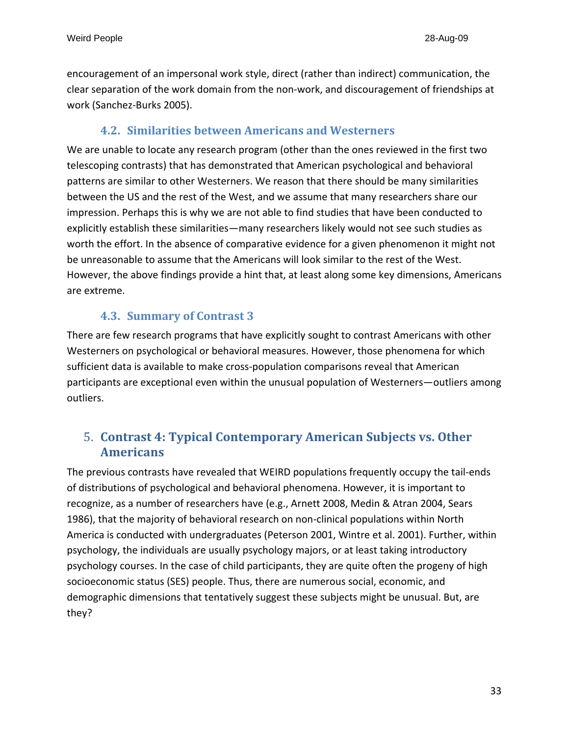encouragement of an impersonal work style, direct (rather than indirect) communication, the clear separation of the work domain from the non‐work, and discouragement of friendships at work (Sanchez‐Burks 2005).

# **4.2. Similarities between Americans and Westerners**

We are unable to locate any research program (other than the ones reviewed in the first two telescoping contrasts) that has demonstrated that American psychological and behavioral patterns are similar to other Westerners. We reason that there should be many similarities between the US and the rest of the West, and we assume that many researchers share our impression. Perhaps this is why we are not able to find studies that have been conducted to explicitly establish these similarities—many researchers likely would not see such studies as worth the effort. In the absence of comparative evidence for a given phenomenon it might not be unreasonable to assume that the Americans will look similar to the rest of the West. However, the above findings provide a hint that, at least along some key dimensions, Americans are extreme.

# **4.3. Summary of Contrast 3**

There are few research programs that have explicitly sought to contrast Americans with other Westerners on psychological or behavioral measures. However, those phenomena for which sufficient data is available to make cross-population comparisons reveal that American participants are exceptional even within the unusual population of Westerners—outliers among outliers.

# 5. **Contrast 4: Typical Contemporary American Subjects vs. Other Americans**

The previous contrasts have revealed that WEIRD populations frequently occupy the tail‐ends of distributions of psychological and behavioral phenomena. However, it is important to recognize, as a number of researchers have (e.g., Arnett 2008, Medin & Atran 2004, Sears 1986), that the majority of behavioral research on non‐clinical populations within North America is conducted with undergraduates (Peterson 2001, Wintre et al. 2001). Further, within psychology, the individuals are usually psychology majors, or at least taking introductory psychology courses. In the case of child participants, they are quite often the progeny of high socioeconomic status (SES) people. Thus, there are numerous social, economic, and demographic dimensions that tentatively suggest these subjects might be unusual. But, are they?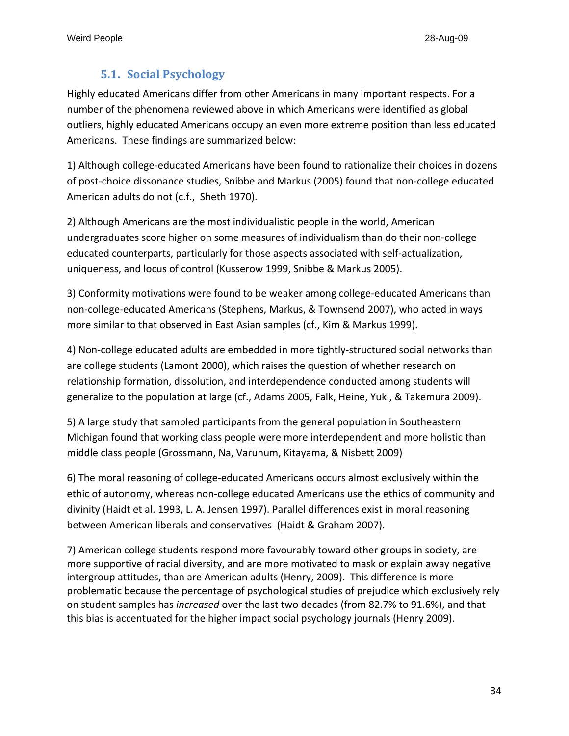# **5.1. Social Psychology**

Highly educated Americans differ from other Americans in many important respects. For a number of the phenomena reviewed above in which Americans were identified as global outliers, highly educated Americans occupy an even more extreme position than less educated Americans. These findings are summarized below:

1) Although college‐educated Americans have been found to rationalize their choices in dozens of post‐choice dissonance studies, Snibbe and Markus (2005) found that non‐college educated American adults do not (c.f., Sheth 1970).

2) Although Americans are the most individualistic people in the world, American undergraduates score higher on some measures of individualism than do their non‐college educated counterparts, particularly for those aspects associated with self‐actualization, uniqueness, and locus of control (Kusserow 1999, Snibbe & Markus 2005).

3) Conformity motivations were found to be weaker among college‐educated Americans than non‐college‐educated Americans (Stephens, Markus, & Townsend 2007), who acted in ways more similar to that observed in East Asian samples (cf., Kim & Markus 1999).

4) Non-college educated adults are embedded in more tightly-structured social networks than are college students (Lamont 2000), which raises the question of whether research on relationship formation, dissolution, and interdependence conducted among students will generalize to the population at large (cf., Adams 2005, Falk, Heine, Yuki, & Takemura 2009).

5) A large study that sampled participants from the general population in Southeastern Michigan found that working class people were more interdependent and more holistic than middle class people (Grossmann, Na, Varunum, Kitayama, & Nisbett 2009)

6) The moral reasoning of college‐educated Americans occurs almost exclusively within the ethic of autonomy, whereas non‐college educated Americans use the ethics of community and divinity (Haidt et al. 1993, L. A. Jensen 1997). Parallel differences exist in moral reasoning between American liberals and conservatives (Haidt & Graham 2007).

7) American college students respond more favourably toward other groups in society, are more supportive of racial diversity, and are more motivated to mask or explain away negative intergroup attitudes, than are American adults (Henry, 2009). This difference is more problematic because the percentage of psychological studies of prejudice which exclusively rely on student samples has *increased* over the last two decades (from 82.7% to 91.6%), and that this bias is accentuated for the higher impact social psychology journals (Henry 2009).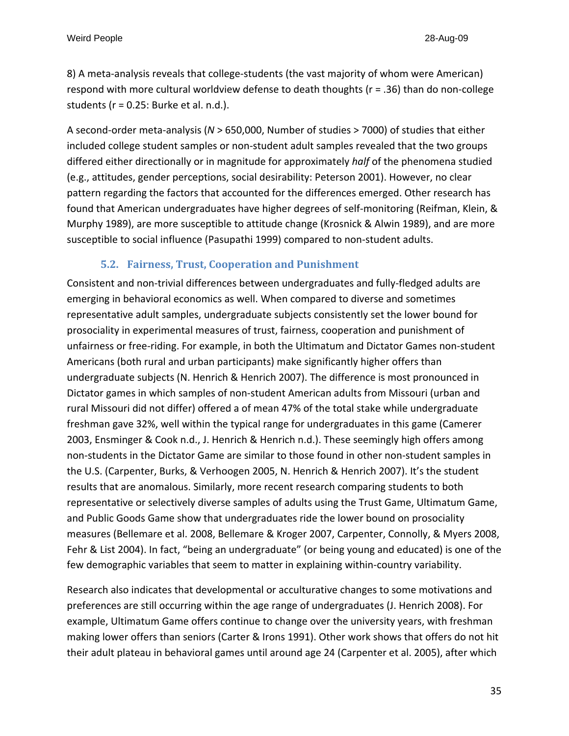8) A meta‐analysis reveals that college‐students (the vast majority of whom were American) respond with more cultural worldview defense to death thoughts (r = .36) than do non‐college students ( $r = 0.25$ : Burke et al. n.d.).

A second‐order meta‐analysis (*N* > 650,000, Number of studies > 7000) of studies that either included college student samples or non‐student adult samples revealed that the two groups differed either directionally or in magnitude for approximately *half* of the phenomena studied (e.g., attitudes, gender perceptions, social desirability: Peterson 2001). However, no clear pattern regarding the factors that accounted for the differences emerged. Other research has found that American undergraduates have higher degrees of self‐monitoring (Reifman, Klein, & Murphy 1989), are more susceptible to attitude change (Krosnick & Alwin 1989), and are more susceptible to social influence (Pasupathi 1999) compared to non‐student adults.

#### **5.2. Fairness, Trust, Cooperation and Punishment**

Consistent and non‐trivial differences between undergraduates and fully‐fledged adults are emerging in behavioral economics as well. When compared to diverse and sometimes representative adult samples, undergraduate subjects consistently set the lower bound for prosociality in experimental measures of trust, fairness, cooperation and punishment of unfairness or free‐riding. For example, in both the Ultimatum and Dictator Games non‐student Americans (both rural and urban participants) make significantly higher offers than undergraduate subjects (N. Henrich & Henrich 2007). The difference is most pronounced in Dictator games in which samples of non‐student American adults from Missouri (urban and rural Missouri did not differ) offered a of mean 47% of the total stake while undergraduate freshman gave 32%, well within the typical range for undergraduates in this game (Camerer 2003, Ensminger & Cook n.d., J. Henrich & Henrich n.d.). These seemingly high offers among non‐students in the Dictator Game are similar to those found in other non‐student samples in the U.S. (Carpenter, Burks, & Verhoogen 2005, N. Henrich & Henrich 2007). It's the student results that are anomalous. Similarly, more recent research comparing students to both representative or selectively diverse samples of adults using the Trust Game, Ultimatum Game, and Public Goods Game show that undergraduates ride the lower bound on prosociality measures (Bellemare et al. 2008, Bellemare & Kroger 2007, Carpenter, Connolly, & Myers 2008, Fehr & List 2004). In fact, "being an undergraduate" (or being young and educated) is one of the few demographic variables that seem to matter in explaining within‐country variability.

Research also indicates that developmental or acculturative changes to some motivations and preferences are still occurring within the age range of undergraduates (J. Henrich 2008). For example, Ultimatum Game offers continue to change over the university years, with freshman making lower offers than seniors (Carter & Irons 1991). Other work shows that offers do not hit their adult plateau in behavioral games until around age 24 (Carpenter et al. 2005), after which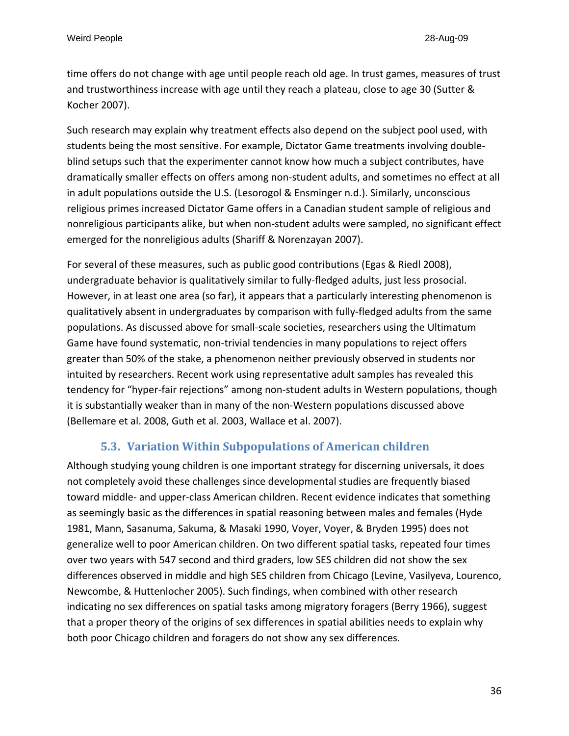time offers do not change with age until people reach old age. In trust games, measures of trust and trustworthiness increase with age until they reach a plateau, close to age 30 (Sutter & Kocher 2007).

Such research may explain why treatment effects also depend on the subject pool used, with students being the most sensitive. For example, Dictator Game treatments involving double‐ blind setups such that the experimenter cannot know how much a subject contributes, have dramatically smaller effects on offers among non‐student adults, and sometimes no effect at all in adult populations outside the U.S. (Lesorogol & Ensminger n.d.). Similarly, unconscious religious primes increased Dictator Game offers in a Canadian student sample of religious and nonreligious participants alike, but when non‐student adults were sampled, no significant effect emerged for the nonreligious adults (Shariff & Norenzayan 2007).

For several of these measures, such as public good contributions (Egas & Riedl 2008), undergraduate behavior is qualitatively similar to fully‐fledged adults, just less prosocial. However, in at least one area (so far), it appears that a particularly interesting phenomenon is qualitatively absent in undergraduates by comparison with fully‐fledged adults from the same populations. As discussed above for small‐scale societies, researchers using the Ultimatum Game have found systematic, non-trivial tendencies in many populations to reject offers greater than 50% of the stake, a phenomenon neither previously observed in students nor intuited by researchers. Recent work using representative adult samples has revealed this tendency for "hyper‐fair rejections" among non‐student adults in Western populations, though it is substantially weaker than in many of the non‐Western populations discussed above (Bellemare et al. 2008, Guth et al. 2003, Wallace et al. 2007).

## **5.3. Variation Within Subpopulations of American children**

Although studying young children is one important strategy for discerning universals, it does not completely avoid these challenges since developmental studies are frequently biased toward middle‐ and upper‐class American children. Recent evidence indicates that something as seemingly basic as the differences in spatial reasoning between males and females (Hyde 1981, Mann, Sasanuma, Sakuma, & Masaki 1990, Voyer, Voyer, & Bryden 1995) does not generalize well to poor American children. On two different spatial tasks, repeated four times over two years with 547 second and third graders, low SES children did not show the sex differences observed in middle and high SES children from Chicago (Levine, Vasilyeva, Lourenco, Newcombe, & Huttenlocher 2005). Such findings, when combined with other research indicating no sex differences on spatial tasks among migratory foragers (Berry 1966), suggest that a proper theory of the origins of sex differences in spatial abilities needs to explain why both poor Chicago children and foragers do not show any sex differences.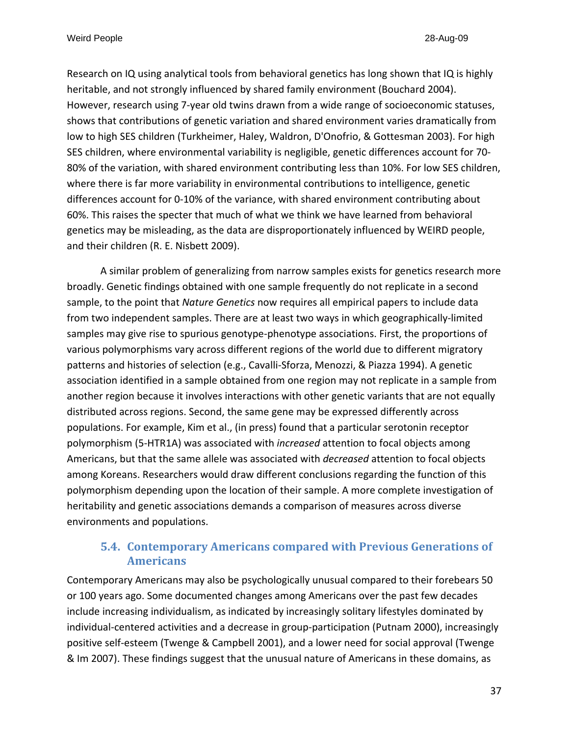Research on IQ using analytical tools from behavioral genetics has long shown that IQ is highly heritable, and not strongly influenced by shared family environment (Bouchard 2004). However, research using 7‐year old twins drawn from a wide range of socioeconomic statuses, shows that contributions of genetic variation and shared environment varies dramatically from low to high SES children (Turkheimer, Haley, Waldron, D'Onofrio, & Gottesman 2003). For high SES children, where environmental variability is negligible, genetic differences account for 70‐ 80% of the variation, with shared environment contributing less than 10%. For low SES children, where there is far more variability in environmental contributions to intelligence, genetic differences account for 0‐10% of the variance, with shared environment contributing about 60%. This raises the specter that much of what we think we have learned from behavioral genetics may be misleading, as the data are disproportionately influenced by WEIRD people, and their children (R. E. Nisbett 2009).

A similar problem of generalizing from narrow samples exists for genetics research more broadly. Genetic findings obtained with one sample frequently do not replicate in a second sample, to the point that *Nature Genetics* now requires all empirical papers to include data from two independent samples. There are at least two ways in which geographically‐limited samples may give rise to spurious genotype-phenotype associations. First, the proportions of various polymorphisms vary across different regions of the world due to different migratory patterns and histories of selection (e.g., Cavalli‐Sforza, Menozzi, & Piazza 1994). A genetic association identified in a sample obtained from one region may not replicate in a sample from another region because it involves interactions with other genetic variants that are not equally distributed across regions. Second, the same gene may be expressed differently across populations. For example, Kim et al., (in press) found that a particular serotonin receptor polymorphism (5‐HTR1A) was associated with *increased* attention to focal objects among Americans, but that the same allele was associated with *decreased* attention to focal objects among Koreans. Researchers would draw different conclusions regarding the function of this polymorphism depending upon the location of their sample. A more complete investigation of heritability and genetic associations demands a comparison of measures across diverse environments and populations.

#### **5.4. Contemporary Americans compared with Previous Generations of Americans**

Contemporary Americans may also be psychologically unusual compared to their forebears 50 or 100 years ago. Some documented changes among Americans over the past few decades include increasing individualism, as indicated by increasingly solitary lifestyles dominated by individual‐centered activities and a decrease in group‐participation (Putnam 2000), increasingly positive self‐esteem (Twenge & Campbell 2001), and a lower need for social approval (Twenge & Im 2007). These findings suggest that the unusual nature of Americans in these domains, as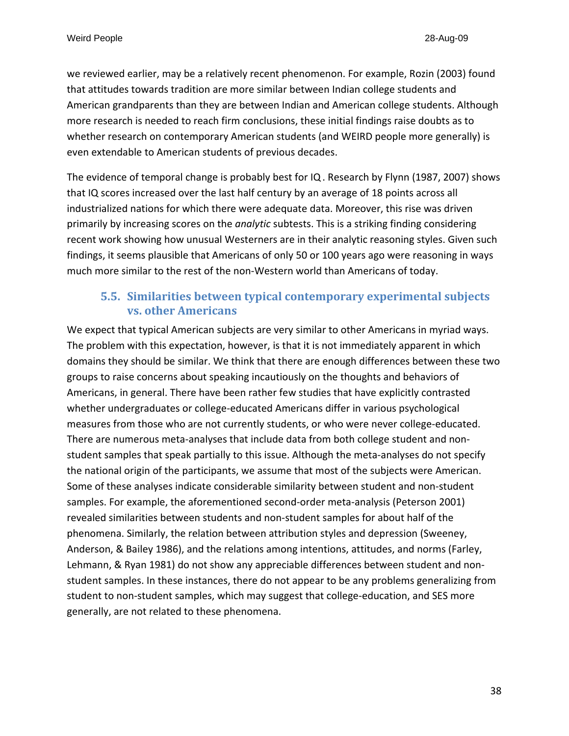we reviewed earlier, may be a relatively recent phenomenon. For example, Rozin (2003) found that attitudes towards tradition are more similar between Indian college students and American grandparents than they are between Indian and American college students. Although more research is needed to reach firm conclusions, these initial findings raise doubts as to whether research on contemporary American students (and WEIRD people more generally) is even extendable to American students of previous decades.

The evidence of temporal change is probably best for IQ. Research by Flynn (1987, 2007) shows that IQ scores increased over the last half century by an average of 18 points across all industrialized nations for which there were adequate data. Moreover, this rise was driven primarily by increasing scores on the *analytic* subtests. This is a striking finding considering recent work showing how unusual Westerners are in their analytic reasoning styles. Given such findings, it seems plausible that Americans of only 50 or 100 years ago were reasoning in ways much more similar to the rest of the non‐Western world than Americans of today.

#### **5.5. Similarities between typical contemporary experimental subjects vs. other Americans**

We expect that typical American subjects are very similar to other Americans in myriad ways. The problem with this expectation, however, is that it is not immediately apparent in which domains they should be similar. We think that there are enough differences between these two groups to raise concerns about speaking incautiously on the thoughts and behaviors of Americans, in general. There have been rather few studies that have explicitly contrasted whether undergraduates or college‐educated Americans differ in various psychological measures from those who are not currently students, or who were never college‐educated. There are numerous meta‐analyses that include data from both college student and non‐ student samples that speak partially to this issue. Although the meta‐analyses do not specify the national origin of the participants, we assume that most of the subjects were American. Some of these analyses indicate considerable similarity between student and non‐student samples. For example, the aforementioned second-order meta-analysis (Peterson 2001) revealed similarities between students and non‐student samples for about half of the phenomena. Similarly, the relation between attribution styles and depression (Sweeney, Anderson, & Bailey 1986), and the relations among intentions, attitudes, and norms (Farley, Lehmann, & Ryan 1981) do not show any appreciable differences between student and non‐ student samples. In these instances, there do not appear to be any problems generalizing from student to non‐student samples, which may suggest that college‐education, and SES more generally, are not related to these phenomena.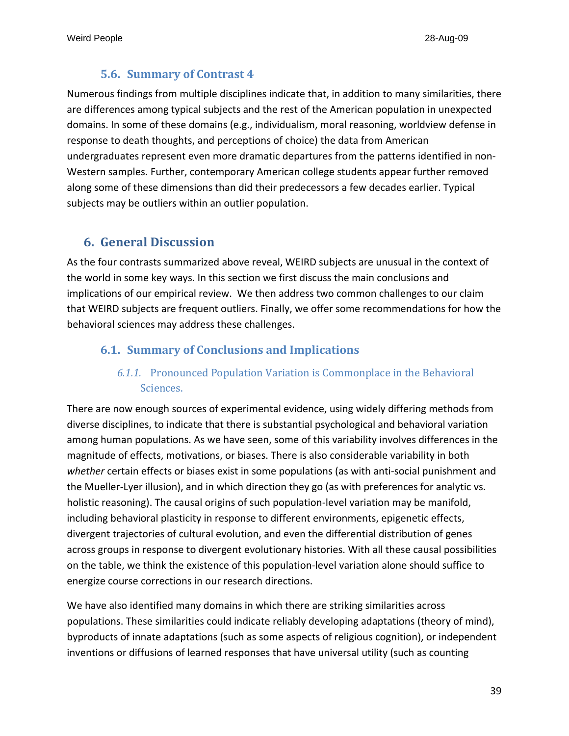#### **5.6. Summary of Contrast 4**

Numerous findings from multiple disciplines indicate that, in addition to many similarities, there are differences among typical subjects and the rest of the American population in unexpected domains. In some of these domains (e.g., individualism, moral reasoning, worldview defense in response to death thoughts, and perceptions of choice) the data from American undergraduates represent even more dramatic departures from the patterns identified in non‐ Western samples. Further, contemporary American college students appear further removed along some of these dimensions than did their predecessors a few decades earlier. Typical subjects may be outliers within an outlier population.

# **6. General Discussion**

As the four contrasts summarized above reveal, WEIRD subjects are unusual in the context of the world in some key ways. In this section we first discuss the main conclusions and implications of our empirical review. We then address two common challenges to our claim that WEIRD subjects are frequent outliers. Finally, we offer some recommendations for how the behavioral sciences may address these challenges.

# **6.1. Summary of Conclusions and Implications**

## *6.1.1.* Pronounced Population Variation is Commonplace in the Behavioral Sciences.

There are now enough sources of experimental evidence, using widely differing methods from diverse disciplines, to indicate that there is substantial psychological and behavioral variation among human populations. As we have seen, some of this variability involves differences in the magnitude of effects, motivations, or biases. There is also considerable variability in both whether certain effects or biases exist in some populations (as with anti-social punishment and the Mueller‐Lyer illusion), and in which direction they go (as with preferences for analytic vs. holistic reasoning). The causal origins of such population-level variation may be manifold, including behavioral plasticity in response to different environments, epigenetic effects, divergent trajectories of cultural evolution, and even the differential distribution of genes across groups in response to divergent evolutionary histories. With all these causal possibilities on the table, we think the existence of this population‐level variation alone should suffice to energize course corrections in our research directions.

We have also identified many domains in which there are striking similarities across populations. These similarities could indicate reliably developing adaptations (theory of mind), byproducts of innate adaptations (such as some aspects of religious cognition), or independent inventions or diffusions of learned responses that have universal utility (such as counting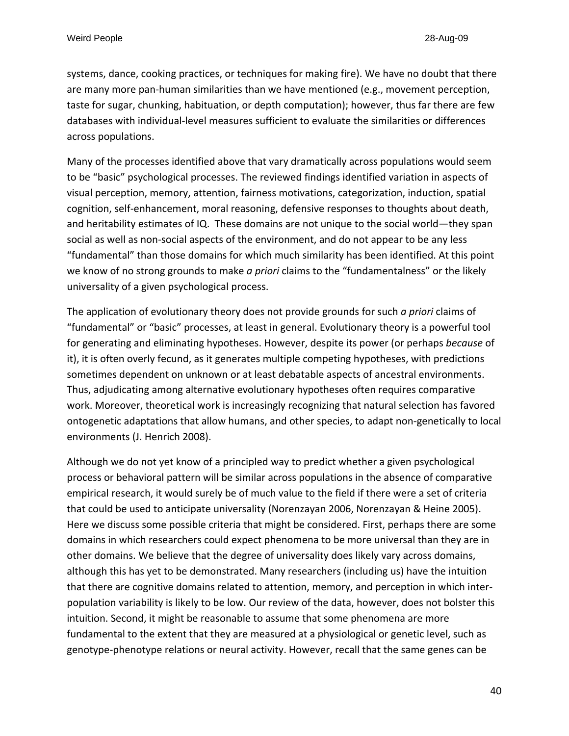systems, dance, cooking practices, or techniques for making fire). We have no doubt that there are many more pan-human similarities than we have mentioned (e.g., movement perception, taste for sugar, chunking, habituation, or depth computation); however, thus far there are few databases with individual‐level measures sufficient to evaluate the similarities or differences across populations.

Many of the processes identified above that vary dramatically across populations would seem to be "basic" psychological processes. The reviewed findings identified variation in aspects of visual perception, memory, attention, fairness motivations, categorization, induction, spatial cognition, self‐enhancement, moral reasoning, defensive responses to thoughts about death, and heritability estimates of IQ. These domains are not unique to the social world—they span social as well as non-social aspects of the environment, and do not appear to be any less "fundamental" than those domains for which much similarity has been identified. At this point we know of no strong grounds to make *a priori* claims to the "fundamentalness" or the likely universality of a given psychological process.

The application of evolutionary theory does not provide grounds for such *a priori* claims of "fundamental" or "basic" processes, at least in general. Evolutionary theory is a powerful tool for generating and eliminating hypotheses. However, despite its power (or perhaps *because* of it), it is often overly fecund, as it generates multiple competing hypotheses, with predictions sometimes dependent on unknown or at least debatable aspects of ancestral environments. Thus, adjudicating among alternative evolutionary hypotheses often requires comparative work. Moreover, theoretical work is increasingly recognizing that natural selection has favored ontogenetic adaptations that allow humans, and other species, to adapt non‐genetically to local environments (J. Henrich 2008).

Although we do not yet know of a principled way to predict whether a given psychological process or behavioral pattern will be similar across populations in the absence of comparative empirical research, it would surely be of much value to the field if there were a set of criteria that could be used to anticipate universality (Norenzayan 2006, Norenzayan & Heine 2005). Here we discuss some possible criteria that might be considered. First, perhaps there are some domains in which researchers could expect phenomena to be more universal than they are in other domains. We believe that the degree of universality does likely vary across domains, although this has yet to be demonstrated. Many researchers (including us) have the intuition that there are cognitive domains related to attention, memory, and perception in which inter‐ population variability is likely to be low. Our review of the data, however, does not bolster this intuition. Second, it might be reasonable to assume that some phenomena are more fundamental to the extent that they are measured at a physiological or genetic level, such as genotype‐phenotype relations or neural activity. However, recall that the same genes can be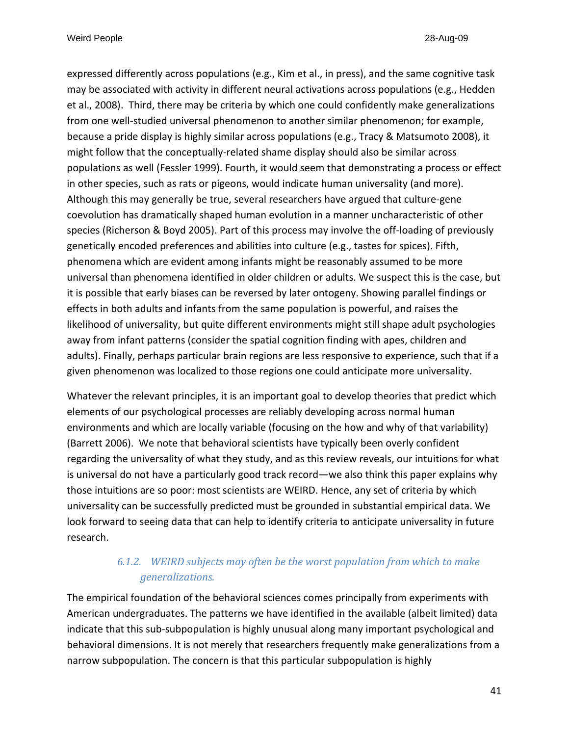expressed differently across populations (e.g., Kim et al., in press), and the same cognitive task may be associated with activity in different neural activations across populations (e.g., Hedden et al., 2008). Third, there may be criteria by which one could confidently make generalizations from one well‐studied universal phenomenon to another similar phenomenon; for example, because a pride display is highly similar across populations (e.g., Tracy & Matsumoto 2008), it might follow that the conceptually‐related shame display should also be similar across populations as well (Fessler 1999). Fourth, it would seem that demonstrating a process or effect in other species, such as rats or pigeons, would indicate human universality (and more). Although this may generally be true, several researchers have argued that culture‐gene coevolution has dramatically shaped human evolution in a manner uncharacteristic of other species (Richerson & Boyd 2005). Part of this process may involve the off-loading of previously genetically encoded preferences and abilities into culture (e.g., tastes for spices). Fifth, phenomena which are evident among infants might be reasonably assumed to be more universal than phenomena identified in older children or adults. We suspect this is the case, but it is possible that early biases can be reversed by later ontogeny. Showing parallel findings or effects in both adults and infants from the same population is powerful, and raises the likelihood of universality, but quite different environments might still shape adult psychologies away from infant patterns (consider the spatial cognition finding with apes, children and adults). Finally, perhaps particular brain regions are less responsive to experience, such that if a given phenomenon was localized to those regions one could anticipate more universality.

Whatever the relevant principles, it is an important goal to develop theories that predict which elements of our psychological processes are reliably developing across normal human environments and which are locally variable (focusing on the how and why of that variability) (Barrett 2006). We note that behavioral scientists have typically been overly confident regarding the universality of what they study, and as this review reveals, our intuitions for what is universal do not have a particularly good track record—we also think this paper explains why those intuitions are so poor: most scientists are WEIRD. Hence, any set of criteria by which universality can be successfully predicted must be grounded in substantial empirical data. We look forward to seeing data that can help to identify criteria to anticipate universality in future research.

# *6.1.2. WEIRD subjects may often be the worst population from which to make generalizations.*

The empirical foundation of the behavioral sciences comes principally from experiments with American undergraduates. The patterns we have identified in the available (albeit limited) data indicate that this sub‐subpopulation is highly unusual along many important psychological and behavioral dimensions. It is not merely that researchers frequently make generalizations from a narrow subpopulation. The concern is that this particular subpopulation is highly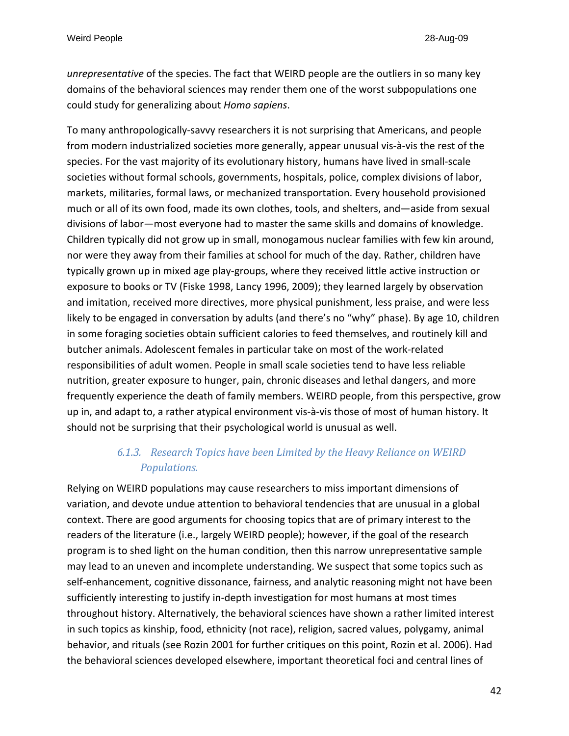*unrepresentative* of the species. The fact that WEIRD people are the outliers in so many key domains of the behavioral sciences may render them one of the worst subpopulations one could study for generalizing about *Homo sapiens*.

To many anthropologically‐savvy researchers it is not surprising that Americans, and people from modern industrialized societies more generally, appear unusual vis‐à‐vis the rest of the species. For the vast majority of its evolutionary history, humans have lived in small‐scale societies without formal schools, governments, hospitals, police, complex divisions of labor, markets, militaries, formal laws, or mechanized transportation. Every household provisioned much or all of its own food, made its own clothes, tools, and shelters, and—aside from sexual divisions of labor—most everyone had to master the same skills and domains of knowledge. Children typically did not grow up in small, monogamous nuclear families with few kin around, nor were they away from their families at school for much of the day. Rather, children have typically grown up in mixed age play‐groups, where they received little active instruction or exposure to books or TV (Fiske 1998, Lancy 1996, 2009); they learned largely by observation and imitation, received more directives, more physical punishment, less praise, and were less likely to be engaged in conversation by adults (and there's no "why" phase). By age 10, children in some foraging societies obtain sufficient calories to feed themselves, and routinely kill and butcher animals. Adolescent females in particular take on most of the work‐related responsibilities of adult women. People in small scale societies tend to have less reliable nutrition, greater exposure to hunger, pain, chronic diseases and lethal dangers, and more frequently experience the death of family members. WEIRD people, from this perspective, grow up in, and adapt to, a rather atypical environment vis‐à‐vis those of most of human history. It should not be surprising that their psychological world is unusual as well.

#### *6.1.3. Research Topics have been Limited by the Heavy Reliance on WEIRD Populations.*

Relying on WEIRD populations may cause researchers to miss important dimensions of variation, and devote undue attention to behavioral tendencies that are unusual in a global context. There are good arguments for choosing topics that are of primary interest to the readers of the literature (i.e., largely WEIRD people); however, if the goal of the research program is to shed light on the human condition, then this narrow unrepresentative sample may lead to an uneven and incomplete understanding. We suspect that some topics such as self-enhancement, cognitive dissonance, fairness, and analytic reasoning might not have been sufficiently interesting to justify in-depth investigation for most humans at most times throughout history. Alternatively, the behavioral sciences have shown a rather limited interest in such topics as kinship, food, ethnicity (not race), religion, sacred values, polygamy, animal behavior, and rituals (see Rozin 2001 for further critiques on this point, Rozin et al. 2006). Had the behavioral sciences developed elsewhere, important theoretical foci and central lines of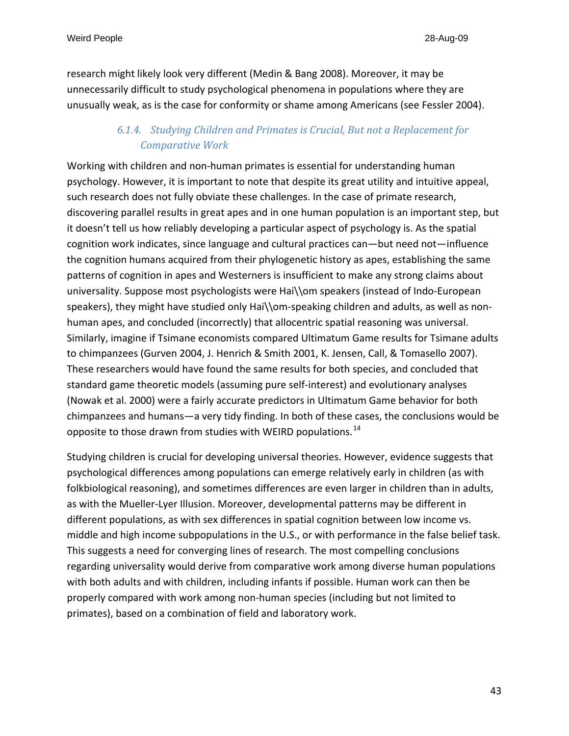research might likely look very different (Medin & Bang 2008). Moreover, it may be unnecessarily difficult to study psychological phenomena in populations where they are unusually weak, as is the case for conformity or shame among Americans (see Fessler 2004).

## *6.1.4. Studying Children and Primates is Crucial, But not a Replacement for Comparative Work*

Working with children and non‐human primates is essential for understanding human psychology. However, it is important to note that despite its great utility and intuitive appeal, such research does not fully obviate these challenges. In the case of primate research, discovering parallel results in great apes and in one human population is an important step, but it doesn't tell us how reliably developing a particular aspect of psychology is. As the spatial cognition work indicates, since language and cultural practices can—but need not—influence the cognition humans acquired from their phylogenetic history as apes, establishing the same patterns of cognition in apes and Westerners is insufficient to make any strong claims about universality. Suppose most psychologists were Hai\\om speakers (instead of Indo-European speakers), they might have studied only Hai\\om-speaking children and adults, as well as nonhuman apes, and concluded (incorrectly) that allocentric spatial reasoning was universal. Similarly, imagine if Tsimane economists compared Ultimatum Game results for Tsimane adults to chimpanzees (Gurven 2004, J. Henrich & Smith 2001, K. Jensen, Call, & Tomasello 2007). These researchers would have found the same results for both species, and concluded that standard game theoretic models (assuming pure self‐interest) and evolutionary analyses (Nowak et al. 2000) were a fairly accurate predictors in Ultimatum Game behavior for both chimpanzees and humans—a very tidy finding. In both of these cases, the conclusions would be opposite to those drawn from studies with WEIRD populations.<sup>[14](#page-67-2)</sup>

Studying children is crucial for developing universal theories. However, evidence suggests that psychological differences among populations can emerge relatively early in children (as with folkbiological reasoning), and sometimes differences are even larger in children than in adults, as with the Mueller‐Lyer Illusion. Moreover, developmental patterns may be different in different populations, as with sex differences in spatial cognition between low income vs. middle and high income subpopulations in the U.S., or with performance in the false belief task. This suggests a need for converging lines of research. The most compelling conclusions regarding universality would derive from comparative work among diverse human populations with both adults and with children, including infants if possible. Human work can then be properly compared with work among non‐human species (including but not limited to primates), based on a combination of field and laboratory work.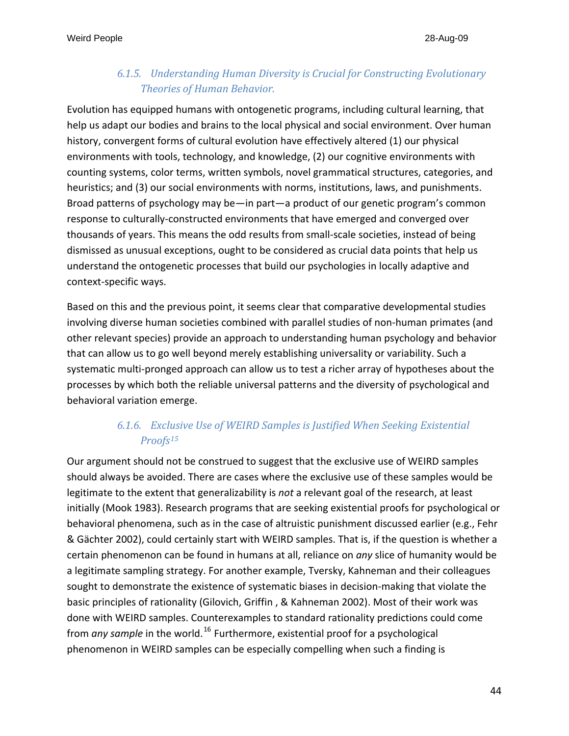# *6.1.5. Understanding Human Diversity is Crucial for Constructing Evolutionary Theories of Human Behavior.*

Evolution has equipped humans with ontogenetic programs, including cultural learning, that help us adapt our bodies and brains to the local physical and social environment. Over human history, convergent forms of cultural evolution have effectively altered (1) our physical environments with tools, technology, and knowledge, (2) our cognitive environments with counting systems, color terms, written symbols, novel grammatical structures, categories, and heuristics; and (3) our social environments with norms, institutions, laws, and punishments. Broad patterns of psychology may be—in part—a product of our genetic program's common response to culturally‐constructed environments that have emerged and converged over thousands of years. This means the odd results from small‐scale societies, instead of being dismissed as unusual exceptions, ought to be considered as crucial data points that help us understand the ontogenetic processes that build our psychologies in locally adaptive and context‐specific ways.

Based on this and the previous point, it seems clear that comparative developmental studies involving diverse human societies combined with parallel studies of non-human primates (and other relevant species) provide an approach to understanding human psychology and behavior that can allow us to go well beyond merely establishing universality or variability. Such a systematic multi-pronged approach can allow us to test a richer array of hypotheses about the processes by which both the reliable universal patterns and the diversity of psychological and behavioral variation emerge.

## *6.1.6. Exclusive Use of WEIRD Samples is Justified When Seeking Existential Proofs[15](#page-67-3)*

Our argument should not be construed to suggest that the exclusive use of WEIRD samples should always be avoided. There are cases where the exclusive use of these samples would be legitimate to the extent that generalizability is *not* a relevant goal of the research, at least initially (Mook 1983). Research programs that are seeking existential proofs for psychological or behavioral phenomena, such as in the case of altruistic punishment discussed earlier (e.g., Fehr & Gächter 2002), could certainly start with WEIRD samples. That is, if the question is whether a certain phenomenon can be found in humans at all, reliance on *any* slice of humanity would be a legitimate sampling strategy. For another example, Tversky, Kahneman and their colleagues sought to demonstrate the existence of systematic biases in decision-making that violate the basic principles of rationality (Gilovich, Griffin , & Kahneman 2002). Most of their work was done with WEIRD samples. Counterexamples to standard rationality predictions could come from *any sample* in the world.[16](#page-67-4) Furthermore, existential proof for a psychological phenomenon in WEIRD samples can be especially compelling when such a finding is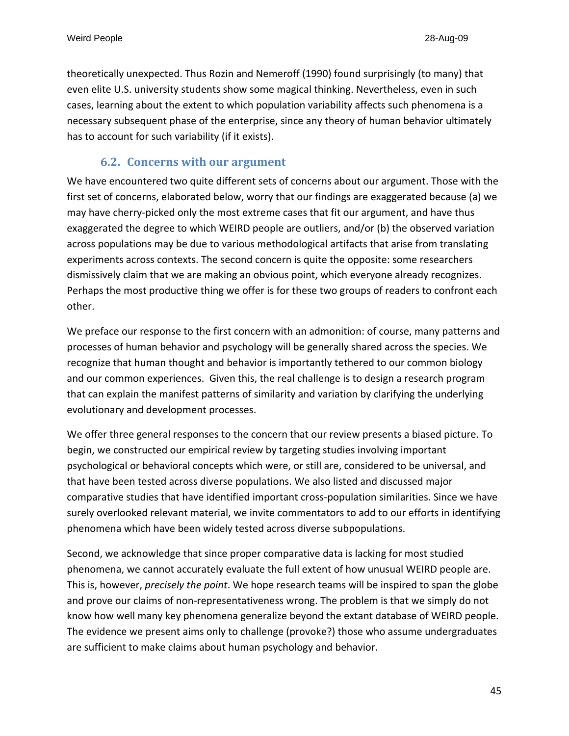theoretically unexpected. Thus Rozin and Nemeroff (1990) found surprisingly (to many) that even elite U.S. university students show some magical thinking. Nevertheless, even in such cases, learning about the extent to which population variability affects such phenomena is a necessary subsequent phase of the enterprise, since any theory of human behavior ultimately has to account for such variability (if it exists).

## **6.2. Concerns with our argument**

We have encountered two quite different sets of concerns about our argument. Those with the first set of concerns, elaborated below, worry that our findings are exaggerated because (a) we may have cherry‐picked only the most extreme cases that fit our argument, and have thus exaggerated the degree to which WEIRD people are outliers, and/or (b) the observed variation across populations may be due to various methodological artifacts that arise from translating experiments across contexts. The second concern is quite the opposite: some researchers dismissively claim that we are making an obvious point, which everyone already recognizes. Perhaps the most productive thing we offer is for these two groups of readers to confront each other.

We preface our response to the first concern with an admonition: of course, many patterns and processes of human behavior and psychology will be generally shared across the species. We recognize that human thought and behavior is importantly tethered to our common biology and our common experiences. Given this, the real challenge is to design a research program that can explain the manifest patterns of similarity and variation by clarifying the underlying evolutionary and development processes.

We offer three general responses to the concern that our review presents a biased picture. To begin, we constructed our empirical review by targeting studies involving important psychological or behavioral concepts which were, or still are, considered to be universal, and that have been tested across diverse populations. We also listed and discussed major comparative studies that have identified important cross‐population similarities. Since we have surely overlooked relevant material, we invite commentators to add to our efforts in identifying phenomena which have been widely tested across diverse subpopulations.

Second, we acknowledge that since proper comparative data is lacking for most studied phenomena, we cannot accurately evaluate the full extent of how unusual WEIRD people are. This is, however, *precisely the point*. We hope research teams will be inspired to span the globe and prove our claims of non-representativeness wrong. The problem is that we simply do not know how well many key phenomena generalize beyond the extant database of WEIRD people. The evidence we present aims only to challenge (provoke?) those who assume undergraduates are sufficient to make claims about human psychology and behavior.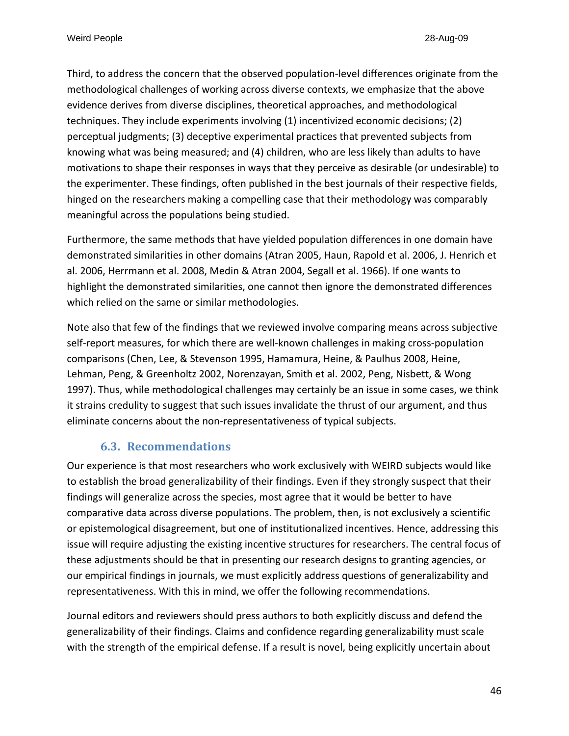Third, to address the concern that the observed population‐level differences originate from the methodological challenges of working across diverse contexts, we emphasize that the above evidence derives from diverse disciplines, theoretical approaches, and methodological techniques. They include experiments involving (1) incentivized economic decisions; (2) perceptual judgments; (3) deceptive experimental practices that prevented subjects from knowing what was being measured; and (4) children, who are less likely than adults to have motivations to shape their responses in ways that they perceive as desirable (or undesirable) to the experimenter. These findings, often published in the best journals of their respective fields, hinged on the researchers making a compelling case that their methodology was comparably meaningful across the populations being studied.

Furthermore, the same methods that have yielded population differences in one domain have demonstrated similarities in other domains (Atran 2005, Haun, Rapold et al. 2006, J. Henrich et al. 2006, Herrmann et al. 2008, Medin & Atran 2004, Segall et al. 1966). If one wants to highlight the demonstrated similarities, one cannot then ignore the demonstrated differences which relied on the same or similar methodologies.

Note also that few of the findings that we reviewed involve comparing means across subjective self-report measures, for which there are well-known challenges in making cross-population comparisons (Chen, Lee, & Stevenson 1995, Hamamura, Heine, & Paulhus 2008, Heine, Lehman, Peng, & Greenholtz 2002, Norenzayan, Smith et al. 2002, Peng, Nisbett, & Wong 1997). Thus, while methodological challenges may certainly be an issue in some cases, we think it strains credulity to suggest that such issues invalidate the thrust of our argument, and thus eliminate concerns about the non‐representativeness of typical subjects.

#### **6.3. Recommendations**

Our experience is that most researchers who work exclusively with WEIRD subjects would like to establish the broad generalizability of their findings. Even if they strongly suspect that their findings will generalize across the species, most agree that it would be better to have comparative data across diverse populations. The problem, then, is not exclusively a scientific or epistemological disagreement, but one of institutionalized incentives. Hence, addressing this issue will require adjusting the existing incentive structures for researchers. The central focus of these adjustments should be that in presenting our research designs to granting agencies, or our empirical findings in journals, we must explicitly address questions of generalizability and representativeness. With this in mind, we offer the following recommendations.

Journal editors and reviewers should press authors to both explicitly discuss and defend the generalizability of their findings. Claims and confidence regarding generalizability must scale with the strength of the empirical defense. If a result is novel, being explicitly uncertain about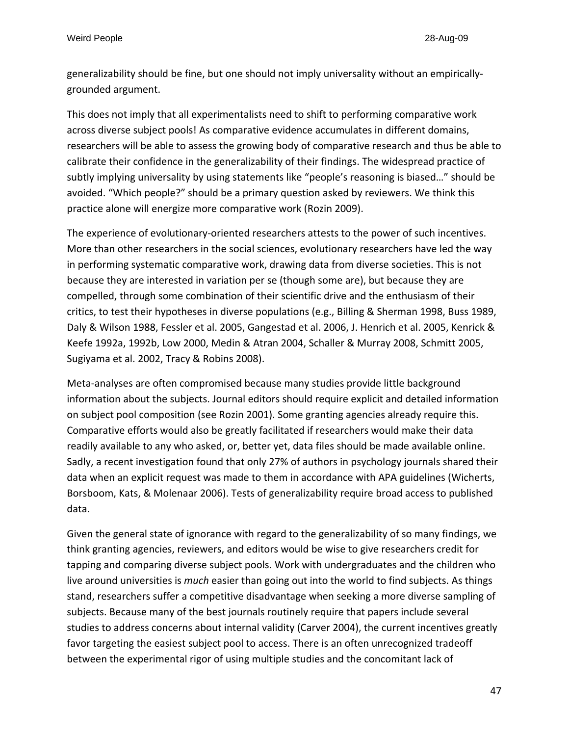generalizability should be fine, but one should not imply universality without an empirically‐ grounded argument.

This does not imply that all experimentalists need to shift to performing comparative work across diverse subject pools! As comparative evidence accumulates in different domains, researchers will be able to assess the growing body of comparative research and thus be able to calibrate their confidence in the generalizability of their findings. The widespread practice of subtly implying universality by using statements like "people's reasoning is biased…" should be avoided. "Which people?" should be a primary question asked by reviewers. We think this practice alone will energize more comparative work (Rozin 2009).

The experience of evolutionary-oriented researchers attests to the power of such incentives. More than other researchers in the social sciences, evolutionary researchers have led the way in performing systematic comparative work, drawing data from diverse societies. This is not because they are interested in variation per se (though some are), but because they are compelled, through some combination of their scientific drive and the enthusiasm of their critics, to test their hypotheses in diverse populations (e.g., Billing & Sherman 1998, Buss 1989, Daly & Wilson 1988, Fessler et al. 2005, Gangestad et al. 2006, J. Henrich et al. 2005, Kenrick & Keefe 1992a, 1992b, Low 2000, Medin & Atran 2004, Schaller & Murray 2008, Schmitt 2005, Sugiyama et al. 2002, Tracy & Robins 2008).

Meta-analyses are often compromised because many studies provide little background information about the subjects. Journal editors should require explicit and detailed information on subject pool composition (see Rozin 2001). Some granting agencies already require this. Comparative efforts would also be greatly facilitated if researchers would make their data readily available to any who asked, or, better yet, data files should be made available online. Sadly, a recent investigation found that only 27% of authors in psychology journals shared their data when an explicit request was made to them in accordance with APA guidelines (Wicherts, Borsboom, Kats, & Molenaar 2006). Tests of generalizability require broad access to published data.

Given the general state of ignorance with regard to the generalizability of so many findings, we think granting agencies, reviewers, and editors would be wise to give researchers credit for tapping and comparing diverse subject pools. Work with undergraduates and the children who live around universities is *much* easier than going out into the world to find subjects. As things stand, researchers suffer a competitive disadvantage when seeking a more diverse sampling of subjects. Because many of the best journals routinely require that papers include several studies to address concerns about internal validity (Carver 2004), the current incentives greatly favor targeting the easiest subject pool to access. There is an often unrecognized tradeoff between the experimental rigor of using multiple studies and the concomitant lack of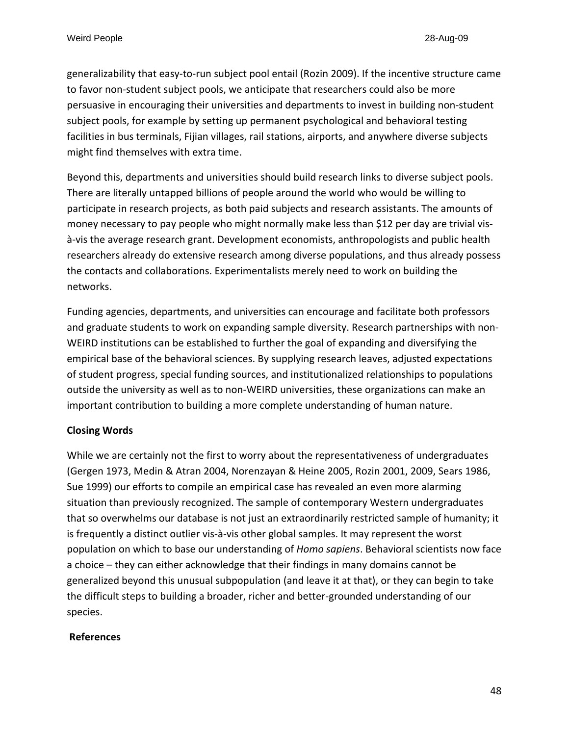generalizability that easy‐to‐run subject pool entail (Rozin 2009). If the incentive structure came to favor non‐student subject pools, we anticipate that researchers could also be more persuasive in encouraging their universities and departments to invest in building non‐student subject pools, for example by setting up permanent psychological and behavioral testing facilities in bus terminals, Fijian villages, rail stations, airports, and anywhere diverse subjects might find themselves with extra time.

Beyond this, departments and universities should build research links to diverse subject pools. There are literally untapped billions of people around the world who would be willing to participate in research projects, as both paid subjects and research assistants. The amounts of money necessary to pay people who might normally make less than \$12 per day are trivial visà‐vis the average research grant. Development economists, anthropologists and public health researchers already do extensive research among diverse populations, and thus already possess the contacts and collaborations. Experimentalists merely need to work on building the networks.

Funding agencies, departments, and universities can encourage and facilitate both professors and graduate students to work on expanding sample diversity. Research partnerships with non‐ WEIRD institutions can be established to further the goal of expanding and diversifying the empirical base of the behavioral sciences. By supplying research leaves, adjusted expectations of student progress, special funding sources, and institutionalized relationships to populations outside the university as well as to non‐WEIRD universities, these organizations can make an important contribution to building a more complete understanding of human nature.

#### **Closing Words**

While we are certainly not the first to worry about the representativeness of undergraduates (Gergen 1973, Medin & Atran 2004, Norenzayan & Heine 2005, Rozin 2001, 2009, Sears 1986, Sue 1999) our efforts to compile an empirical case has revealed an even more alarming situation than previously recognized. The sample of contemporary Western undergraduates that so overwhelms our database is not just an extraordinarily restricted sample of humanity; it is frequently a distinct outlier vis‐à‐vis other global samples. It may represent the worst population on which to base our understanding of *Homo sapiens*. Behavioral scientists now face a choice – they can either acknowledge that their findings in many domains cannot be generalized beyond this unusual subpopulation (and leave it at that), or they can begin to take the difficult steps to building a broader, richer and better‐grounded understanding of our species.

#### **References**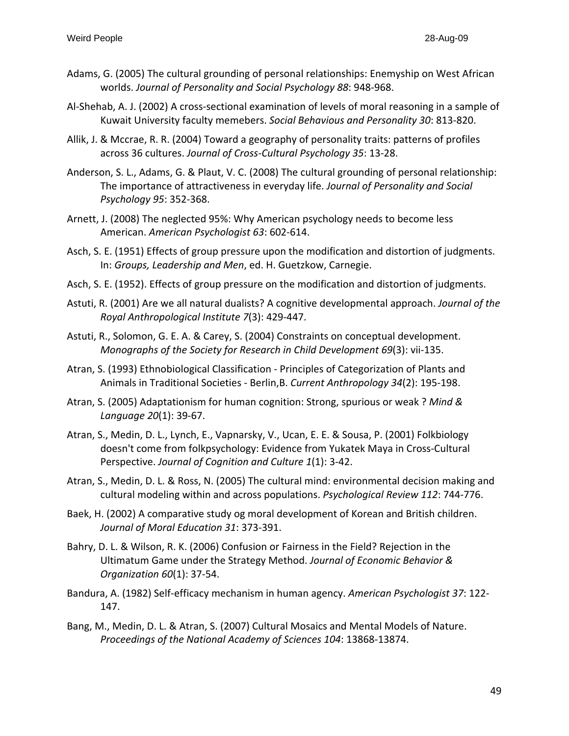- Adams, G. (2005) The cultural grounding of personal relationships: Enemyship on West African worlds. *Journal of Personality and Social Psychology 88*: 948‐968.
- Al‐Shehab, A. J. (2002) A cross‐sectional examination of levels of moral reasoning in a sample of Kuwait University faculty memebers. *Social Behavious and Personality 30*: 813‐820.
- Allik, J. & Mccrae, R. R. (2004) Toward a geography of personality traits: patterns of profiles across 36 cultures. *Journal of Cross‐Cultural Psychology 35*: 13‐28.
- Anderson, S. L., Adams, G. & Plaut, V. C. (2008) The cultural grounding of personal relationship: The importance of attractiveness in everyday life. *Journal of Personality and Social Psychology 95*: 352‐368.
- Arnett, J. (2008) The neglected 95%: Why American psychology needs to become less American. *American Psychologist 63*: 602‐614.
- Asch, S. E. (1951) Effects of group pressure upon the modification and distortion of judgments. In: *Groups, Leadership and Men*, ed. H. Guetzkow, Carnegie.
- Asch, S. E. (1952). Effects of group pressure on the modification and distortion of judgments.
- Astuti, R. (2001) Are we all natural dualists? A cognitive developmental approach. *Journal of the Royal Anthropological Institute 7*(3): 429‐447.
- Astuti, R., Solomon, G. E. A. & Carey, S. (2004) Constraints on conceptual development. *Monographs of the Society for Research in Child Development 69*(3): vii‐135.
- Atran, S. (1993) Ethnobiological Classification ‐ Principles of Categorization of Plants and Animals in Traditional Societies ‐ Berlin,B. *Current Anthropology 34*(2): 195‐198.
- Atran, S. (2005) Adaptationism for human cognition: Strong, spurious or weak ? *Mind & Language 20*(1): 39‐67.
- Atran, S., Medin, D. L., Lynch, E., Vapnarsky, V., Ucan, E. E. & Sousa, P. (2001) Folkbiology doesn't come from folkpsychology: Evidence from Yukatek Maya in Cross‐Cultural Perspective. *Journal of Cognition and Culture 1*(1): 3‐42.
- Atran, S., Medin, D. L. & Ross, N. (2005) The cultural mind: environmental decision making and cultural modeling within and across populations. *Psychological Review 112*: 744‐776.
- Baek, H. (2002) A comparative study og moral development of Korean and British children. *Journal of Moral Education 31*: 373‐391.
- Bahry, D. L. & Wilson, R. K. (2006) Confusion or Fairness in the Field? Rejection in the Ultimatum Game under the Strategy Method. *Journal of Economic Behavior & Organization 60*(1): 37‐54.
- Bandura, A. (1982) Self‐efficacy mechanism in human agency. *American Psychologist 37*: 122‐ 147.
- Bang, M., Medin, D. L. & Atran, S. (2007) Cultural Mosaics and Mental Models of Nature. *Proceedings of the National Academy of Sciences 104*: 13868‐13874.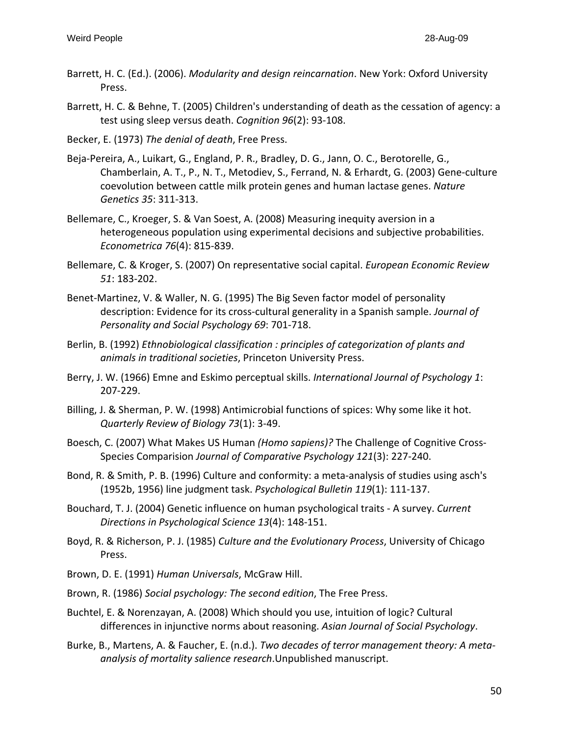- Barrett, H. C. (Ed.). (2006). *Modularity and design reincarnation*. New York: Oxford University Press.
- Barrett, H. C. & Behne, T. (2005) Children's understanding of death as the cessation of agency: a test using sleep versus death. *Cognition 96*(2): 93‐108.
- Becker, E. (1973) *The denial of death*, Free Press.
- Beja‐Pereira, A., Luikart, G., England, P. R., Bradley, D. G., Jann, O. C., Berotorelle, G., Chamberlain, A. T., P., N. T., Metodiev, S., Ferrand, N. & Erhardt, G. (2003) Gene‐culture coevolution between cattle milk protein genes and human lactase genes. *Nature Genetics 35*: 311‐313.
- Bellemare, C., Kroeger, S. & Van Soest, A. (2008) Measuring inequity aversion in a heterogeneous population using experimental decisions and subjective probabilities. *Econometrica 76*(4): 815‐839.
- Bellemare, C. & Kroger, S. (2007) On representative social capital. *European Economic Review 51*: 183‐202.
- Benet-Martinez, V. & Waller, N. G. (1995) The Big Seven factor model of personality description: Evidence for its cross‐cultural generality in a Spanish sample. *Journal of Personality and Social Psychology 69*: 701‐718.
- Berlin, B. (1992) *Ethnobiological classification : principles of categorization of plants and animals in traditional societies*, Princeton University Press.
- Berry, J. W. (1966) Emne and Eskimo perceptual skills. *International Journal of Psychology 1*: 207‐229.
- Billing, J. & Sherman, P. W. (1998) Antimicrobial functions of spices: Why some like it hot. *Quarterly Review of Biology 73*(1): 3‐49.
- Boesch, C. (2007) What Makes US Human *(Homo sapiens)?* The Challenge of Cognitive Cross‐ Species Comparision *Journal of Comparative Psychology 121*(3): 227‐240.
- Bond, R. & Smith, P. B. (1996) Culture and conformity: a meta-analysis of studies using asch's (1952b, 1956) line judgment task. *Psychological Bulletin 119*(1): 111‐137.
- Bouchard, T. J. (2004) Genetic influence on human psychological traits ‐ A survey. *Current Directions in Psychological Science 13*(4): 148‐151.
- Boyd, R. & Richerson, P. J. (1985) *Culture and the Evolutionary Process*, University of Chicago Press.
- Brown, D. E. (1991) *Human Universals*, McGraw Hill.
- Brown, R. (1986) *Social psychology: The second edition*, The Free Press.
- Buchtel, E. & Norenzayan, A. (2008) Which should you use, intuition of logic? Cultural differences in injunctive norms about reasoning. *Asian Journal of Social Psychology*.
- Burke, B., Martens, A. & Faucher, E. (n.d.). *Two decades of terror management theory: A meta‐ analysis of mortality salience research*.Unpublished manuscript.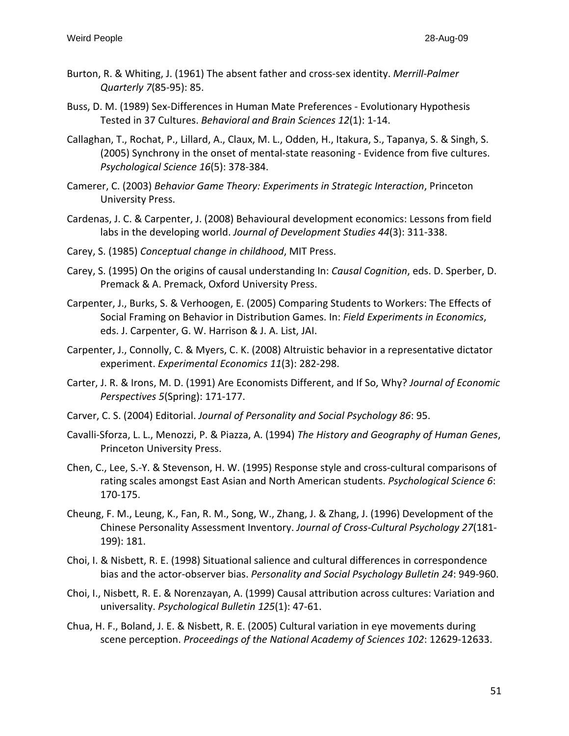- Burton, R. & Whiting, J. (1961) The absent father and cross‐sex identity. *Merrill‐Palmer Quarterly 7*(85‐95): 85.
- Buss, D. M. (1989) Sex‐Differences in Human Mate Preferences ‐ Evolutionary Hypothesis Tested in 37 Cultures. *Behavioral and Brain Sciences 12*(1): 1‐14.
- Callaghan, T., Rochat, P., Lillard, A., Claux, M. L., Odden, H., Itakura, S., Tapanya, S. & Singh, S. (2005) Synchrony in the onset of mental‐state reasoning ‐ Evidence from five cultures. *Psychological Science 16*(5): 378‐384.
- Camerer, C. (2003) *Behavior Game Theory: Experiments in Strategic Interaction*, Princeton University Press.
- Cardenas, J. C. & Carpenter, J. (2008) Behavioural development economics: Lessons from field labs in the developing world. *Journal of Development Studies 44*(3): 311‐338.
- Carey, S. (1985) *Conceptual change in childhood*, MIT Press.
- Carey, S. (1995) On the origins of causal understanding In: *Causal Cognition*, eds. D. Sperber, D. Premack & A. Premack, Oxford University Press.
- Carpenter, J., Burks, S. & Verhoogen, E. (2005) Comparing Students to Workers: The Effects of Social Framing on Behavior in Distribution Games. In: *Field Experiments in Economics*, eds. J. Carpenter, G. W. Harrison & J. A. List, JAI.
- Carpenter, J., Connolly, C. & Myers, C. K. (2008) Altruistic behavior in a representative dictator experiment. *Experimental Economics 11*(3): 282‐298.
- Carter, J. R. & Irons, M. D. (1991) Are Economists Different, and If So, Why? *Journal of Economic Perspectives 5*(Spring): 171‐177.
- Carver, C. S. (2004) Editorial. *Journal of Personality and Social Psychology 86*: 95.
- Cavalli‐Sforza, L. L., Menozzi, P. & Piazza, A. (1994) *The History and Geography of Human Genes*, Princeton University Press.
- Chen, C., Lee, S.‐Y. & Stevenson, H. W. (1995) Response style and cross‐cultural comparisons of rating scales amongst East Asian and North American students. *Psychological Science 6*: 170‐175.
- Cheung, F. M., Leung, K., Fan, R. M., Song, W., Zhang, J. & Zhang, J. (1996) Development of the Chinese Personality Assessment Inventory. *Journal of Cross‐Cultural Psychology 27*(181‐ 199): 181.
- Choi, I. & Nisbett, R. E. (1998) Situational salience and cultural differences in correspondence bias and the actor‐observer bias. *Personality and Social Psychology Bulletin 24*: 949‐960.
- Choi, I., Nisbett, R. E. & Norenzayan, A. (1999) Causal attribution across cultures: Variation and universality. *Psychological Bulletin 125*(1): 47‐61.
- Chua, H. F., Boland, J. E. & Nisbett, R. E. (2005) Cultural variation in eye movements during scene perception. *Proceedings of the National Academy of Sciences 102*: 12629‐12633.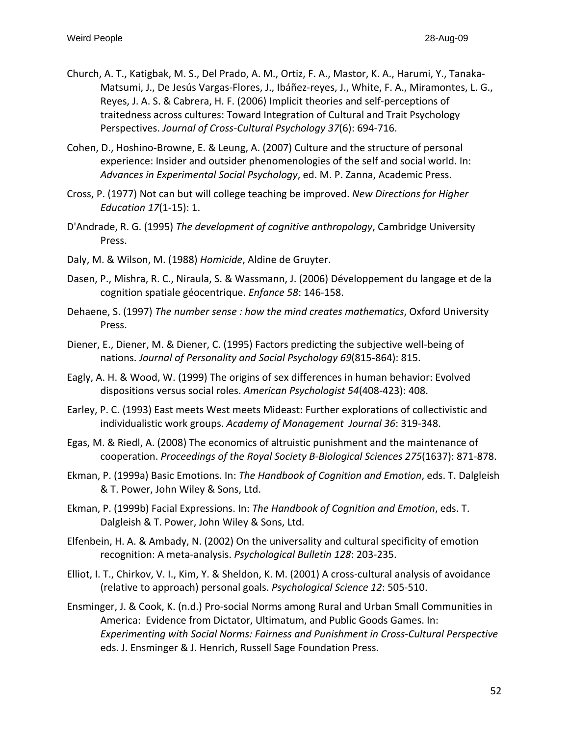- Church, A. T., Katigbak, M. S., Del Prado, A. M., Ortiz, F. A., Mastor, K. A., Harumi, Y., Tanaka‐ Matsumi, J., De Jesús Vargas‐Flores, J., Ibáñez‐reyes, J., White, F. A., Miramontes, L. G., Reyes, J. A. S. & Cabrera, H. F. (2006) Implicit theories and self‐perceptions of traitedness across cultures: Toward Integration of Cultural and Trait Psychology Perspectives. *Journal of Cross‐Cultural Psychology 37*(6): 694‐716.
- Cohen, D., Hoshino‐Browne, E. & Leung, A. (2007) Culture and the structure of personal experience: Insider and outsider phenomenologies of the self and social world. In: *Advances in Experimental Social Psychology*, ed. M. P. Zanna, Academic Press.
- Cross, P. (1977) Not can but will college teaching be improved. *New Directions for Higher Education 17*(1‐15): 1.
- D'Andrade, R. G. (1995) *The development of cognitive anthropology*, Cambridge University Press.
- Daly, M. & Wilson, M. (1988) *Homicide*, Aldine de Gruyter.
- Dasen, P., Mishra, R. C., Niraula, S. & Wassmann, J. (2006) Développement du langage et de la cognition spatiale géocentrique. *Enfance 58*: 146‐158.
- Dehaene, S. (1997) *The number sense : how the mind creates mathematics*, Oxford University Press.
- Diener, E., Diener, M. & Diener, C. (1995) Factors predicting the subjective well‐being of nations. *Journal of Personality and Social Psychology 69*(815‐864): 815.
- Eagly, A. H. & Wood, W. (1999) The origins of sex differences in human behavior: Evolved dispositions versus social roles. *American Psychologist 54*(408‐423): 408.
- Earley, P. C. (1993) East meets West meets Mideast: Further explorations of collectivistic and individualistic work groups. *Academy of Management Journal 36*: 319‐348.
- Egas, M. & Riedl, A. (2008) The economics of altruistic punishment and the maintenance of cooperation. *Proceedings of the Royal Society B‐Biological Sciences 275*(1637): 871‐878.
- Ekman, P. (1999a) Basic Emotions. In: *The Handbook of Cognition and Emotion*, eds. T. Dalgleish & T. Power, John Wiley & Sons, Ltd.
- Ekman, P. (1999b) Facial Expressions. In: *The Handbook of Cognition and Emotion*, eds. T. Dalgleish & T. Power, John Wiley & Sons, Ltd.
- Elfenbein, H. A. & Ambady, N. (2002) On the universality and cultural specificity of emotion recognition: A meta‐analysis. *Psychological Bulletin 128*: 203‐235.
- Elliot, I. T., Chirkov, V. I., Kim, Y. & Sheldon, K. M. (2001) A cross‐cultural analysis of avoidance (relative to approach) personal goals. *Psychological Science 12*: 505‐510.
- Ensminger, J. & Cook, K. (n.d.) Pro‐social Norms among Rural and Urban Small Communities in America: Evidence from Dictator, Ultimatum, and Public Goods Games. In: *Experimenting with Social Norms: Fairness and Punishment in Cross‐Cultural Perspective* eds. J. Ensminger & J. Henrich, Russell Sage Foundation Press.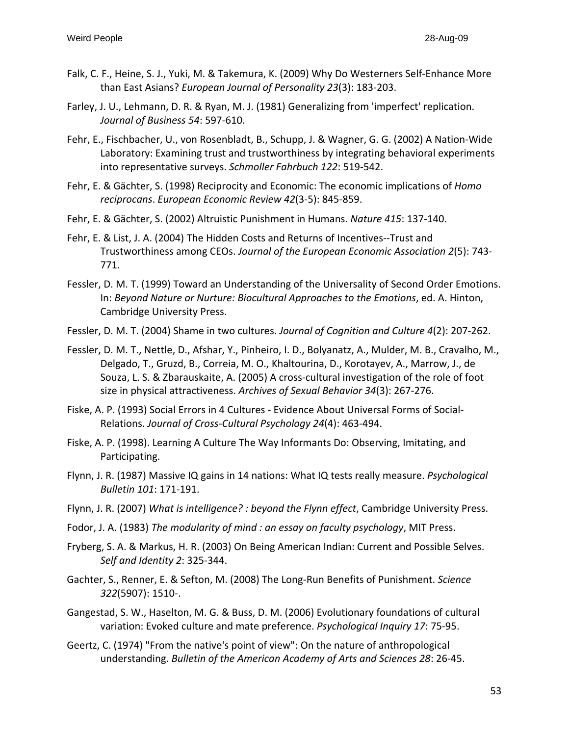- Falk, C. F., Heine, S. J., Yuki, M. & Takemura, K. (2009) Why Do Westerners Self‐Enhance More than East Asians? *European Journal of Personality 23*(3): 183‐203.
- Farley, J. U., Lehmann, D. R. & Ryan, M. J. (1981) Generalizing from 'imperfect' replication. *Journal of Business 54*: 597‐610.
- Fehr, E., Fischbacher, U., von Rosenbladt, B., Schupp, J. & Wagner, G. G. (2002) A Nation‐Wide Laboratory: Examining trust and trustworthiness by integrating behavioral experiments into representative surveys. *Schmoller Fahrbuch 122*: 519‐542.
- Fehr, E. & Gächter, S. (1998) Reciprocity and Economic: The economic implications of *Homo reciprocans*. *European Economic Review 42*(3‐5): 845‐859.
- Fehr, E. & Gächter, S. (2002) Altruistic Punishment in Humans. *Nature 415*: 137‐140.
- Fehr, E. & List, J. A. (2004) The Hidden Costs and Returns of Incentives‐‐Trust and Trustworthiness among CEOs. *Journal of the European Economic Association 2*(5): 743‐ 771.
- Fessler, D. M. T. (1999) Toward an Understanding of the Universality of Second Order Emotions. In: *Beyond Nature or Nurture: Biocultural Approaches to the Emotions*, ed. A. Hinton, Cambridge University Press.
- Fessler, D. M. T. (2004) Shame in two cultures. *Journal of Cognition and Culture 4*(2): 207‐262.
- Fessler, D. M. T., Nettle, D., Afshar, Y., Pinheiro, I. D., Bolyanatz, A., Mulder, M. B., Cravalho, M., Delgado, T., Gruzd, B., Correia, M. O., Khaltourina, D., Korotayev, A., Marrow, J., de Souza, L. S. & Zbarauskaite, A. (2005) A cross‐cultural investigation of the role of foot size in physical attractiveness. *Archives of Sexual Behavior 34*(3): 267‐276.
- Fiske, A. P. (1993) Social Errors in 4 Cultures ‐ Evidence About Universal Forms of Social‐ Relations. *Journal of Cross‐Cultural Psychology 24*(4): 463‐494.
- Fiske, A. P. (1998). Learning A Culture The Way Informants Do: Observing, Imitating, and Participating.
- Flynn, J. R. (1987) Massive IQ gains in 14 nations: What IQ tests really measure. *Psychological Bulletin 101*: 171‐191.
- Flynn, J. R. (2007) *What is intelligence? : beyond the Flynn effect*, Cambridge University Press.
- Fodor, J. A. (1983) *The modularity of mind : an essay on faculty psychology*, MIT Press.
- Fryberg, S. A. & Markus, H. R. (2003) On Being American Indian: Current and Possible Selves. *Self and Identity 2*: 325‐344.
- Gachter, S., Renner, E. & Sefton, M. (2008) The Long‐Run Benefits of Punishment. *Science 322*(5907): 1510‐.
- Gangestad, S. W., Haselton, M. G. & Buss, D. M. (2006) Evolutionary foundations of cultural variation: Evoked culture and mate preference. *Psychological Inquiry 17*: 75‐95.
- Geertz, C. (1974) "From the native's point of view": On the nature of anthropological understanding. *Bulletin of the American Academy of Arts and Sciences 28*: 26‐45.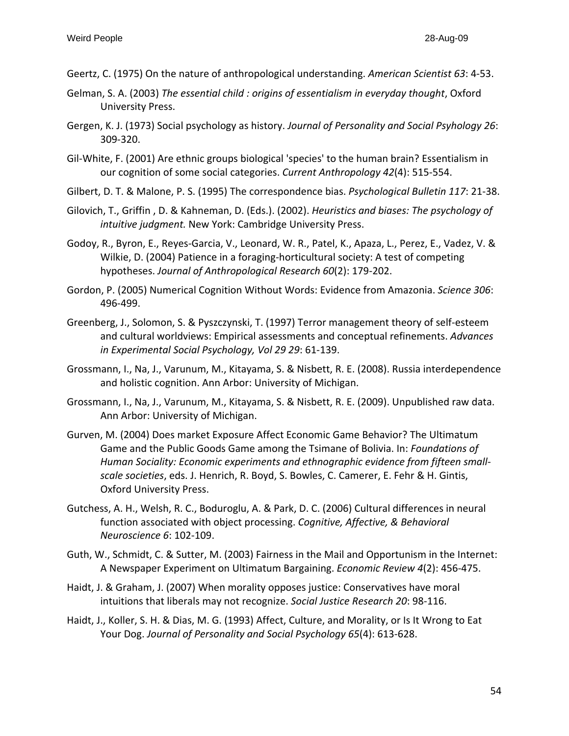- Geertz, C. (1975) On the nature of anthropological understanding. *American Scientist 63*: 4‐53.
- Gelman, S. A. (2003) *The essential child : origins of essentialism in everyday thought*, Oxford University Press.
- Gergen, K. J. (1973) Social psychology as history. *Journal of Personality and Social Psyhology 26*: 309‐320.
- Gil‐White, F. (2001) Are ethnic groups biological 'species' to the human brain? Essentialism in our cognition of some social categories. *Current Anthropology 42*(4): 515‐554.
- Gilbert, D. T. & Malone, P. S. (1995) The correspondence bias. *Psychological Bulletin 117*: 21‐38.
- Gilovich, T., Griffin , D. & Kahneman, D. (Eds.). (2002). *Heuristics and biases: The psychology of intuitive judgment.* New York: Cambridge University Press.
- Godoy, R., Byron, E., Reyes‐Garcia, V., Leonard, W. R., Patel, K., Apaza, L., Perez, E., Vadez, V. & Wilkie, D. (2004) Patience in a foraging‐horticultural society: A test of competing hypotheses. *Journal of Anthropological Research 60*(2): 179‐202.
- Gordon, P. (2005) Numerical Cognition Without Words: Evidence from Amazonia. *Science 306*: 496‐499.
- Greenberg, J., Solomon, S. & Pyszczynski, T. (1997) Terror management theory of self‐esteem and cultural worldviews: Empirical assessments and conceptual refinements. *Advances in Experimental Social Psychology, Vol 29 29*: 61‐139.
- Grossmann, I., Na, J., Varunum, M., Kitayama, S. & Nisbett, R. E. (2008). Russia interdependence and holistic cognition. Ann Arbor: University of Michigan.
- Grossmann, I., Na, J., Varunum, M., Kitayama, S. & Nisbett, R. E. (2009). Unpublished raw data. Ann Arbor: University of Michigan.
- Gurven, M. (2004) Does market Exposure Affect Economic Game Behavior? The Ultimatum Game and the Public Goods Game among the Tsimane of Bolivia. In: *Foundations of Human Sociality: Economic experiments and ethnographic evidence from fifteen small‐ scale societies*, eds. J. Henrich, R. Boyd, S. Bowles, C. Camerer, E. Fehr & H. Gintis, Oxford University Press.
- Gutchess, A. H., Welsh, R. C., Boduroglu, A. & Park, D. C. (2006) Cultural differences in neural function associated with object processing. *Cognitive, Affective, & Behavioral Neuroscience 6*: 102‐109.
- Guth, W., Schmidt, C. & Sutter, M. (2003) Fairness in the Mail and Opportunism in the Internet: A Newspaper Experiment on Ultimatum Bargaining. *Economic Review 4*(2): 456‐475.
- Haidt, J. & Graham, J. (2007) When morality opposes justice: Conservatives have moral intuitions that liberals may not recognize. *Social Justice Research 20*: 98‐116.
- Haidt, J., Koller, S. H. & Dias, M. G. (1993) Affect, Culture, and Morality, or Is It Wrong to Eat Your Dog. *Journal of Personality and Social Psychology 65*(4): 613‐628.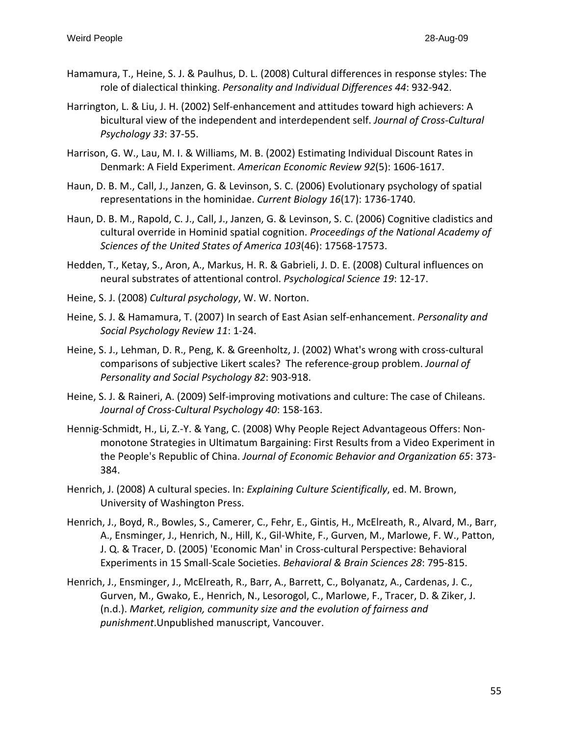- Hamamura, T., Heine, S. J. & Paulhus, D. L. (2008) Cultural differences in response styles: The role of dialectical thinking. *Personality and Individual Differences 44*: 932‐942.
- Harrington, L. & Liu, J. H. (2002) Self-enhancement and attitudes toward high achievers: A bicultural view of the independent and interdependent self. *Journal of Cross‐Cultural Psychology 33*: 37‐55.
- Harrison, G. W., Lau, M. I. & Williams, M. B. (2002) Estimating Individual Discount Rates in Denmark: A Field Experiment. *American Economic Review 92*(5): 1606‐1617.
- Haun, D. B. M., Call, J., Janzen, G. & Levinson, S. C. (2006) Evolutionary psychology of spatial representations in the hominidae. *Current Biology 16*(17): 1736‐1740.
- Haun, D. B. M., Rapold, C. J., Call, J., Janzen, G. & Levinson, S. C. (2006) Cognitive cladistics and cultural override in Hominid spatial cognition. *Proceedings of the National Academy of Sciences of the United States of America 103*(46): 17568‐17573.
- Hedden, T., Ketay, S., Aron, A., Markus, H. R. & Gabrieli, J. D. E. (2008) Cultural influences on neural substrates of attentional control. *Psychological Science 19*: 12‐17.
- Heine, S. J. (2008) *Cultural psychology*, W. W. Norton.
- Heine, S. J. & Hamamura, T. (2007) In search of East Asian self‐enhancement. *Personality and Social Psychology Review 11*: 1‐24.
- Heine, S. J., Lehman, D. R., Peng, K. & Greenholtz, J. (2002) What's wrong with cross-cultural comparisons of subjective Likert scales? The reference‐group problem. *Journal of Personality and Social Psychology 82*: 903‐918.
- Heine, S. J. & Raineri, A. (2009) Self‐improving motivations and culture: The case of Chileans. *Journal of Cross‐Cultural Psychology 40*: 158‐163.
- Hennig‐Schmidt, H., Li, Z.‐Y. & Yang, C. (2008) Why People Reject Advantageous Offers: Non‐ monotone Strategies in Ultimatum Bargaining: First Results from a Video Experiment in the People's Republic of China. *Journal of Economic Behavior and Organization 65*: 373‐ 384.
- Henrich, J. (2008) A cultural species. In: *Explaining Culture Scientifically*, ed. M. Brown, University of Washington Press.
- Henrich, J., Boyd, R., Bowles, S., Camerer, C., Fehr, E., Gintis, H., McElreath, R., Alvard, M., Barr, A., Ensminger, J., Henrich, N., Hill, K., Gil‐White, F., Gurven, M., Marlowe, F. W., Patton, J. Q. & Tracer, D. (2005) 'Economic Man' in Cross‐cultural Perspective: Behavioral Experiments in 15 Small‐Scale Societies. *Behavioral & Brain Sciences 28*: 795‐815.
- Henrich, J., Ensminger, J., McElreath, R., Barr, A., Barrett, C., Bolyanatz, A., Cardenas, J. C., Gurven, M., Gwako, E., Henrich, N., Lesorogol, C., Marlowe, F., Tracer, D. & Ziker, J. (n.d.). *Market, religion, community size and the evolution of fairness and punishment*.Unpublished manuscript, Vancouver.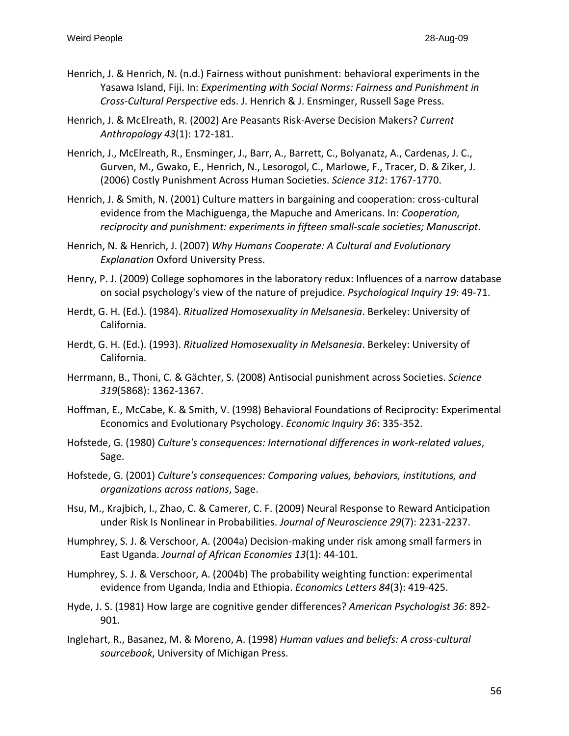- Henrich, J. & Henrich, N. (n.d.) Fairness without punishment: behavioral experiments in the Yasawa Island, Fiji. In: *Experimenting with Social Norms: Fairness and Punishment in Cross‐Cultural Perspective* eds. J. Henrich & J. Ensminger, Russell Sage Press.
- Henrich, J. & McElreath, R. (2002) Are Peasants Risk‐Averse Decision Makers? *Current Anthropology 43*(1): 172‐181.
- Henrich, J., McElreath, R., Ensminger, J., Barr, A., Barrett, C., Bolyanatz, A., Cardenas, J. C., Gurven, M., Gwako, E., Henrich, N., Lesorogol, C., Marlowe, F., Tracer, D. & Ziker, J. (2006) Costly Punishment Across Human Societies. *Science 312*: 1767‐1770.
- Henrich, J. & Smith, N. (2001) Culture matters in bargaining and cooperation: cross-cultural evidence from the Machiguenga, the Mapuche and Americans. In: *Cooperation, reciprocity and punishment: experiments in fifteen small‐scale societies; Manuscript*.
- Henrich, N. & Henrich, J. (2007) *Why Humans Cooperate: A Cultural and Evolutionary Explanation* Oxford University Press.
- Henry, P. J. (2009) College sophomores in the laboratory redux: Influences of a narrow database on social psychology's view of the nature of prejudice. *Psychological Inquiry 19*: 49‐71.
- Herdt, G. H. (Ed.). (1984). *Ritualized Homosexuality in Melsanesia*. Berkeley: University of California.
- Herdt, G. H. (Ed.). (1993). *Ritualized Homosexuality in Melsanesia*. Berkeley: University of California.
- Herrmann, B., Thoni, C. & Gächter, S. (2008) Antisocial punishment across Societies. *Science 319*(5868): 1362‐1367.
- Hoffman, E., McCabe, K. & Smith, V. (1998) Behavioral Foundations of Reciprocity: Experimental Economics and Evolutionary Psychology. *Economic Inquiry 36*: 335‐352.
- Hofstede, G. (1980) *Culture's consequences: International differences in work‐related values*, Sage.
- Hofstede, G. (2001) *Culture's consequences: Comparing values, behaviors, institutions, and organizations across nations*, Sage.
- Hsu, M., Krajbich, I., Zhao, C. & Camerer, C. F. (2009) Neural Response to Reward Anticipation under Risk Is Nonlinear in Probabilities. *Journal of Neuroscience 29*(7): 2231‐2237.
- Humphrey, S. J. & Verschoor, A. (2004a) Decision‐making under risk among small farmers in East Uganda. *Journal of African Economies 13*(1): 44‐101.
- Humphrey, S. J. & Verschoor, A. (2004b) The probability weighting function: experimental evidence from Uganda, India and Ethiopia. *Economics Letters 84*(3): 419‐425.
- Hyde, J. S. (1981) How large are cognitive gender differences? *American Psychologist 36*: 892‐ 901.
- Inglehart, R., Basanez, M. & Moreno, A. (1998) *Human values and beliefs: A cross‐cultural sourcebook*, University of Michigan Press.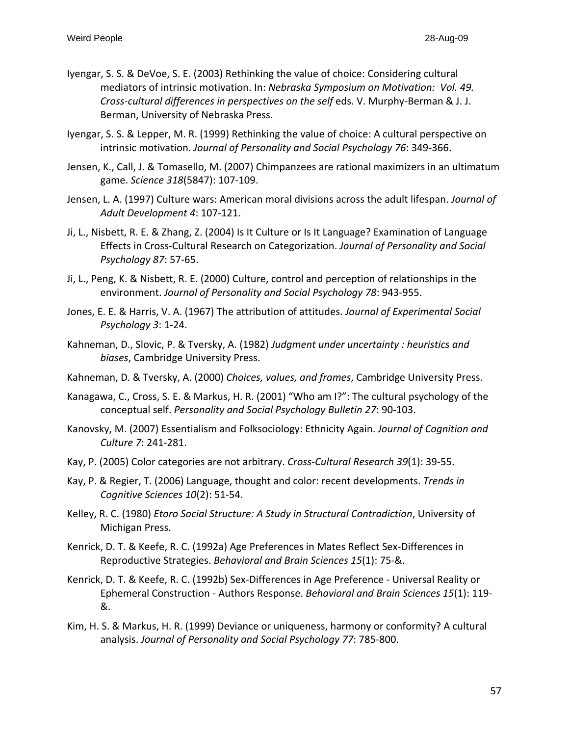- Iyengar, S. S. & DeVoe, S. E. (2003) Rethinking the value of choice: Considering cultural mediators of intrinsic motivation. In: *Nebraska Symposium on Motivation: Vol. 49. Cross‐cultural differences in perspectives on the self* eds. V. Murphy‐Berman & J. J. Berman, University of Nebraska Press.
- Iyengar, S. S. & Lepper, M. R. (1999) Rethinking the value of choice: A cultural perspective on intrinsic motivation. *Journal of Personality and Social Psychology 76*: 349‐366.
- Jensen, K., Call, J. & Tomasello, M. (2007) Chimpanzees are rational maximizers in an ultimatum game. *Science 318*(5847): 107‐109.
- Jensen, L. A. (1997) Culture wars: American moral divisions across the adult lifespan. *Journal of Adult Development 4*: 107‐121.
- Ji, L., Nisbett, R. E. & Zhang, Z. (2004) Is It Culture or Is It Language? Examination of Language Effects in Cross‐Cultural Research on Categorization. *Journal of Personality and Social Psychology 87*: 57‐65.
- Ji, L., Peng, K. & Nisbett, R. E. (2000) Culture, control and perception of relationships in the environment. *Journal of Personality and Social Psychology 78*: 943‐955.
- Jones, E. E. & Harris, V. A. (1967) The attribution of attitudes. *Journal of Experimental Social Psychology 3*: 1‐24.
- Kahneman, D., Slovic, P. & Tversky, A. (1982) *Judgment under uncertainty : heuristics and biases*, Cambridge University Press.
- Kahneman, D. & Tversky, A. (2000) *Choices, values, and frames*, Cambridge University Press.
- Kanagawa, C., Cross, S. E. & Markus, H. R. (2001) "Who am I?": The cultural psychology of the conceptual self. *Personality and Social Psychology Bulletin 27*: 90‐103.
- Kanovsky, M. (2007) Essentialism and Folksociology: Ethnicity Again. *Journal of Cognition and Culture 7*: 241‐281.
- Kay, P. (2005) Color categories are not arbitrary. *Cross‐Cultural Research 39*(1): 39‐55.
- Kay, P. & Regier, T. (2006) Language, thought and color: recent developments. *Trends in Cognitive Sciences 10*(2): 51‐54.
- Kelley, R. C. (1980) *Etoro Social Structure: A Study in Structural Contradiction*, University of Michigan Press.
- Kenrick, D. T. & Keefe, R. C. (1992a) Age Preferences in Mates Reflect Sex‐Differences in Reproductive Strategies. *Behavioral and Brain Sciences 15*(1): 75‐&.
- Kenrick, D. T. & Keefe, R. C. (1992b) Sex‐Differences in Age Preference ‐ Universal Reality or Ephemeral Construction ‐ Authors Response. *Behavioral and Brain Sciences 15*(1): 119‐ &.
- Kim, H. S. & Markus, H. R. (1999) Deviance or uniqueness, harmony or conformity? A cultural analysis. *Journal of Personality and Social Psychology 77*: 785‐800.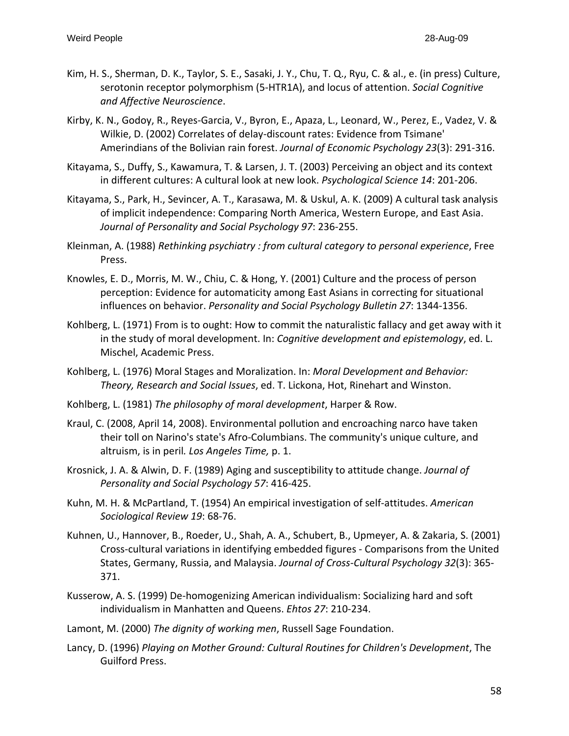- Kim, H. S., Sherman, D. K., Taylor, S. E., Sasaki, J. Y., Chu, T. Q., Ryu, C. & al., e. (in press) Culture, serotonin receptor polymorphism (5‐HTR1A), and locus of attention. *Social Cognitive and Affective Neuroscience*.
- Kirby, K. N., Godoy, R., Reyes‐Garcia, V., Byron, E., Apaza, L., Leonard, W., Perez, E., Vadez, V. & Wilkie, D. (2002) Correlates of delay‐discount rates: Evidence from Tsimane' Amerindians of the Bolivian rain forest. *Journal of Economic Psychology 23*(3): 291‐316.
- Kitayama, S., Duffy, S., Kawamura, T. & Larsen, J. T. (2003) Perceiving an object and its context in different cultures: A cultural look at new look. *Psychological Science 14*: 201‐206.
- Kitayama, S., Park, H., Sevincer, A. T., Karasawa, M. & Uskul, A. K. (2009) A cultural task analysis of implicit independence: Comparing North America, Western Europe, and East Asia. *Journal of Personality and Social Psychology 97*: 236‐255.
- Kleinman, A. (1988) *Rethinking psychiatry : from cultural category to personal experience*, Free Press.
- Knowles, E. D., Morris, M. W., Chiu, C. & Hong, Y. (2001) Culture and the process of person perception: Evidence for automaticity among East Asians in correcting for situational influences on behavior. *Personality and Social Psychology Bulletin 27*: 1344‐1356.
- Kohlberg, L. (1971) From is to ought: How to commit the naturalistic fallacy and get away with it in the study of moral development. In: *Cognitive development and epistemology*, ed. L. Mischel, Academic Press.
- Kohlberg, L. (1976) Moral Stages and Moralization. In: *Moral Development and Behavior: Theory, Research and Social Issues*, ed. T. Lickona, Hot, Rinehart and Winston.
- Kohlberg, L. (1981) *The philosophy of moral development*, Harper & Row.
- Kraul, C. (2008, April 14, 2008). Environmental pollution and encroaching narco have taken their toll on Narino's state's Afro‐Columbians. The community's unique culture, and altruism, is in peril*. Los Angeles Time,* p. 1.
- Krosnick, J. A. & Alwin, D. F. (1989) Aging and susceptibility to attitude change. *Journal of Personality and Social Psychology 57*: 416‐425.
- Kuhn, M. H. & McPartland, T. (1954) An empirical investigation of self‐attitudes. *American Sociological Review 19*: 68‐76.
- Kuhnen, U., Hannover, B., Roeder, U., Shah, A. A., Schubert, B., Upmeyer, A. & Zakaria, S. (2001) Cross‐cultural variations in identifying embedded figures ‐ Comparisons from the United States, Germany, Russia, and Malaysia. *Journal of Cross‐Cultural Psychology 32*(3): 365‐ 371.
- Kusserow, A. S. (1999) De‐homogenizing American individualism: Socializing hard and soft individualism in Manhatten and Queens. *Ehtos 27*: 210‐234.
- Lamont, M. (2000) *The dignity of working men*, Russell Sage Foundation.
- Lancy, D. (1996) *Playing on Mother Ground: Cultural Routines for Children's Development*, The Guilford Press.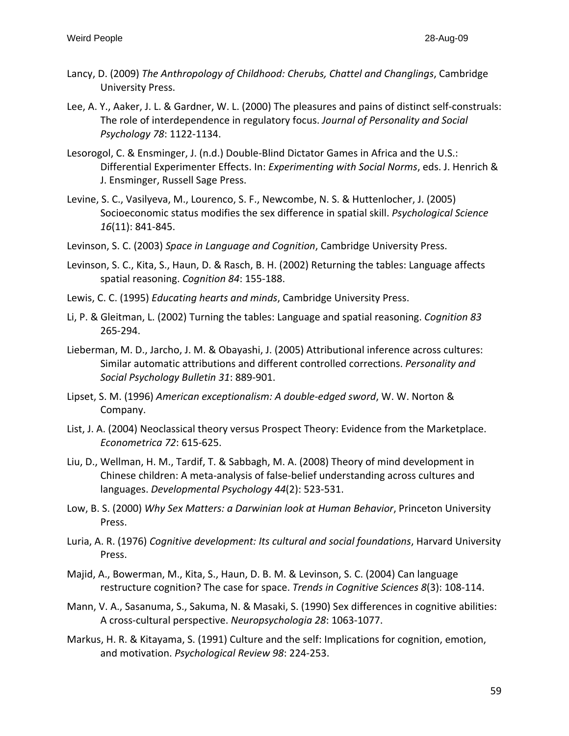- Lancy, D. (2009) *The Anthropology of Childhood: Cherubs, Chattel and Changlings*, Cambridge University Press.
- Lee, A. Y., Aaker, J. L. & Gardner, W. L. (2000) The pleasures and pains of distinct self‐construals: The role of interdependence in regulatory focus. *Journal of Personality and Social Psychology 78*: 1122‐1134.
- Lesorogol, C. & Ensminger, J. (n.d.) Double‐Blind Dictator Games in Africa and the U.S.: Differential Experimenter Effects. In: *Experimenting with Social Norms*, eds. J. Henrich & J. Ensminger, Russell Sage Press.
- Levine, S. C., Vasilyeva, M., Lourenco, S. F., Newcombe, N. S. & Huttenlocher, J. (2005) Socioeconomic status modifies the sex difference in spatial skill. *Psychological Science 16*(11): 841‐845.
- Levinson, S. C. (2003) *Space in Language and Cognition*, Cambridge University Press.
- Levinson, S. C., Kita, S., Haun, D. & Rasch, B. H. (2002) Returning the tables: Language affects spatial reasoning. *Cognition 84*: 155‐188.
- Lewis, C. C. (1995) *Educating hearts and minds*, Cambridge University Press.
- Li, P. & Gleitman, L. (2002) Turning the tables: Language and spatial reasoning. *Cognition 83* 265‐294.
- Lieberman, M. D., Jarcho, J. M. & Obayashi, J. (2005) Attributional inference across cultures: Similar automatic attributions and different controlled corrections. *Personality and Social Psychology Bulletin 31*: 889‐901.
- Lipset, S. M. (1996) *American exceptionalism: A double‐edged sword*, W. W. Norton & Company.
- List, J. A. (2004) Neoclassical theory versus Prospect Theory: Evidence from the Marketplace. *Econometrica 72*: 615‐625.
- Liu, D., Wellman, H. M., Tardif, T. & Sabbagh, M. A. (2008) Theory of mind development in Chinese children: A meta‐analysis of false‐belief understanding across cultures and languages. *Developmental Psychology 44*(2): 523‐531.
- Low, B. S. (2000) *Why Sex Matters: a Darwinian look at Human Behavior*, Princeton University Press.
- Luria, A. R. (1976) *Cognitive development: Its cultural and social foundations*, Harvard University Press.
- Majid, A., Bowerman, M., Kita, S., Haun, D. B. M. & Levinson, S. C. (2004) Can language restructure cognition? The case for space. *Trends in Cognitive Sciences 8*(3): 108‐114.
- Mann, V. A., Sasanuma, S., Sakuma, N. & Masaki, S. (1990) Sex differences in cognitive abilities: A cross‐cultural perspective. *Neuropsychologia 28*: 1063‐1077.
- Markus, H. R. & Kitayama, S. (1991) Culture and the self: Implications for cognition, emotion, and motivation. *Psychological Review 98*: 224‐253.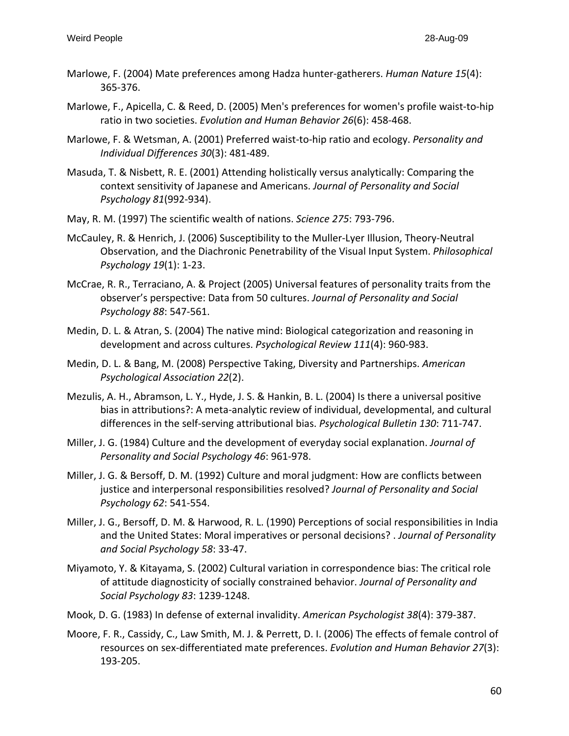- Marlowe, F. (2004) Mate preferences among Hadza hunter‐gatherers. *Human Nature 15*(4): 365‐376.
- Marlowe, F., Apicella, C. & Reed, D. (2005) Men's preferences for women's profile waist‐to‐hip ratio in two societies. *Evolution and Human Behavior 26*(6): 458‐468.
- Marlowe, F. & Wetsman, A. (2001) Preferred waist‐to‐hip ratio and ecology. *Personality and Individual Differences 30*(3): 481‐489.
- Masuda, T. & Nisbett, R. E. (2001) Attending holistically versus analytically: Comparing the context sensitivity of Japanese and Americans. *Journal of Personality and Social Psychology 81*(992‐934).
- May, R. M. (1997) The scientific wealth of nations. *Science 275*: 793‐796.
- McCauley, R. & Henrich, J. (2006) Susceptibility to the Muller‐Lyer Illusion, Theory‐Neutral Observation, and the Diachronic Penetrability of the Visual Input System. *Philosophical Psychology 19*(1): 1‐23.
- McCrae, R. R., Terraciano, A. & Project (2005) Universal features of personality traits from the observer's perspective: Data from 50 cultures. *Journal of Personality and Social Psychology 88*: 547‐561.
- Medin, D. L. & Atran, S. (2004) The native mind: Biological categorization and reasoning in development and across cultures. *Psychological Review 111*(4): 960‐983.
- Medin, D. L. & Bang, M. (2008) Perspective Taking, Diversity and Partnerships. *American Psychological Association 22*(2).
- Mezulis, A. H., Abramson, L. Y., Hyde, J. S. & Hankin, B. L. (2004) Is there a universal positive bias in attributions?: A meta‐analytic review of individual, developmental, and cultural differences in the self‐serving attributional bias. *Psychological Bulletin 130*: 711‐747.
- Miller, J. G. (1984) Culture and the development of everyday social explanation. *Journal of Personality and Social Psychology 46*: 961‐978.
- Miller, J. G. & Bersoff, D. M. (1992) Culture and moral judgment: How are conflicts between justice and interpersonal responsibilities resolved? *Journal of Personality and Social Psychology 62*: 541‐554.
- Miller, J. G., Bersoff, D. M. & Harwood, R. L. (1990) Perceptions of social responsibilities in India and the United States: Moral imperatives or personal decisions? . *Journal of Personality and Social Psychology 58*: 33‐47.
- Miyamoto, Y. & Kitayama, S. (2002) Cultural variation in correspondence bias: The critical role of attitude diagnosticity of socially constrained behavior. *Journal of Personality and Social Psychology 83*: 1239‐1248.
- Mook, D. G. (1983) In defense of external invalidity. *American Psychologist 38*(4): 379‐387.
- Moore, F. R., Cassidy, C., Law Smith, M. J. & Perrett, D. I. (2006) The effects of female control of resources on sex‐differentiated mate preferences. *Evolution and Human Behavior 27*(3): 193‐205.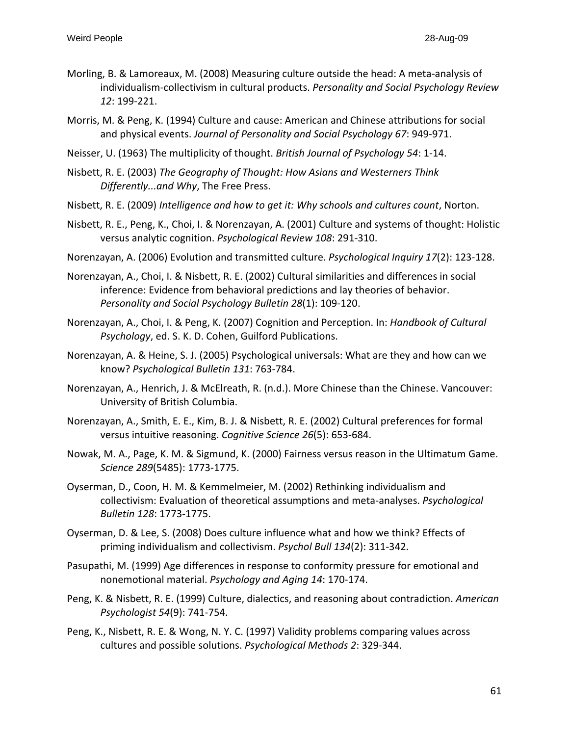- Morling, B. & Lamoreaux, M. (2008) Measuring culture outside the head: A meta‐analysis of individualism‐collectivism in cultural products. *Personality and Social Psychology Review 12*: 199‐221.
- Morris, M. & Peng, K. (1994) Culture and cause: American and Chinese attributions for social and physical events. *Journal of Personality and Social Psychology 67*: 949‐971.
- Neisser, U. (1963) The multiplicity of thought. *British Journal of Psychology 54*: 1‐14.
- Nisbett, R. E. (2003) *The Geography of Thought: How Asians and Westerners Think Differently...and Why*, The Free Press.
- Nisbett, R. E. (2009) *Intelligence and how to get it: Why schools and cultures count*, Norton.
- Nisbett, R. E., Peng, K., Choi, I. & Norenzayan, A. (2001) Culture and systems of thought: Holistic versus analytic cognition. *Psychological Review 108*: 291‐310.
- Norenzayan, A. (2006) Evolution and transmitted culture. *Psychological Inquiry 17*(2): 123‐128.
- Norenzayan, A., Choi, I. & Nisbett, R. E. (2002) Cultural similarities and differences in social inference: Evidence from behavioral predictions and lay theories of behavior. *Personality and Social Psychology Bulletin 28*(1): 109‐120.
- Norenzayan, A., Choi, I. & Peng, K. (2007) Cognition and Perception. In: *Handbook of Cultural Psychology*, ed. S. K. D. Cohen, Guilford Publications.
- Norenzayan, A. & Heine, S. J. (2005) Psychological universals: What are they and how can we know? *Psychological Bulletin 131*: 763‐784.
- Norenzayan, A., Henrich, J. & McElreath, R. (n.d.). More Chinese than the Chinese. Vancouver: University of British Columbia.
- Norenzayan, A., Smith, E. E., Kim, B. J. & Nisbett, R. E. (2002) Cultural preferences for formal versus intuitive reasoning. *Cognitive Science 26*(5): 653‐684.
- Nowak, M. A., Page, K. M. & Sigmund, K. (2000) Fairness versus reason in the Ultimatum Game. *Science 289*(5485): 1773‐1775.
- Oyserman, D., Coon, H. M. & Kemmelmeier, M. (2002) Rethinking individualism and collectivism: Evaluation of theoretical assumptions and meta‐analyses. *Psychological Bulletin 128*: 1773‐1775.
- Oyserman, D. & Lee, S. (2008) Does culture influence what and how we think? Effects of priming individualism and collectivism. *Psychol Bull 134*(2): 311‐342.
- Pasupathi, M. (1999) Age differences in response to conformity pressure for emotional and nonemotional material. *Psychology and Aging 14*: 170‐174.
- Peng, K. & Nisbett, R. E. (1999) Culture, dialectics, and reasoning about contradiction. *American Psychologist 54*(9): 741‐754.
- Peng, K., Nisbett, R. E. & Wong, N. Y. C. (1997) Validity problems comparing values across cultures and possible solutions. *Psychological Methods 2*: 329‐344.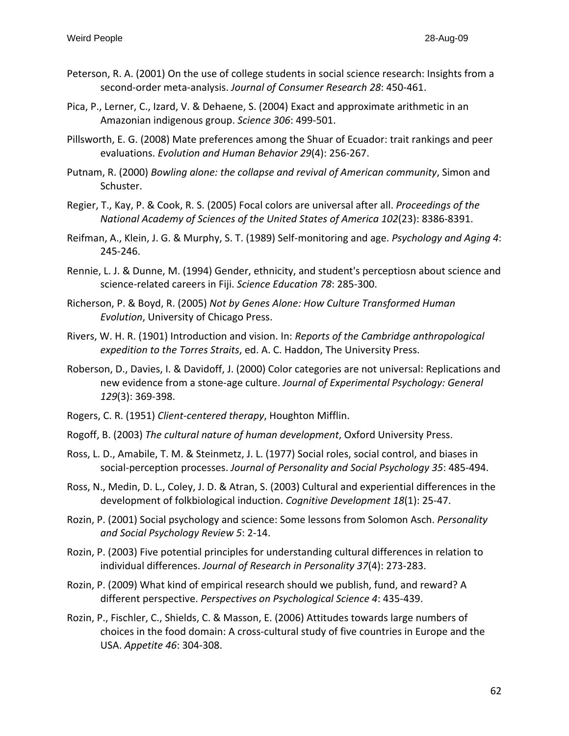- Peterson, R. A. (2001) On the use of college students in social science research: Insights from a second‐order meta‐analysis. *Journal of Consumer Research 28*: 450‐461.
- Pica, P., Lerner, C., Izard, V. & Dehaene, S. (2004) Exact and approximate arithmetic in an Amazonian indigenous group. *Science 306*: 499‐501.
- Pillsworth, E. G. (2008) Mate preferences among the Shuar of Ecuador: trait rankings and peer evaluations. *Evolution and Human Behavior 29*(4): 256‐267.
- Putnam, R. (2000) *Bowling alone: the collapse and revival of American community*, Simon and Schuster.
- Regier, T., Kay, P. & Cook, R. S. (2005) Focal colors are universal after all. *Proceedings of the National Academy of Sciences of the United States of America 102*(23): 8386‐8391.
- Reifman, A., Klein, J. G. & Murphy, S. T. (1989) Self‐monitoring and age. *Psychology and Aging 4*: 245‐246.
- Rennie, L. J. & Dunne, M. (1994) Gender, ethnicity, and student's perceptiosn about science and science‐related careers in Fiji. *Science Education 78*: 285‐300.
- Richerson, P. & Boyd, R. (2005) *Not by Genes Alone: How Culture Transformed Human Evolution*, University of Chicago Press.
- Rivers, W. H. R. (1901) Introduction and vision. In: *Reports of the Cambridge anthropological expedition to the Torres Straits*, ed. A. C. Haddon, The University Press.
- Roberson, D., Davies, I. & Davidoff, J. (2000) Color categories are not universal: Replications and new evidence from a stone‐age culture. *Journal of Experimental Psychology: General 129*(3): 369‐398.
- Rogers, C. R. (1951) *Client‐centered therapy*, Houghton Mifflin.
- Rogoff, B. (2003) *The cultural nature of human development*, Oxford University Press.
- Ross, L. D., Amabile, T. M. & Steinmetz, J. L. (1977) Social roles, social control, and biases in social‐perception processes. *Journal of Personality and Social Psychology 35*: 485‐494.
- Ross, N., Medin, D. L., Coley, J. D. & Atran, S. (2003) Cultural and experiential differences in the development of folkbiological induction. *Cognitive Development 18*(1): 25‐47.
- Rozin, P. (2001) Social psychology and science: Some lessons from Solomon Asch. *Personality and Social Psychology Review 5*: 2‐14.
- Rozin, P. (2003) Five potential principles for understanding cultural differences in relation to individual differences. *Journal of Research in Personality 37*(4): 273‐283.
- Rozin, P. (2009) What kind of empirical research should we publish, fund, and reward? A different perspective. *Perspectives on Psychological Science 4*: 435‐439.
- Rozin, P., Fischler, C., Shields, C. & Masson, E. (2006) Attitudes towards large numbers of choices in the food domain: A cross‐cultural study of five countries in Europe and the USA. *Appetite 46*: 304‐308.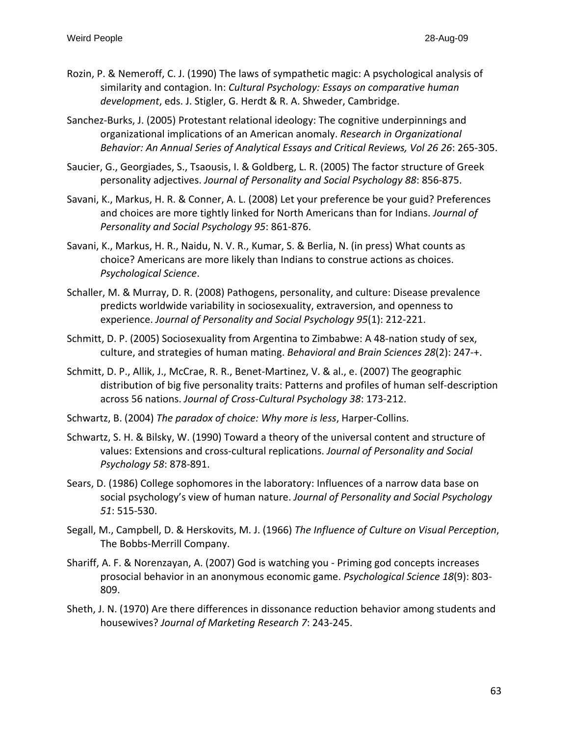- Rozin, P. & Nemeroff, C. J. (1990) The laws of sympathetic magic: A psychological analysis of similarity and contagion. In: *Cultural Psychology: Essays on comparative human development*, eds. J. Stigler, G. Herdt & R. A. Shweder, Cambridge.
- Sanchez‐Burks, J. (2005) Protestant relational ideology: The cognitive underpinnings and organizational implications of an American anomaly. *Research in Organizational Behavior: An Annual Series of Analytical Essays and Critical Reviews, Vol 26 26*: 265‐305.
- Saucier, G., Georgiades, S., Tsaousis, I. & Goldberg, L. R. (2005) The factor structure of Greek personality adjectives. *Journal of Personality and Social Psychology 88*: 856‐875.
- Savani, K., Markus, H. R. & Conner, A. L. (2008) Let your preference be your guid? Preferences and choices are more tightly linked for North Americans than for Indians. *Journal of Personality and Social Psychology 95*: 861‐876.
- Savani, K., Markus, H. R., Naidu, N. V. R., Kumar, S. & Berlia, N. (in press) What counts as choice? Americans are more likely than Indians to construe actions as choices. *Psychological Science*.
- Schaller, M. & Murray, D. R. (2008) Pathogens, personality, and culture: Disease prevalence predicts worldwide variability in sociosexuality, extraversion, and openness to experience. *Journal of Personality and Social Psychology 95*(1): 212‐221.
- Schmitt, D. P. (2005) Sociosexuality from Argentina to Zimbabwe: A 48‐nation study of sex, culture, and strategies of human mating. *Behavioral and Brain Sciences 28*(2): 247‐+.
- Schmitt, D. P., Allik, J., McCrae, R. R., Benet‐Martinez, V. & al., e. (2007) The geographic distribution of big five personality traits: Patterns and profiles of human self‐description across 56 nations. *Journal of Cross‐Cultural Psychology 38*: 173‐212.
- Schwartz, B. (2004) *The paradox of choice: Why more is less*, Harper‐Collins.
- Schwartz, S. H. & Bilsky, W. (1990) Toward a theory of the universal content and structure of values: Extensions and cross‐cultural replications. *Journal of Personality and Social Psychology 58*: 878‐891.
- Sears, D. (1986) College sophomores in the laboratory: Influences of a narrow data base on social psychology's view of human nature. *Journal of Personality and Social Psychology 51*: 515‐530.
- Segall, M., Campbell, D. & Herskovits, M. J. (1966) *The Influence of Culture on Visual Perception*, The Bobbs‐Merrill Company.
- Shariff, A. F. & Norenzayan, A. (2007) God is watching you ‐ Priming god concepts increases prosocial behavior in an anonymous economic game. *Psychological Science 18*(9): 803‐ 809.
- Sheth, J. N. (1970) Are there differences in dissonance reduction behavior among students and housewives? *Journal of Marketing Research 7*: 243‐245.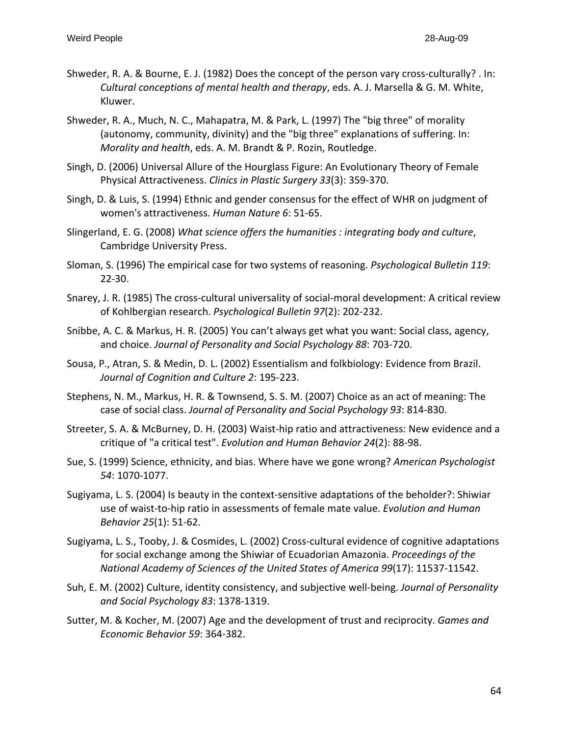- Shweder, R. A. & Bourne, E. J. (1982) Does the concept of the person vary cross-culturally? . In: *Cultural conceptions of mental health and therapy*, eds. A. J. Marsella & G. M. White, Kluwer.
- Shweder, R. A., Much, N. C., Mahapatra, M. & Park, L. (1997) The "big three" of morality (autonomy, community, divinity) and the "big three" explanations of suffering. In: *Morality and health*, eds. A. M. Brandt & P. Rozin, Routledge.
- Singh, D. (2006) Universal Allure of the Hourglass Figure: An Evolutionary Theory of Female Physical Attractiveness. *Clinics in Plastic Surgery 33*(3): 359‐370.
- Singh, D. & Luis, S. (1994) Ethnic and gender consensus for the effect of WHR on judgment of women's attractiveness. *Human Nature 6*: 51‐65.
- Slingerland, E. G. (2008) *What science offers the humanities : integrating body and culture*, Cambridge University Press.
- Sloman, S. (1996) The empirical case for two systems of reasoning. *Psychological Bulletin 119*: 22‐30.
- Snarey, J. R. (1985) The cross‐cultural universality of social‐moral development: A critical review of Kohlbergian research. *Psychological Bulletin 97*(2): 202‐232.
- Snibbe, A. C. & Markus, H. R. (2005) You can't always get what you want: Social class, agency, and choice. *Journal of Personality and Social Psychology 88*: 703‐720.
- Sousa, P., Atran, S. & Medin, D. L. (2002) Essentialism and folkbiology: Evidence from Brazil. *Journal of Cognition and Culture 2*: 195‐223.
- Stephens, N. M., Markus, H. R. & Townsend, S. S. M. (2007) Choice as an act of meaning: The case of social class. *Journal of Personality and Social Psychology 93*: 814‐830.
- Streeter, S. A. & McBurney, D. H. (2003) Waist‐hip ratio and attractiveness: New evidence and a critique of "a critical test". *Evolution and Human Behavior 24*(2): 88‐98.
- Sue, S. (1999) Science, ethnicity, and bias. Where have we gone wrong? *American Psychologist 54*: 1070‐1077.
- Sugiyama, L. S. (2004) Is beauty in the context‐sensitive adaptations of the beholder?: Shiwiar use of waist‐to‐hip ratio in assessments of female mate value. *Evolution and Human Behavior 25*(1): 51‐62.
- Sugiyama, L. S., Tooby, J. & Cosmides, L. (2002) Cross‐cultural evidence of cognitive adaptations for social exchange among the Shiwiar of Ecuadorian Amazonia. *Proceedings of the National Academy of Sciences of the United States of America 99*(17): 11537‐11542.
- Suh, E. M. (2002) Culture, identity consistency, and subjective well‐being. *Journal of Personality and Social Psychology 83*: 1378‐1319.
- Sutter, M. & Kocher, M. (2007) Age and the development of trust and reciprocity. *Games and Economic Behavior 59*: 364‐382.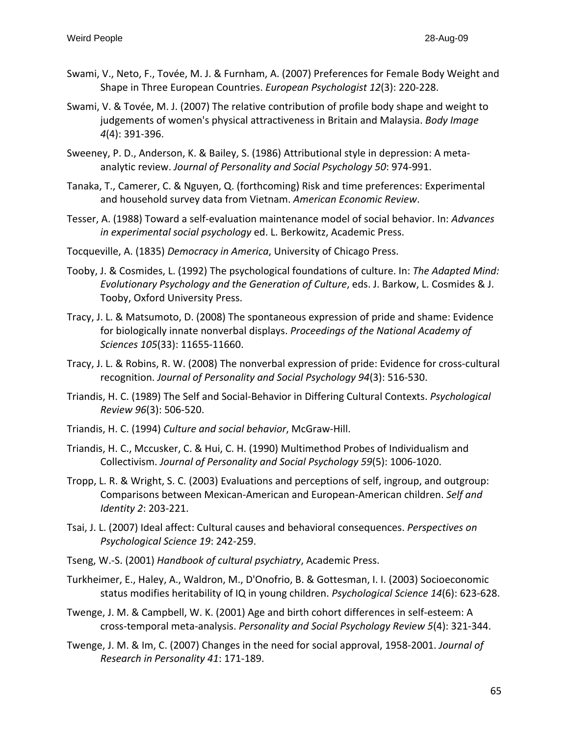- Swami, V., Neto, F., Tovée, M. J. & Furnham, A. (2007) Preferences for Female Body Weight and Shape in Three European Countries. *European Psychologist 12*(3): 220‐228.
- Swami, V. & Tovée, M. J. (2007) The relative contribution of profile body shape and weight to judgements of women's physical attractiveness in Britain and Malaysia. *Body Image 4*(4): 391‐396.
- Sweeney, P. D., Anderson, K. & Bailey, S. (1986) Attributional style in depression: A meta‐ analytic review. *Journal of Personality and Social Psychology 50*: 974‐991.
- Tanaka, T., Camerer, C. & Nguyen, Q. (forthcoming) Risk and time preferences: Experimental and household survey data from Vietnam. *American Economic Review*.
- Tesser, A. (1988) Toward a self‐evaluation maintenance model of social behavior. In: *Advances in experimental social psychology* ed. L. Berkowitz, Academic Press.
- Tocqueville, A. (1835) *Democracy in America*, University of Chicago Press.
- Tooby, J. & Cosmides, L. (1992) The psychological foundations of culture. In: *The Adapted Mind: Evolutionary Psychology and the Generation of Culture*, eds. J. Barkow, L. Cosmides & J. Tooby, Oxford University Press.
- Tracy, J. L. & Matsumoto, D. (2008) The spontaneous expression of pride and shame: Evidence for biologically innate nonverbal displays. *Proceedings of the National Academy of Sciences 105*(33): 11655‐11660.
- Tracy, J. L. & Robins, R. W. (2008) The nonverbal expression of pride: Evidence for cross‐cultural recognition. *Journal of Personality and Social Psychology 94*(3): 516‐530.
- Triandis, H. C. (1989) The Self and Social‐Behavior in Differing Cultural Contexts. *Psychological Review 96*(3): 506‐520.
- Triandis, H. C. (1994) *Culture and social behavior*, McGraw‐Hill.
- Triandis, H. C., Mccusker, C. & Hui, C. H. (1990) Multimethod Probes of Individualism and Collectivism. *Journal of Personality and Social Psychology 59*(5): 1006‐1020.
- Tropp, L. R. & Wright, S. C. (2003) Evaluations and perceptions of self, ingroup, and outgroup: Comparisons between Mexican‐American and European‐American children. *Self and Identity 2*: 203‐221.
- Tsai, J. L. (2007) Ideal affect: Cultural causes and behavioral consequences. *Perspectives on Psychological Science 19*: 242‐259.
- Tseng, W.‐S. (2001) *Handbook of cultural psychiatry*, Academic Press.
- Turkheimer, E., Haley, A., Waldron, M., D'Onofrio, B. & Gottesman, I. I. (2003) Socioeconomic status modifies heritability of IQ in young children. *Psychological Science 14*(6): 623‐628.
- Twenge, J. M. & Campbell, W. K. (2001) Age and birth cohort differences in self‐esteem: A cross‐temporal meta‐analysis. *Personality and Social Psychology Review 5*(4): 321‐344.
- Twenge, J. M. & Im, C. (2007) Changes in the need for social approval, 1958‐2001. *Journal of Research in Personality 41*: 171‐189.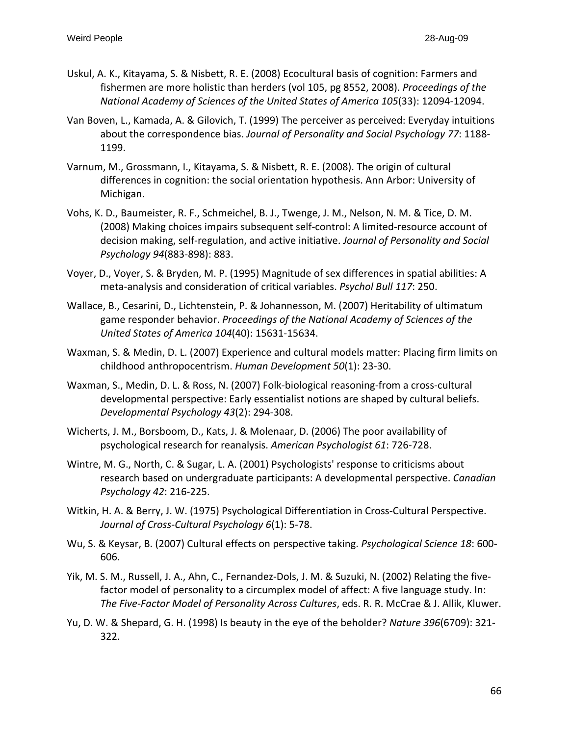- Uskul, A. K., Kitayama, S. & Nisbett, R. E. (2008) Ecocultural basis of cognition: Farmers and fishermen are more holistic than herders (vol 105, pg 8552, 2008). *Proceedings of the National Academy of Sciences of the United States of America 105*(33): 12094‐12094.
- Van Boven, L., Kamada, A. & Gilovich, T. (1999) The perceiver as perceived: Everyday intuitions about the correspondence bias. *Journal of Personality and Social Psychology 77*: 1188‐ 1199.
- Varnum, M., Grossmann, I., Kitayama, S. & Nisbett, R. E. (2008). The origin of cultural differences in cognition: the social orientation hypothesis. Ann Arbor: University of Michigan.
- Vohs, K. D., Baumeister, R. F., Schmeichel, B. J., Twenge, J. M., Nelson, N. M. & Tice, D. M. (2008) Making choices impairs subsequent self‐control: A limited‐resource account of decision making, self‐regulation, and active initiative. *Journal of Personality and Social Psychology 94*(883‐898): 883.
- Voyer, D., Voyer, S. & Bryden, M. P. (1995) Magnitude of sex differences in spatial abilities: A meta‐analysis and consideration of critical variables. *Psychol Bull 117*: 250.
- Wallace, B., Cesarini, D., Lichtenstein, P. & Johannesson, M. (2007) Heritability of ultimatum game responder behavior. *Proceedings of the National Academy of Sciences of the United States of America 104*(40): 15631‐15634.
- Waxman, S. & Medin, D. L. (2007) Experience and cultural models matter: Placing firm limits on childhood anthropocentrism. *Human Development 50*(1): 23‐30.
- Waxman, S., Medin, D. L. & Ross, N. (2007) Folk-biological reasoning-from a cross-cultural developmental perspective: Early essentialist notions are shaped by cultural beliefs. *Developmental Psychology 43*(2): 294‐308.
- Wicherts, J. M., Borsboom, D., Kats, J. & Molenaar, D. (2006) The poor availability of psychological research for reanalysis. *American Psychologist 61*: 726‐728.
- Wintre, M. G., North, C. & Sugar, L. A. (2001) Psychologists' response to criticisms about research based on undergraduate participants: A developmental perspective. *Canadian Psychology 42*: 216‐225.
- Witkin, H. A. & Berry, J. W. (1975) Psychological Differentiation in Cross-Cultural Perspective. *Journal of Cross‐Cultural Psychology 6*(1): 5‐78.
- Wu, S. & Keysar, B. (2007) Cultural effects on perspective taking. *Psychological Science 18*: 600‐ 606.
- Yik, M. S. M., Russell, J. A., Ahn, C., Fernandez‐Dols, J. M. & Suzuki, N. (2002) Relating the five‐ factor model of personality to a circumplex model of affect: A five language study. In: *The Five‐Factor Model of Personality Across Cultures*, eds. R. R. McCrae & J. Allik, Kluwer.
- Yu, D. W. & Shepard, G. H. (1998) Is beauty in the eye of the beholder? *Nature 396*(6709): 321‐ 322.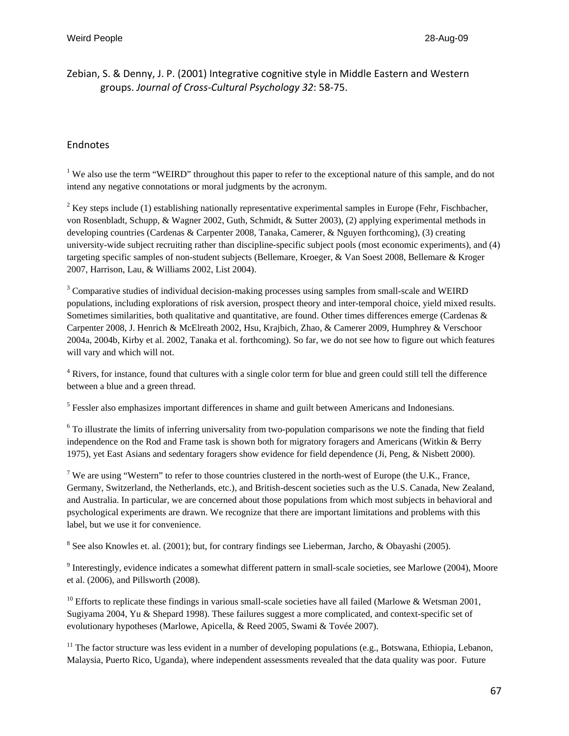#### <span id="page-66-9"></span>Zebian, S. & Denny, J. P. (2001) Integrative cognitive style in Middle Eastern and Western groups. *Journal of Cross‐Cultural Psychology 32*: 58‐75.

#### Endnotes

<span id="page-66-10"></span><span id="page-66-8"></span><span id="page-66-0"></span><sup>1</sup> We also use the term "WEIRD" throughout this paper to refer to the exceptional nature of this sample, and do not intend any negative connotations or moral judgments by the acronym.

<span id="page-66-4"></span> $2^{2}$  Key steps include (1) establishing nationally representative experimental samples in Europe (Fehr, Fischbacher, von Rosenbladt, Schupp, & Wagner 2002, Guth, Schmidt, & Sutter 2003), (2) applying experimental methods in developing countries (Cardenas & Carpenter 2008, Tanaka, Camerer, & Nguyen forthcoming), (3) creating university-wide subject recruiting rather than discipline-specific subject pools (most economic experiments), and (4) targeting specific samples of non-student subjects (Bellemare, Kroeger, & Van Soest 2008, Bellemare & Kroger 2007, Harrison, Lau, & Williams 2002, List 2004).

<span id="page-66-2"></span><span id="page-66-1"></span><sup>3</sup> Comparative studies of individual decision-making processes using samples from small-scale and WEIRD populations, including explorations of risk aversion, prospect theory and inter-temporal choice, yield mixed results. Sometimes similarities, both qualitative and quantitative, are found. Other times differences emerge (Cardenas & Carpenter 2008, J. Henrich & McElreath 2002, Hsu, Krajbich, Zhao, & Camerer 2009, Humphrey & Verschoor 2004a, 2004b, Kirby et al. 2002, Tanaka et al. forthcoming). So far, we do not see how to figure out which features will vary and which will not.

<span id="page-66-5"></span><sup>4</sup> Rivers, for instance, found that cultures with a single color term for blue and green could still tell the difference between a blue and a green thread.

<sup>5</sup> Fessler also emphasizes important differences in shame and guilt between Americans and Indonesians.

<span id="page-66-6"></span><sup>6</sup> To illustrate the limits of inferring universality from two-population comparisons we note the finding that field independence on the Rod and Frame task is shown both for migratory foragers and Americans (Witkin & Berry 1975), yet East Asians and sedentary foragers show evidence for field dependence (Ji, Peng, & Nisbett 2000).

<sup>7</sup> We are using "Western" to refer to those countries clustered in the north-west of Europe (the U.K., France, Germany, Switzerland, the Netherlands, etc.), and British-descent societies such as the U.S. Canada, New Zealand, and Australia. In particular, we are concerned about those populations from which most subjects in behavioral and psychological experiments are drawn. We recognize that there are important limitations and problems with this label, but we use it for convenience.

<sup>8</sup> See also Knowles et. al. (2001); but, for contrary findings see Lieberman, Jarcho, & Obayashi (2005).

 $9$  Interestingly, evidence indicates a somewhat different pattern in small-scale societies, see Marlowe (2004), Moore et al. (2006), and Pillsworth (2008).

<span id="page-66-7"></span><sup>10</sup> Efforts to replicate these findings in various small-scale societies have all failed (Marlowe & Wetsman 2001, Sugiyama 2004, Yu & Shepard 1998). These failures suggest a more complicated, and context-specific set of evolutionary hypotheses (Marlowe, Apicella, & Reed 2005, Swami & Tovée 2007).

<span id="page-66-3"></span><sup>11</sup> The factor structure was less evident in a number of developing populations (e.g., Botswana, Ethiopia, Lebanon, Malaysia, Puerto Rico, Uganda), where independent assessments revealed that the data quality was poor. Future